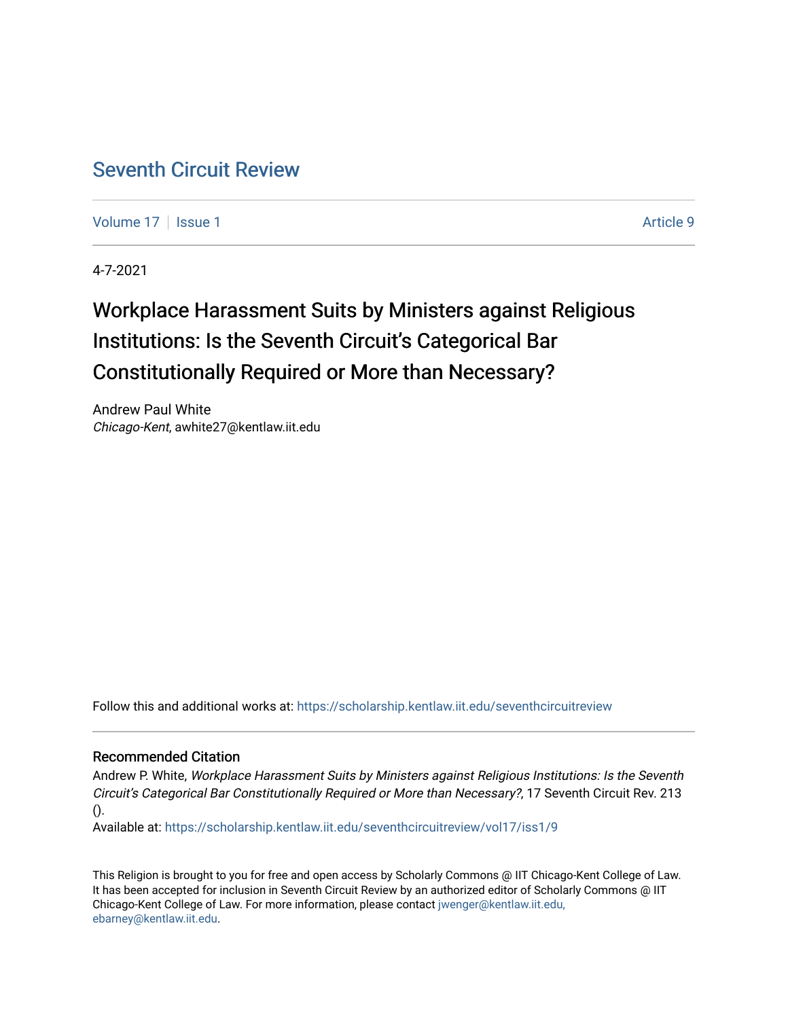# [Seventh Circuit Review](https://scholarship.kentlaw.iit.edu/seventhcircuitreview)

[Volume 17](https://scholarship.kentlaw.iit.edu/seventhcircuitreview/vol17) | [Issue 1](https://scholarship.kentlaw.iit.edu/seventhcircuitreview/vol17/iss1) Article 9

4-7-2021

# Workplace Harassment Suits by Ministers against Religious Institutions: Is the Seventh Circuit's Categorical Bar Constitutionally Required or More than Necessary?

Andrew Paul White Chicago-Kent, awhite27@kentlaw.iit.edu

Follow this and additional works at: [https://scholarship.kentlaw.iit.edu/seventhcircuitreview](https://scholarship.kentlaw.iit.edu/seventhcircuitreview?utm_source=scholarship.kentlaw.iit.edu%2Fseventhcircuitreview%2Fvol17%2Fiss1%2F9&utm_medium=PDF&utm_campaign=PDFCoverPages) 

#### Recommended Citation

Andrew P. White, Workplace Harassment Suits by Ministers against Religious Institutions: Is the Seventh Circuit's Categorical Bar Constitutionally Required or More than Necessary?, 17 Seventh Circuit Rev. 213 ().

Available at: [https://scholarship.kentlaw.iit.edu/seventhcircuitreview/vol17/iss1/9](https://scholarship.kentlaw.iit.edu/seventhcircuitreview/vol17/iss1/9?utm_source=scholarship.kentlaw.iit.edu%2Fseventhcircuitreview%2Fvol17%2Fiss1%2F9&utm_medium=PDF&utm_campaign=PDFCoverPages) 

This Religion is brought to you for free and open access by Scholarly Commons @ IIT Chicago-Kent College of Law. It has been accepted for inclusion in Seventh Circuit Review by an authorized editor of Scholarly Commons @ IIT Chicago-Kent College of Law. For more information, please contact [jwenger@kentlaw.iit.edu,](mailto:jwenger@kentlaw.iit.edu,%20ebarney@kentlaw.iit.edu) [ebarney@kentlaw.iit.edu](mailto:jwenger@kentlaw.iit.edu,%20ebarney@kentlaw.iit.edu).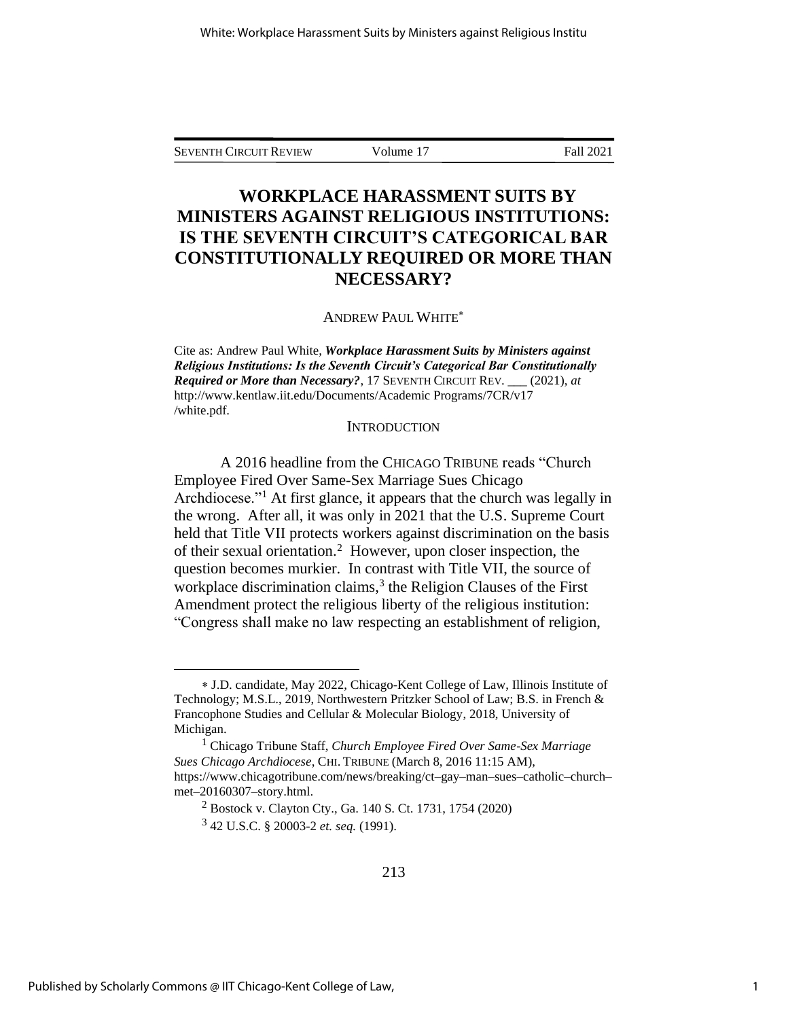SEVENTH CIRCUIT REVIEW Volume 17 Fall 2021

## **WORKPLACE HARASSMENT SUITS BY MINISTERS AGAINST RELIGIOUS INSTITUTIONS: IS THE SEVENTH CIRCUIT'S CATEGORICAL BAR CONSTITUTIONALLY REQUIRED OR MORE THAN NECESSARY?**

ANDREW PAUL WHITE

Cite as: Andrew Paul White, *Workplace Harassment Suits by Ministers against Religious Institutions: Is the Seventh Circuit's Categorical Bar Constitutionally Required or More than Necessary?*, 17 SEVENTH CIRCUIT REV. \_\_\_ (2021), *at*  http://www.kentlaw.iit.edu/Documents/Academic Programs/7CR/v17 /white.pdf.

#### **INTRODUCTION**

A 2016 headline from the CHICAGO TRIBUNE reads "Church Employee Fired Over Same-Sex Marriage Sues Chicago Archdiocese."<sup>1</sup> At first glance, it appears that the church was legally in the wrong. After all, it was only in 2021 that the U.S. Supreme Court held that Title VII protects workers against discrimination on the basis of their sexual orientation.<sup>2</sup> However, upon closer inspection, the question becomes murkier. In contrast with Title VII, the source of workplace discrimination claims,<sup>3</sup> the Religion Clauses of the First Amendment protect the religious liberty of the religious institution: "Congress shall make no law respecting an establishment of religion,

J.D. candidate, May 2022, Chicago-Kent College of Law, Illinois Institute of Technology; M.S.L., 2019, Northwestern Pritzker School of Law; B.S. in French & Francophone Studies and Cellular & Molecular Biology, 2018, University of Michigan.

<sup>1</sup> Chicago Tribune Staff, *Church Employee Fired Over Same-Sex Marriage Sues Chicago Archdiocese*, CHI. TRIBUNE (March 8, 2016 11:15 AM), https://www.chicagotribune.com/news/breaking/ct–gay–man–sues–catholic–church– met–20160307–story.html.

<sup>2</sup> Bostock v. Clayton Cty., Ga. 140 S. Ct. 1731, 1754 (2020)

<sup>3</sup> 42 U.S.C. § 20003-2 *et. seq.* (1991).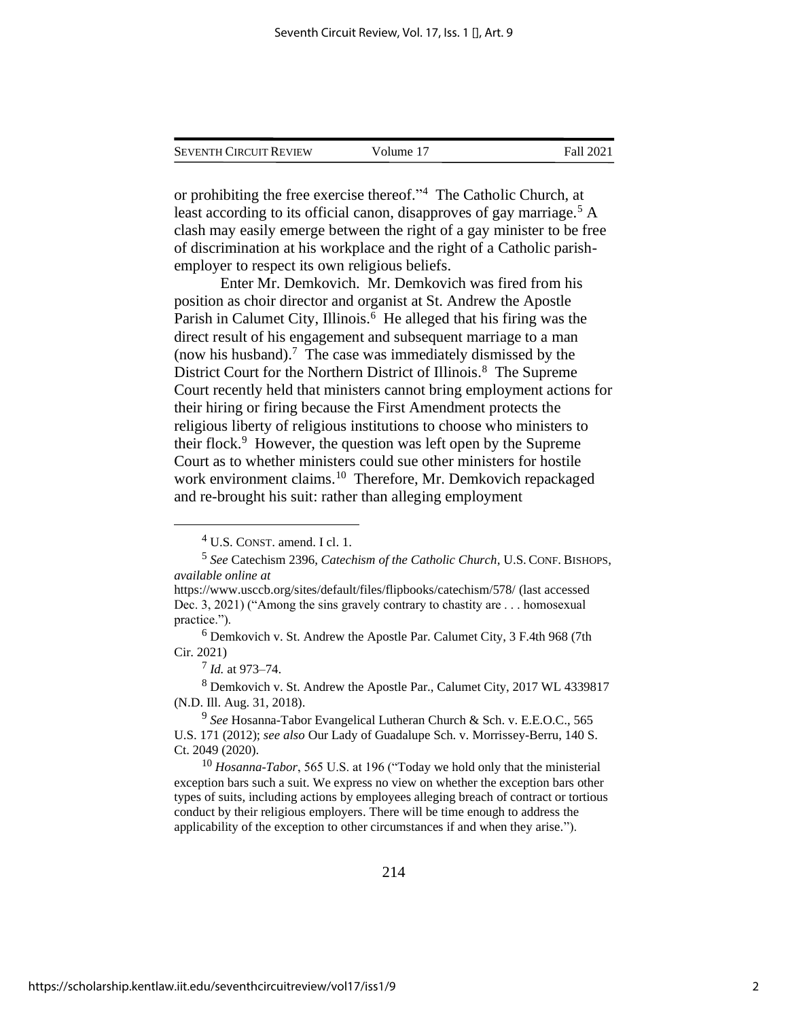| <b>SEVENTH CIRCUIT REVIEW</b> | Volume 17 | Fall 2021 |
|-------------------------------|-----------|-----------|
|                               |           |           |

or prohibiting the free exercise thereof." 4 The Catholic Church, at least according to its official canon, disapproves of gay marriage.<sup>5</sup> A clash may easily emerge between the right of a gay minister to be free of discrimination at his workplace and the right of a Catholic parishemployer to respect its own religious beliefs.

Enter Mr. Demkovich. Mr. Demkovich was fired from his position as choir director and organist at St. Andrew the Apostle Parish in Calumet City, Illinois.<sup>6</sup> He alleged that his firing was the direct result of his engagement and subsequent marriage to a man (now his husband).<sup>7</sup> The case was immediately dismissed by the District Court for the Northern District of Illinois. 8 The Supreme Court recently held that ministers cannot bring employment actions for their hiring or firing because the First Amendment protects the religious liberty of religious institutions to choose who ministers to their flock.<sup>9</sup> However, the question was left open by the Supreme Court as to whether ministers could sue other ministers for hostile work environment claims.<sup>10</sup> Therefore, Mr. Demkovich repackaged and re-brought his suit: rather than alleging employment

<sup>4</sup> U.S. CONST. amend. I cl. 1.

<sup>5</sup> *See* Catechism 2396, *Catechism of the Catholic Church*, U.S. CONF. BISHOPS, *available online at* 

https://www.usccb.org/sites/default/files/flipbooks/catechism/578/ (last accessed Dec. 3, 2021) ("Among the sins gravely contrary to chastity are . . . homosexual practice.").

 $6$  Demkovich v. St. Andrew the Apostle Par. Calumet City, 3 F.4th 968 (7th Cir. 2021)

<sup>7</sup> *Id.* at 973–74.

<sup>8</sup> Demkovich v. St. Andrew the Apostle Par., Calumet City, 2017 WL 4339817 (N.D. Ill. Aug. 31, 2018).

<sup>9</sup> *See* Hosanna-Tabor Evangelical Lutheran Church & Sch. v. E.E.O.C., 565 U.S. 171 (2012); *see also* Our Lady of Guadalupe Sch. v. Morrissey-Berru, 140 S. Ct. 2049 (2020).

<sup>10</sup> *Hosanna-Tabor*, 565 U.S. at 196 ("Today we hold only that the ministerial exception bars such a suit. We express no view on whether the exception bars other types of suits, including actions by employees alleging breach of contract or tortious conduct by their religious employers. There will be time enough to address the applicability of the exception to other circumstances if and when they arise.").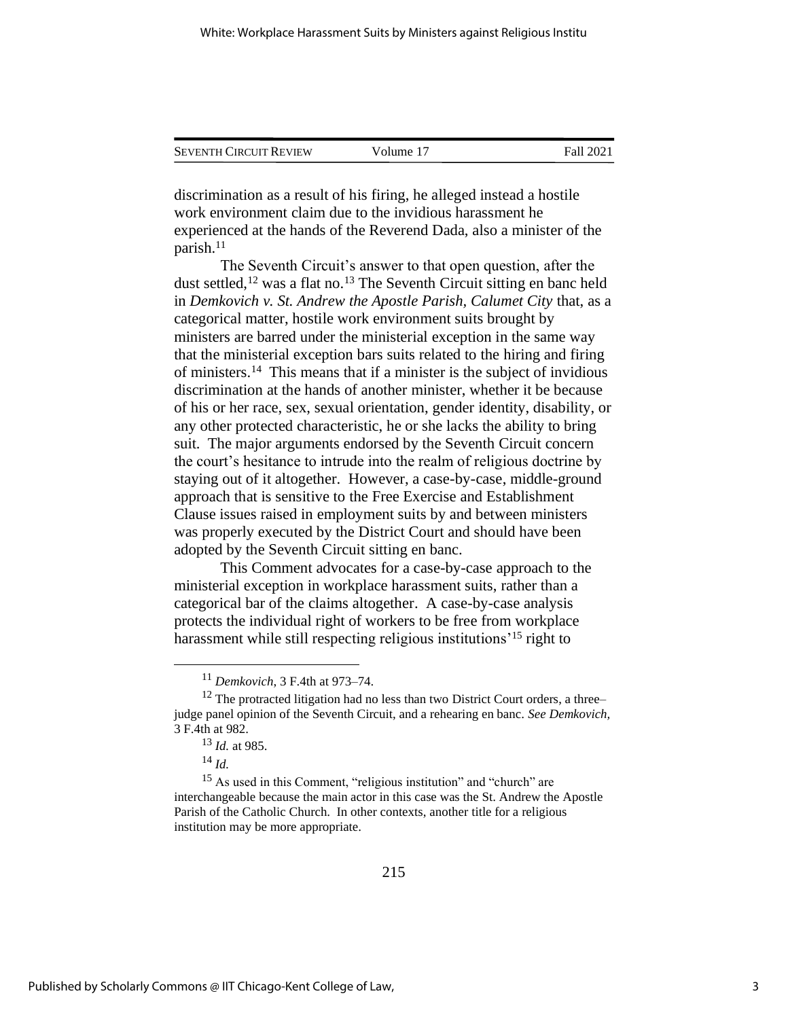| <b>SEVENTH CIRCUIT REVIEW</b> | Volume 17 | Fall 2021 |
|-------------------------------|-----------|-----------|
|                               |           |           |

discrimination as a result of his firing, he alleged instead a hostile work environment claim due to the invidious harassment he experienced at the hands of the Reverend Dada, also a minister of the parish.<sup>11</sup>

The Seventh Circuit's answer to that open question, after the dust settled,<sup>12</sup> was a flat no.<sup>13</sup> The Seventh Circuit sitting en banc held in *Demkovich v. St. Andrew the Apostle Parish, Calumet City* that, as a categorical matter, hostile work environment suits brought by ministers are barred under the ministerial exception in the same way that the ministerial exception bars suits related to the hiring and firing of ministers.<sup>14</sup> This means that if a minister is the subject of invidious discrimination at the hands of another minister, whether it be because of his or her race, sex, sexual orientation, gender identity, disability, or any other protected characteristic, he or she lacks the ability to bring suit. The major arguments endorsed by the Seventh Circuit concern the court's hesitance to intrude into the realm of religious doctrine by staying out of it altogether. However, a case-by-case, middle-ground approach that is sensitive to the Free Exercise and Establishment Clause issues raised in employment suits by and between ministers was properly executed by the District Court and should have been adopted by the Seventh Circuit sitting en banc.

This Comment advocates for a case-by-case approach to the ministerial exception in workplace harassment suits, rather than a categorical bar of the claims altogether. A case-by-case analysis protects the individual right of workers to be free from workplace harassment while still respecting religious institutions<sup>'15</sup> right to

<sup>11</sup> *Demkovich*, 3 F.4th at 973–74.

 $12$  The protracted litigation had no less than two District Court orders, a three– judge panel opinion of the Seventh Circuit, and a rehearing en banc. *See Demkovich,*  3 F.4th at 982.

<sup>13</sup> *Id.* at 985.

<sup>14</sup> *Id.*

<sup>&</sup>lt;sup>15</sup> As used in this Comment, "religious institution" and "church" are interchangeable because the main actor in this case was the St. Andrew the Apostle Parish of the Catholic Church. In other contexts, another title for a religious institution may be more appropriate.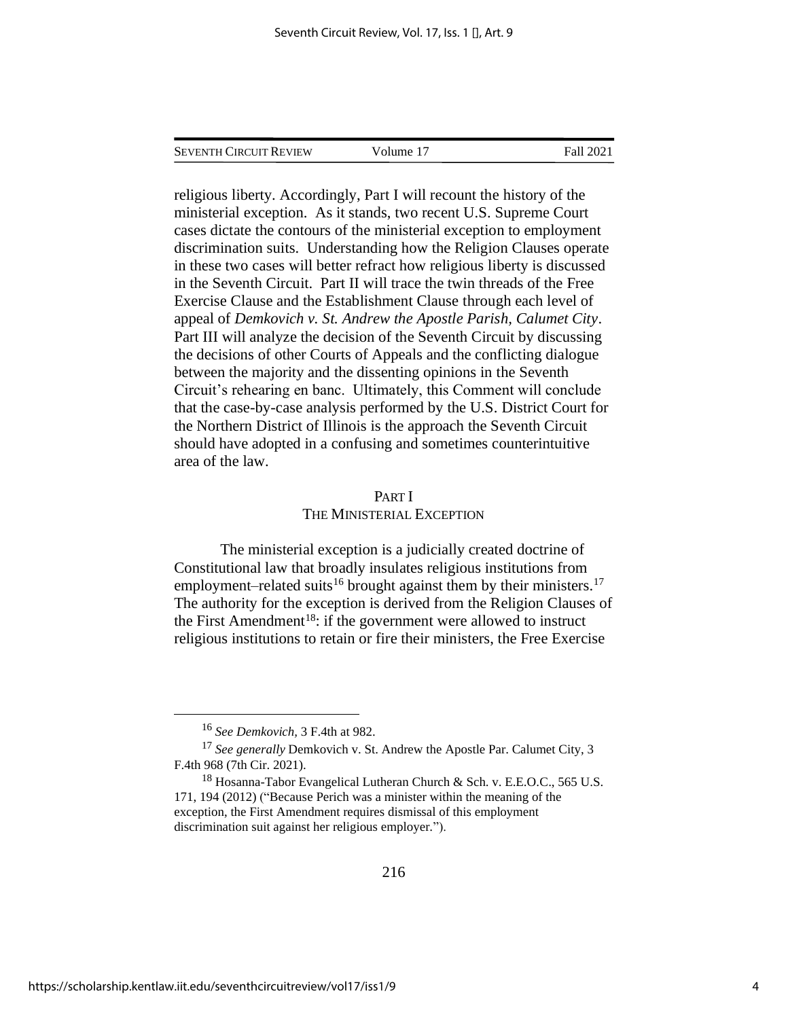SEVENTH CIRCUIT REVIEW Volume 17 Fall 2021

religious liberty. Accordingly, Part I will recount the history of the ministerial exception. As it stands, two recent U.S. Supreme Court cases dictate the contours of the ministerial exception to employment discrimination suits. Understanding how the Religion Clauses operate in these two cases will better refract how religious liberty is discussed in the Seventh Circuit. Part II will trace the twin threads of the Free Exercise Clause and the Establishment Clause through each level of appeal of *Demkovich v. St. Andrew the Apostle Parish, Calumet City*. Part III will analyze the decision of the Seventh Circuit by discussing the decisions of other Courts of Appeals and the conflicting dialogue between the majority and the dissenting opinions in the Seventh Circuit's rehearing en banc. Ultimately, this Comment will conclude that the case-by-case analysis performed by the U.S. District Court for the Northern District of Illinois is the approach the Seventh Circuit should have adopted in a confusing and sometimes counterintuitive area of the law.

#### PART I

#### THE MINISTERIAL EXCEPTION

The ministerial exception is a judicially created doctrine of Constitutional law that broadly insulates religious institutions from employment–related suits<sup>16</sup> brought against them by their ministers.<sup>17</sup> The authority for the exception is derived from the Religion Clauses of the First Amendment<sup>18</sup>: if the government were allowed to instruct religious institutions to retain or fire their ministers, the Free Exercise

<sup>16</sup> *See Demkovich,* 3 F.4th at 982.

<sup>17</sup> *See generally* Demkovich v. St. Andrew the Apostle Par. Calumet City, 3 F.4th 968 (7th Cir. 2021).

<sup>&</sup>lt;sup>18</sup> Hosanna-Tabor Evangelical Lutheran Church & Sch. v. E.E.O.C., 565 U.S. 171, 194 (2012) ("Because Perich was a minister within the meaning of the exception, the First Amendment requires dismissal of this employment discrimination suit against her religious employer.").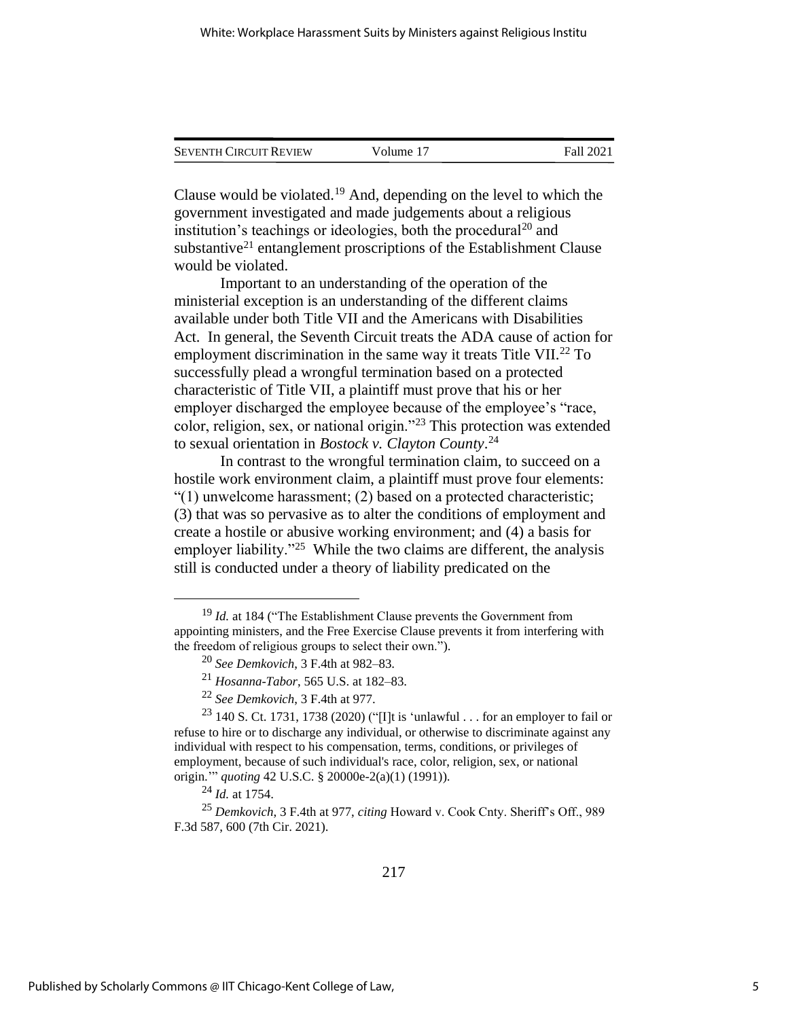| <b>SEVENTH CIRCUIT REVIEW</b> | Volume 17 | Fall 2021 |
|-------------------------------|-----------|-----------|
|                               |           |           |

Clause would be violated.<sup>19</sup> And, depending on the level to which the government investigated and made judgements about a religious institution's teachings or ideologies, both the procedural<sup>20</sup> and substantive<sup>21</sup> entanglement proscriptions of the Establishment Clause would be violated.

Important to an understanding of the operation of the ministerial exception is an understanding of the different claims available under both Title VII and the Americans with Disabilities Act. In general, the Seventh Circuit treats the ADA cause of action for employment discrimination in the same way it treats Title VII.<sup>22</sup> To successfully plead a wrongful termination based on a protected characteristic of Title VII, a plaintiff must prove that his or her employer discharged the employee because of the employee's "race, color, religion, sex, or national origin."<sup>23</sup> This protection was extended to sexual orientation in *Bostock v. Clayton County*. 24

In contrast to the wrongful termination claim, to succeed on a hostile work environment claim, a plaintiff must prove four elements: "(1) unwelcome harassment; (2) based on a protected characteristic; (3) that was so pervasive as to alter the conditions of employment and create a hostile or abusive working environment; and (4) a basis for employer liability."<sup>25</sup> While the two claims are different, the analysis still is conducted under a theory of liability predicated on the

<sup>24</sup> *Id.* at 1754.

<sup>25</sup> *Demkovich*, 3 F.4th at 977, *citing* Howard v. Cook Cnty. Sheriff's Off., 989 F.3d 587, 600 (7th Cir. 2021).

<sup>&</sup>lt;sup>19</sup> *Id.* at 184 ("The Establishment Clause prevents the Government from appointing ministers, and the Free Exercise Clause prevents it from interfering with the freedom of religious groups to select their own.").

<sup>20</sup> *See Demkovich*, 3 F.4th at 982–83.

<sup>21</sup> *Hosanna-Tabor*, 565 U.S. at 182–83.

<sup>22</sup> *See Demkovich*, 3 F.4th at 977.

<sup>&</sup>lt;sup>23</sup> 140 S. Ct. 1731, 1738 (2020) ("[I]t is 'unlawful . . . for an employer to fail or refuse to hire or to discharge any individual, or otherwise to discriminate against any individual with respect to his compensation, terms, conditions, or privileges of employment, because of such individual's race, color, religion, sex, or national origin.'" *quoting* 42 U.S.C. § 20000e-2(a)(1) (1991)).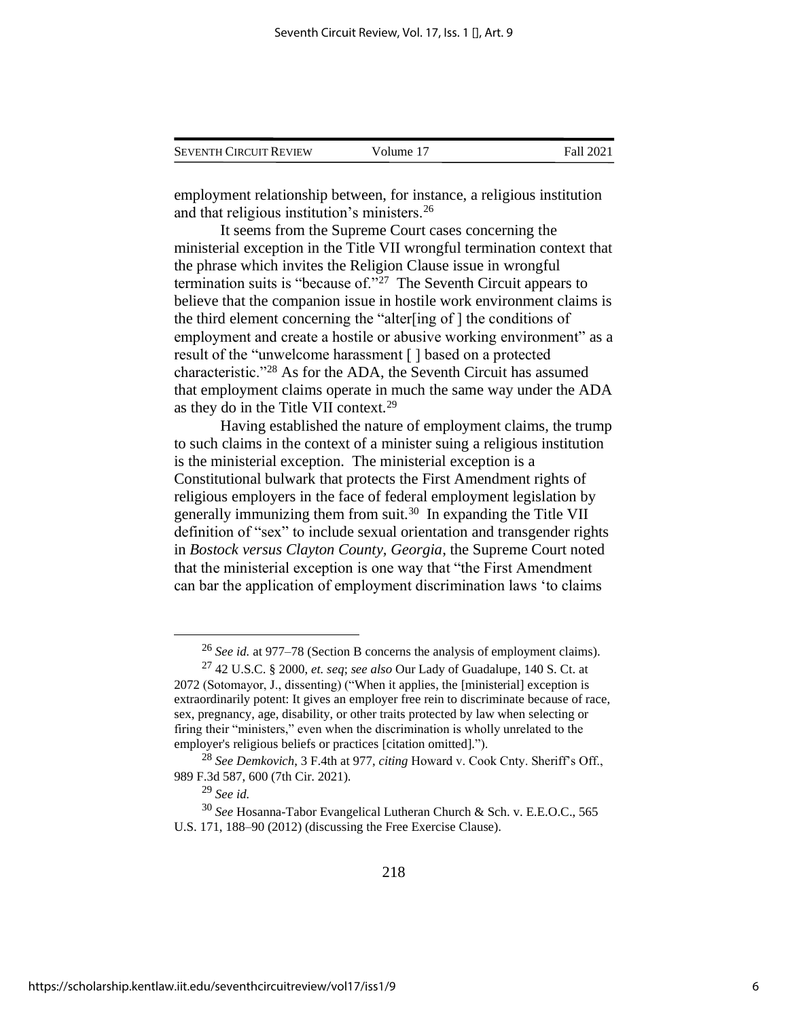| <b>SEVENTH CIRCUIT REVIEW</b> | Volume 17 | Fall 2021 |
|-------------------------------|-----------|-----------|
|                               |           |           |

employment relationship between, for instance, a religious institution and that religious institution's ministers.<sup>26</sup>

It seems from the Supreme Court cases concerning the ministerial exception in the Title VII wrongful termination context that the phrase which invites the Religion Clause issue in wrongful termination suits is "because of."<sup>27</sup> The Seventh Circuit appears to believe that the companion issue in hostile work environment claims is the third element concerning the "alter[ing of ] the conditions of employment and create a hostile or abusive working environment" as a result of the "unwelcome harassment [ ] based on a protected characteristic."<sup>28</sup> As for the ADA, the Seventh Circuit has assumed that employment claims operate in much the same way under the ADA as they do in the Title VII context.<sup>29</sup>

Having established the nature of employment claims, the trump to such claims in the context of a minister suing a religious institution is the ministerial exception. The ministerial exception is a Constitutional bulwark that protects the First Amendment rights of religious employers in the face of federal employment legislation by generally immunizing them from suit.<sup>30</sup> In expanding the Title VII definition of "sex" to include sexual orientation and transgender rights in *Bostock versus Clayton County, Georgia*, the Supreme Court noted that the ministerial exception is one way that "the First Amendment can bar the application of employment discrimination laws 'to claims

<sup>26</sup> *See id.* at 977–78 (Section B concerns the analysis of employment claims).

<sup>27</sup> 42 U.S.C. § 2000, *et. seq*; *see also* Our Lady of Guadalupe, 140 S. Ct. at 2072 (Sotomayor, J., dissenting) ("When it applies, the [ministerial] exception is extraordinarily potent: It gives an employer free rein to discriminate because of race, sex, pregnancy, age, disability, or other traits protected by law when selecting or firing their "ministers," even when the discrimination is wholly unrelated to the employer's religious beliefs or practices [citation omitted].").

<sup>28</sup> *See Demkovich*, 3 F.4th at 977, *citing* Howard v. Cook Cnty. Sheriff's Off., 989 F.3d 587, 600 (7th Cir. 2021).

<sup>29</sup> *See id.*

<sup>30</sup> *See* Hosanna-Tabor Evangelical Lutheran Church & Sch. v. E.E.O.C., 565 U.S. 171, 188–90 (2012) (discussing the Free Exercise Clause).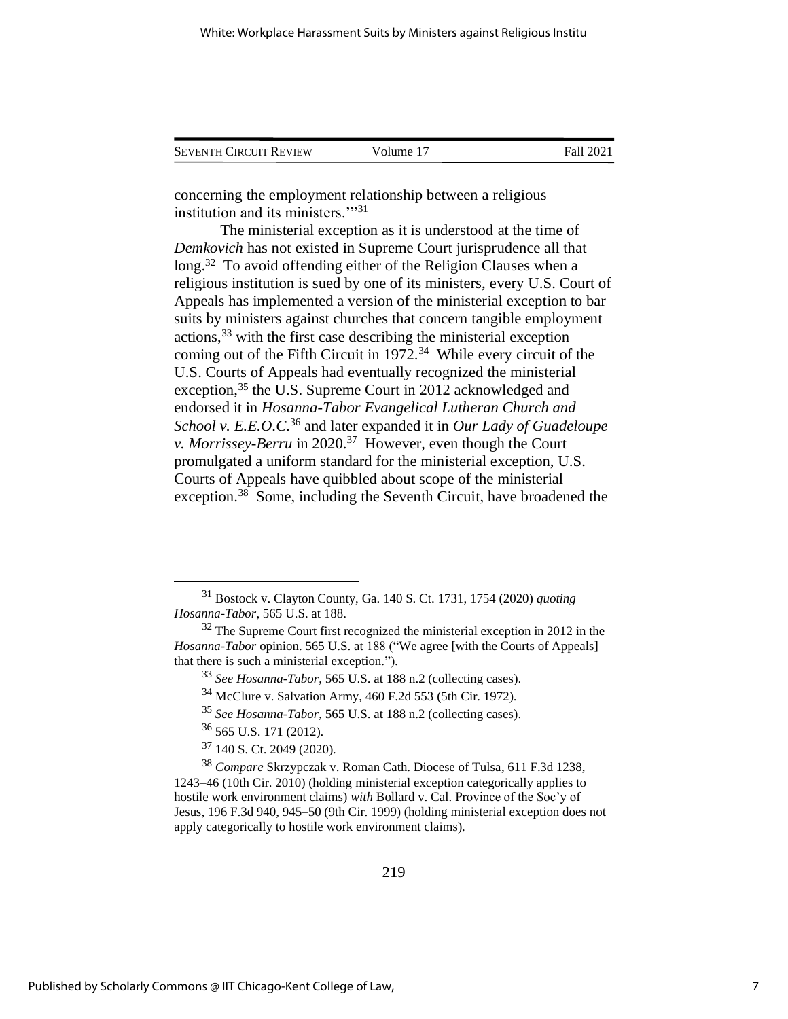| <b>SEVENTH CIRCUIT REVIEW</b> | Volume 17 | Fall 2021 |
|-------------------------------|-----------|-----------|
|                               |           |           |

concerning the employment relationship between a religious institution and its ministers."<sup>31</sup>

<span id="page-7-0"></span>The ministerial exception as it is understood at the time of *Demkovich* has not existed in Supreme Court jurisprudence all that long.<sup>32</sup> To avoid offending either of the Religion Clauses when a religious institution is sued by one of its ministers, every U.S. Court of Appeals has implemented a version of the ministerial exception to bar suits by ministers against churches that concern tangible employment actions, <sup>33</sup> with the first case describing the ministerial exception coming out of the Fifth Circuit in  $1972.^{34}$  While every circuit of the U.S. Courts of Appeals had eventually recognized the ministerial exception,<sup>35</sup> the U.S. Supreme Court in 2012 acknowledged and endorsed it in *Hosanna-Tabor Evangelical Lutheran Church and School v. E.E.O.C.* <sup>36</sup> and later expanded it in *Our Lady of Guadeloupe v. Morrissey-Berru* in 2020.<sup>37</sup> However, even though the Court promulgated a uniform standard for the ministerial exception, U.S. Courts of Appeals have quibbled about scope of the ministerial exception.<sup>38</sup> Some, including the Seventh Circuit, have broadened the

<sup>31</sup> Bostock v. Clayton County, Ga. 140 S. Ct. 1731, 1754 (2020) *quoting Hosanna-Tabor*, 565 U.S. at 188.

 $32$  The Supreme Court first recognized the ministerial exception in 2012 in the *Hosanna-Tabor* opinion. 565 U.S. at 188 ("We agree [with the Courts of Appeals] that there is such a ministerial exception.").

<sup>33</sup> *See Hosanna-Tabor*, 565 U.S. at 188 n.2 (collecting cases).

<sup>34</sup> McClure v. Salvation Army, 460 F.2d 553 (5th Cir. 1972).

<sup>35</sup> *See Hosanna-Tabor*, 565 U.S. at 188 n.2 (collecting cases).

<sup>36</sup> 565 U.S. 171 (2012).

<sup>37</sup> 140 S. Ct. 2049 (2020).

<sup>38</sup> *Compare* Skrzypczak v. Roman Cath. Diocese of Tulsa, 611 F.3d 1238, 1243–46 (10th Cir. 2010) (holding ministerial exception categorically applies to hostile work environment claims) *with* Bollard v. Cal. Province of the Soc'y of Jesus, 196 F.3d 940, 945–50 (9th Cir. 1999) (holding ministerial exception does not apply categorically to hostile work environment claims).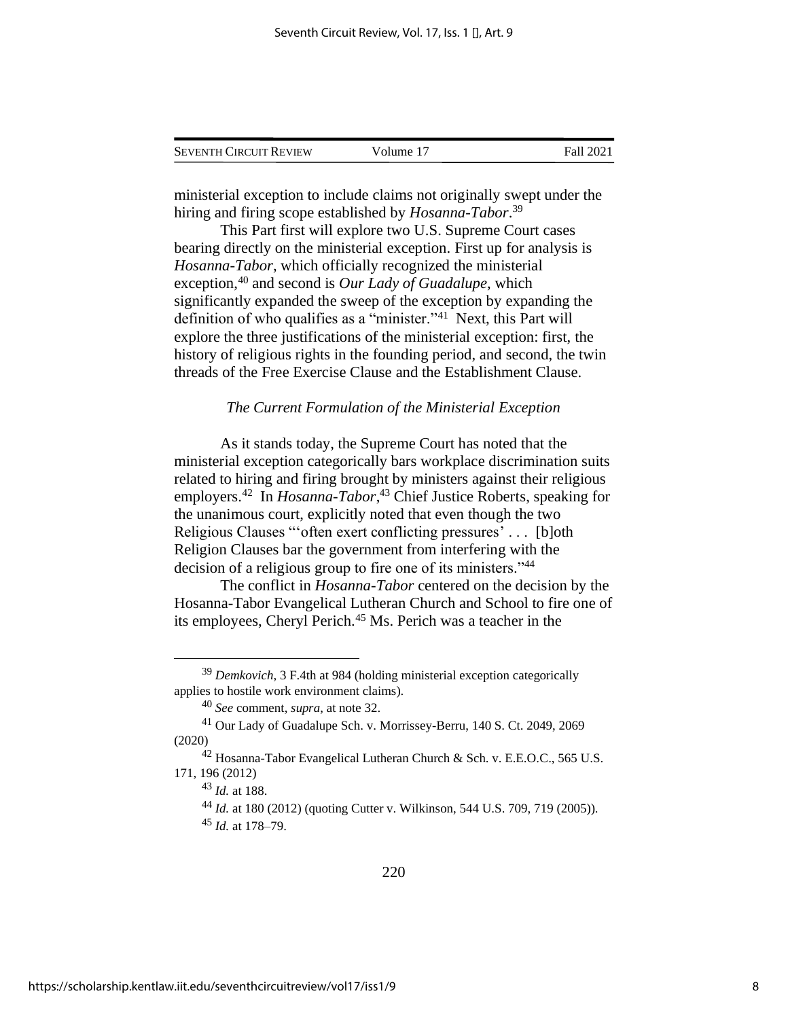| <b>SEVENTH CIRCUIT REVIEW</b> | Volume 17 | Fall 2021 |
|-------------------------------|-----------|-----------|
|                               |           |           |

ministerial exception to include claims not originally swept under the hiring and firing scope established by *Hosanna-Tabor*. 39

This Part first will explore two U.S. Supreme Court cases bearing directly on the ministerial exception. First up for analysis is *Hosanna-Tabor*, which officially recognized the ministerial exception,<sup>40</sup> and second is *Our Lady of Guadalupe*, which significantly expanded the sweep of the exception by expanding the definition of who qualifies as a "minister."<sup>41</sup> Next, this Part will explore the three justifications of the ministerial exception: first, the history of religious rights in the founding period, and second, the twin threads of the Free Exercise Clause and the Establishment Clause.

#### *The Current Formulation of the Ministerial Exception*

As it stands today, the Supreme Court has noted that the ministerial exception categorically bars workplace discrimination suits related to hiring and firing brought by ministers against their religious employers.<sup>42</sup> In *Hosanna-Tabor*,<sup>43</sup> Chief Justice Roberts, speaking for the unanimous court, explicitly noted that even though the two Religious Clauses "'often exert conflicting pressures' . . . [b]oth Religion Clauses bar the government from interfering with the decision of a religious group to fire one of its ministers."<sup>44</sup>

The conflict in *Hosanna-Tabor* centered on the decision by the Hosanna-Tabor Evangelical Lutheran Church and School to fire one of its employees, Cheryl Perich.<sup>45</sup> Ms. Perich was a teacher in the

<sup>39</sup> *Demkovich*, 3 F.4th at 984 (holding ministerial exception categorically applies to hostile work environment claims).

<sup>40</sup> *See* comment, *supra*, at note [32.](#page-7-0)

<sup>41</sup> Our Lady of Guadalupe Sch. v. Morrissey-Berru, 140 S. Ct. 2049, 2069 (2020)

<sup>&</sup>lt;sup>42</sup> Hosanna-Tabor Evangelical Lutheran Church & Sch. v. E.E.O.C., 565 U.S. 171, 196 (2012)

<sup>43</sup> *Id.* at 188.

<sup>44</sup> *Id.* at 180 (2012) (quoting Cutter v. Wilkinson, 544 U.S. 709, 719 (2005)).

<sup>45</sup> *Id.* at 178–79.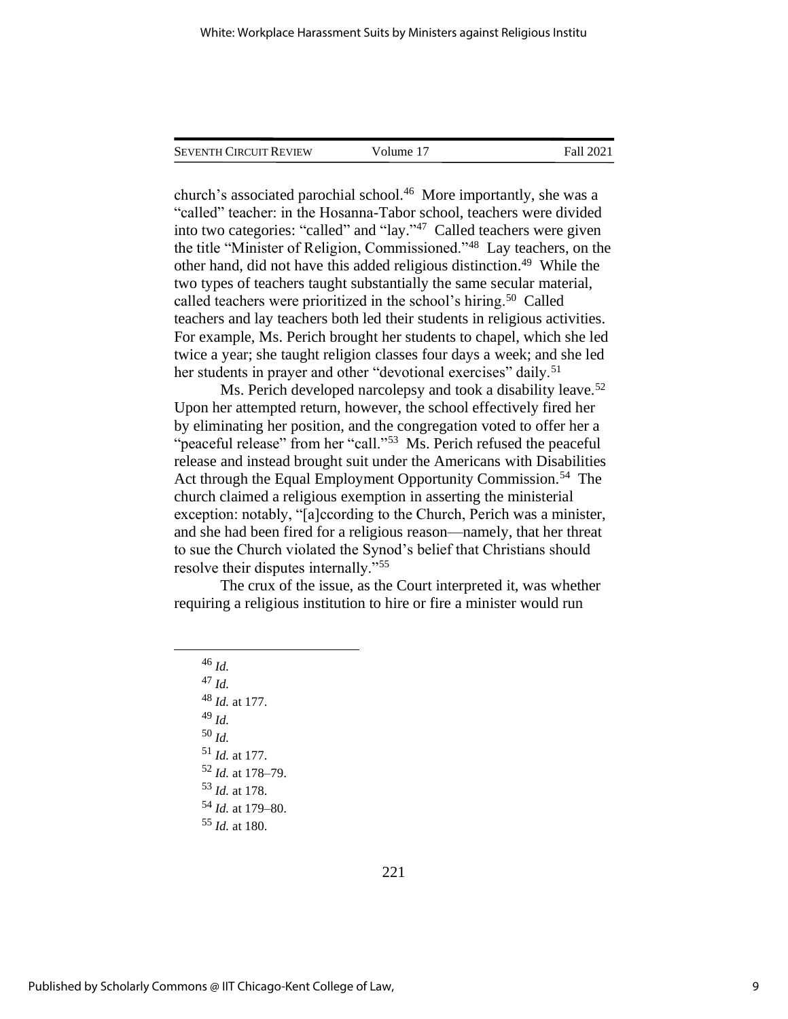| <b>SEVENTH CIRCUIT REVIEW</b> | Volume 17 | Fall 2021 |
|-------------------------------|-----------|-----------|
|                               |           |           |

church's associated parochial school.<sup>46</sup> More importantly, she was a "called" teacher: in the Hosanna-Tabor school, teachers were divided into two categories: "called" and "lay." 47 Called teachers were given the title "Minister of Religion, Commissioned."<sup>48</sup> Lay teachers, on the other hand, did not have this added religious distinction.<sup>49</sup> While the two types of teachers taught substantially the same secular material, called teachers were prioritized in the school's hiring.<sup>50</sup> Called teachers and lay teachers both led their students in religious activities. For example, Ms. Perich brought her students to chapel, which she led twice a year; she taught religion classes four days a week; and she led her students in prayer and other "devotional exercises" daily.<sup>51</sup>

Ms. Perich developed narcolepsy and took a disability leave.<sup>52</sup> Upon her attempted return, however, the school effectively fired her by eliminating her position, and the congregation voted to offer her a "peaceful release" from her "call."<sup>53</sup> Ms. Perich refused the peaceful release and instead brought suit under the Americans with Disabilities Act through the Equal Employment Opportunity Commission.<sup>54</sup> The church claimed a religious exemption in asserting the ministerial exception: notably, "[a]ccording to the Church, Perich was a minister, and she had been fired for a religious reason—namely, that her threat to sue the Church violated the Synod's belief that Christians should resolve their disputes internally."<sup>55</sup>

The crux of the issue, as the Court interpreted it, was whether requiring a religious institution to hire or fire a minister would run

<sup>46</sup> *Id.* <sup>47</sup> *Id.* <sup>48</sup> *Id.* at 177. <sup>49</sup> *Id.* <sup>50</sup> *Id.* <sup>51</sup> *Id.* at 177. <sup>52</sup> *Id.* at 178–79. <sup>53</sup> *Id.* at 178. <sup>54</sup> *Id.* at 179–80. <sup>55</sup> *Id.* at 180.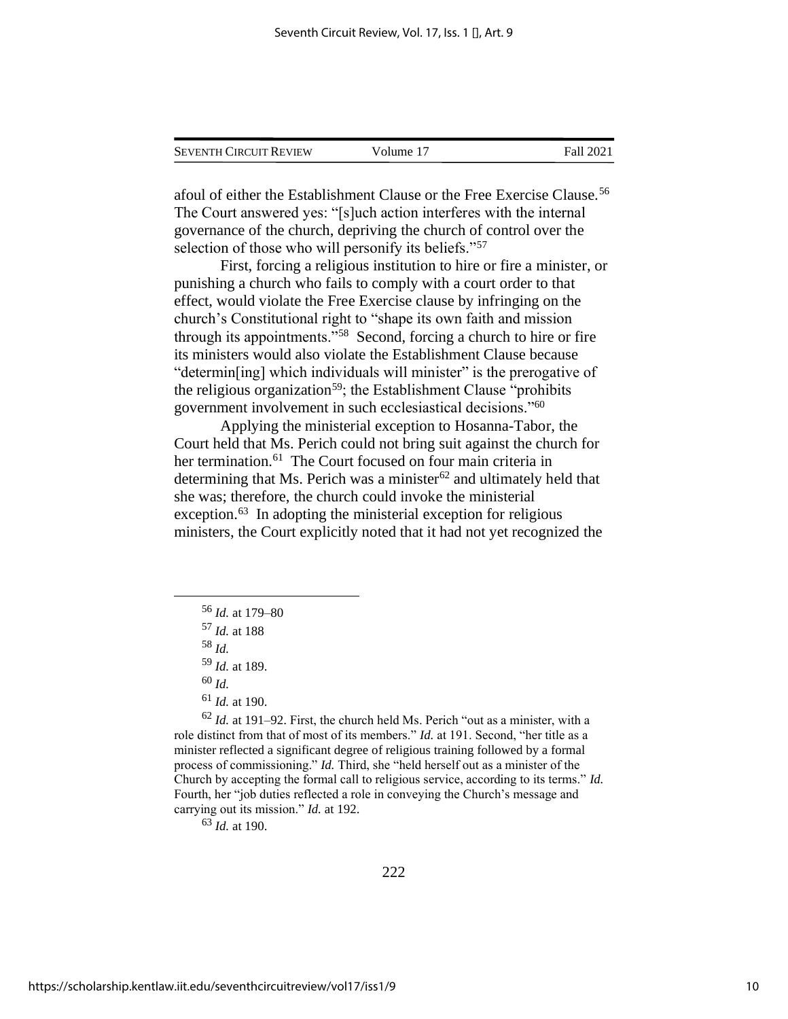| <b>SEVENTH CIRCUIT REVIEW</b> | Volume 17 | Fall 2021 |
|-------------------------------|-----------|-----------|
|                               |           |           |

afoul of either the Establishment Clause or the Free Exercise Clause.<sup>56</sup> The Court answered yes: "[s]uch action interferes with the internal governance of the church, depriving the church of control over the selection of those who will personify its beliefs."<sup>57</sup>

First, forcing a religious institution to hire or fire a minister, or punishing a church who fails to comply with a court order to that effect, would violate the Free Exercise clause by infringing on the church's Constitutional right to "shape its own faith and mission through its appointments."<sup>58</sup> Second, forcing a church to hire or fire its ministers would also violate the Establishment Clause because "determin[ing] which individuals will minister" is the prerogative of the religious organization<sup>59</sup>; the Establishment Clause "prohibits" government involvement in such ecclesiastical decisions."<sup>60</sup>

Applying the ministerial exception to Hosanna-Tabor, the Court held that Ms. Perich could not bring suit against the church for her termination.<sup>61</sup> The Court focused on four main criteria in determining that Ms. Perich was a minister $62$  and ultimately held that she was; therefore, the church could invoke the ministerial exception.<sup>63</sup> In adopting the ministerial exception for religious ministers, the Court explicitly noted that it had not yet recognized the

- <sup>56</sup> *Id.* at 179–80
- <sup>57</sup> *Id.* at 188

<sup>58</sup> *Id.*

<sup>59</sup> *Id.* at 189.

<sup>60</sup> *Id.*

<sup>61</sup> *Id.* at 190.

<sup>62</sup> *Id.* at 191–92. First, the church held Ms. Perich "out as a minister, with a role distinct from that of most of its members." *Id.* at 191. Second, "her title as a minister reflected a significant degree of religious training followed by a formal process of commissioning." *Id.* Third, she "held herself out as a minister of the Church by accepting the formal call to religious service, according to its terms." *Id.* Fourth, her "job duties reflected a role in conveying the Church's message and carrying out its mission." *Id.* at 192.

<sup>63</sup> *Id.* at 190.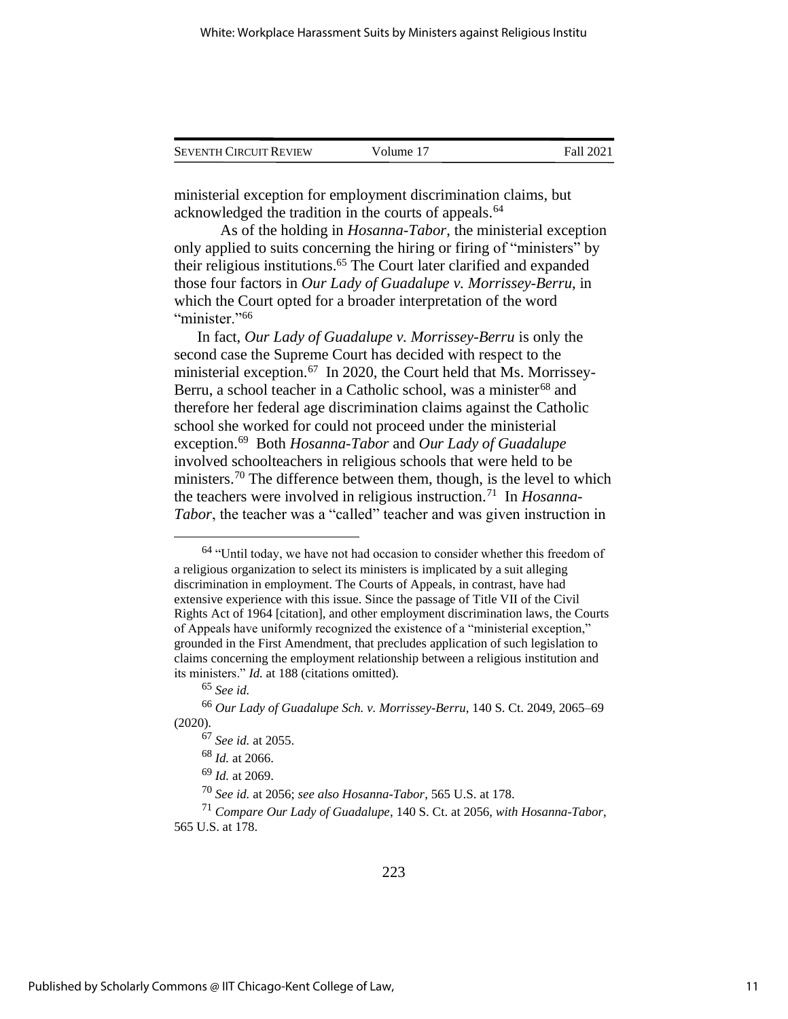| <b>SEVENTH CIRCUIT REVIEW</b> | Volume 17 | Fall 2021 |
|-------------------------------|-----------|-----------|
|                               |           |           |

ministerial exception for employment discrimination claims, but acknowledged the tradition in the courts of appeals.<sup>64</sup>

As of the holding in *Hosanna-Tabor*, the ministerial exception only applied to suits concerning the hiring or firing of "ministers" by their religious institutions.<sup>65</sup> The Court later clarified and expanded those four factors in *Our Lady of Guadalupe v. Morrissey-Berru*, in which the Court opted for a broader interpretation of the word "minister."<sup>66</sup>

In fact, *Our Lady of Guadalupe v. Morrissey-Berru* is only the second case the Supreme Court has decided with respect to the ministerial exception.<sup>67</sup> In 2020, the Court held that Ms. Morrissey-Berru, a school teacher in a Catholic school, was a minister<sup>68</sup> and therefore her federal age discrimination claims against the Catholic school she worked for could not proceed under the ministerial exception.<sup>69</sup> Both *Hosanna-Tabor* and *Our Lady of Guadalupe* involved schoolteachers in religious schools that were held to be ministers.<sup>70</sup> The difference between them, though, is the level to which the teachers were involved in religious instruction.<sup>71</sup> In *Hosanna-Tabor*, the teacher was a "called" teacher and was given instruction in

 $64$  "Until today, we have not had occasion to consider whether this freedom of a religious organization to select its ministers is implicated by a suit alleging discrimination in employment. The Courts of Appeals, in contrast, have had extensive experience with this issue. Since the passage of Title VII of the Civil Rights Act of 1964 [citation], and other employment discrimination laws, the Courts of Appeals have uniformly recognized the existence of a "ministerial exception," grounded in the First Amendment, that precludes application of such legislation to claims concerning the employment relationship between a religious institution and its ministers." *Id.* at 188 (citations omitted).

<sup>65</sup> *See id.*

<sup>66</sup> *Our Lady of Guadalupe Sch. v. Morrissey-Berru*, 140 S. Ct. 2049, 2065–69 (2020).

<sup>67</sup> *See id.* at 2055.

<sup>68</sup> *Id.* at 2066.

<sup>69</sup> *Id.* at 2069.

<sup>70</sup> *See id.* at 2056; *see also Hosanna-Tabor*, 565 U.S. at 178.

<sup>71</sup> *Compare Our Lady of Guadalupe*, 140 S. Ct. at 2056, *with Hosanna-Tabor*, 565 U.S. at 178.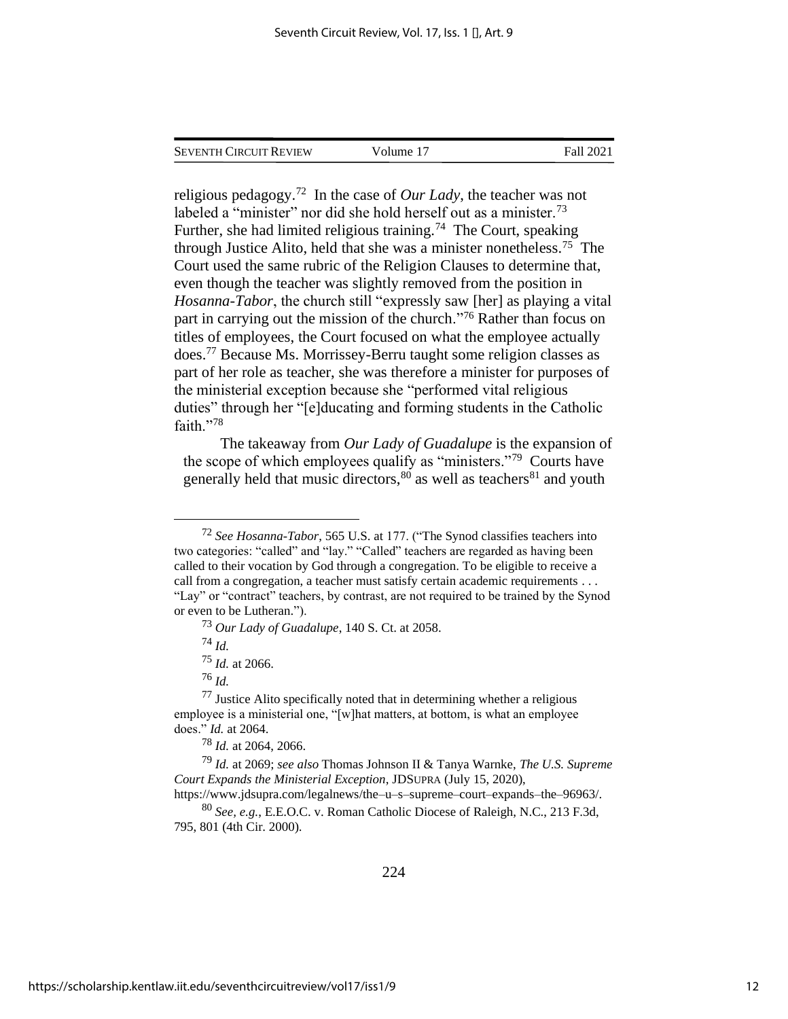| <b>SEVENTH CIRCUIT REVIEW</b> | Volume 17 | Fall 2021 |
|-------------------------------|-----------|-----------|
|                               |           |           |

religious pedagogy.<sup>72</sup> In the case of *Our Lady*, the teacher was not labeled a "minister" nor did she hold herself out as a minister.<sup>73</sup> Further, she had limited religious training.<sup>74</sup> The Court, speaking through Justice Alito, held that she was a minister nonetheless.<sup>75</sup> The Court used the same rubric of the Religion Clauses to determine that, even though the teacher was slightly removed from the position in *Hosanna-Tabor*, the church still "expressly saw [her] as playing a vital part in carrying out the mission of the church."<sup>76</sup> Rather than focus on titles of employees, the Court focused on what the employee actually does.<sup>77</sup> Because Ms. Morrissey-Berru taught some religion classes as part of her role as teacher, she was therefore a minister for purposes of the ministerial exception because she "performed vital religious duties" through her "[e]ducating and forming students in the Catholic faith."78

The takeaway from *Our Lady of Guadalupe* is the expansion of the scope of which employees qualify as "ministers."<sup>79</sup> Courts have generally held that music directors,  $80$  as well as teachers  $81$  and youth

<sup>72</sup> *See Hosanna-Tabor*, 565 U.S. at 177. ("The Synod classifies teachers into two categories: "called" and "lay." "Called" teachers are regarded as having been called to their vocation by God through a congregation. To be eligible to receive a call from a congregation, a teacher must satisfy certain academic requirements . . . "Lay" or "contract" teachers, by contrast, are not required to be trained by the Synod or even to be Lutheran.").

<sup>73</sup> *Our Lady of Guadalupe*, 140 S. Ct. at 2058.

<sup>74</sup> *Id.*

<sup>75</sup> *Id.* at 2066.

<sup>76</sup> *Id.*

 $77$  Justice Alito specifically noted that in determining whether a religious employee is a ministerial one, "[w]hat matters, at bottom, is what an employee does." *Id.* at 2064.

<sup>78</sup> *Id.* at 2064, 2066.

<sup>79</sup> *Id.* at 2069; *see also* Thomas Johnson II & Tanya Warnke, *The U.S. Supreme Court Expands the Ministerial Exception*, JDSUPRA (July 15, 2020),

https://www.jdsupra.com/legalnews/the–u–s–supreme–court–expands–the–96963/.

<sup>80</sup> *See, e.g.*, E.E.O.C. v. Roman Catholic Diocese of Raleigh, N.C., 213 F.3d, 795, 801 (4th Cir. 2000).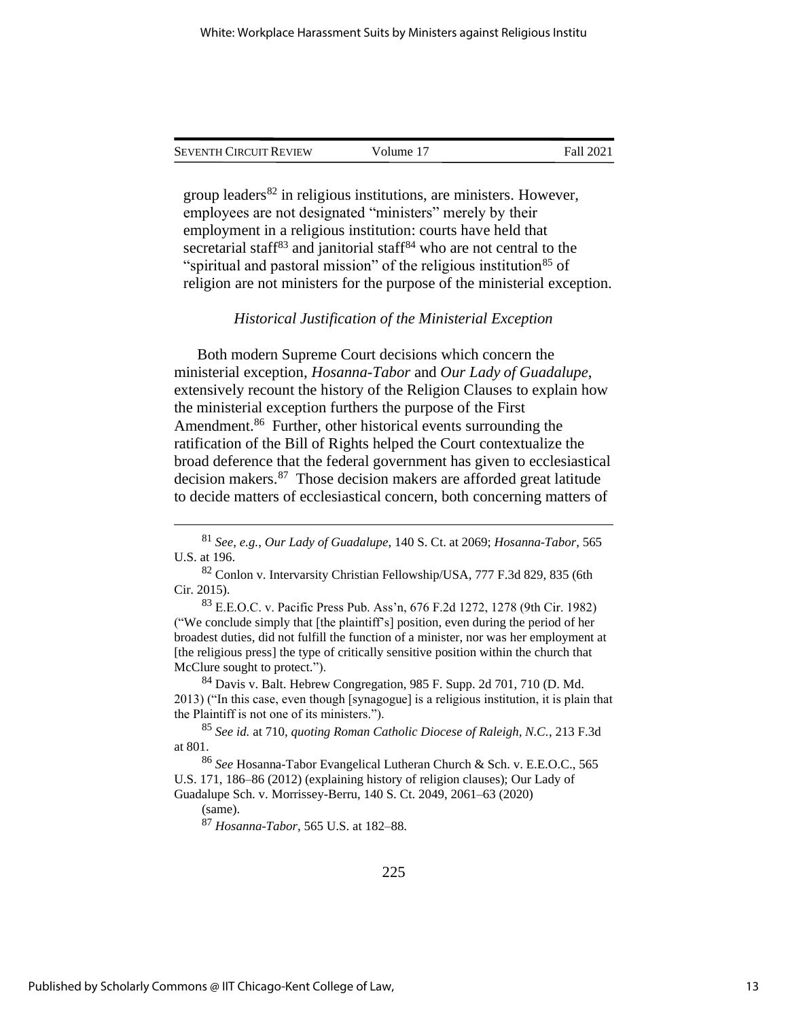| Seventh Circuit Review | Volume 17 | Fall 2021 |  |
|------------------------|-----------|-----------|--|
|                        |           |           |  |

group leaders $82$  in religious institutions, are ministers. However, employees are not designated "ministers" merely by their employment in a religious institution: courts have held that secretarial staff<sup>83</sup> and janitorial staff<sup>84</sup> who are not central to the "spiritual and pastoral mission" of the religious institution<sup>85</sup> of religion are not ministers for the purpose of the ministerial exception.

## *Historical Justification of the Ministerial Exception*

Both modern Supreme Court decisions which concern the ministerial exception, *Hosanna-Tabor* and *Our Lady of Guadalupe*, extensively recount the history of the Religion Clauses to explain how the ministerial exception furthers the purpose of the First Amendment.<sup>86</sup> Further, other historical events surrounding the ratification of the Bill of Rights helped the Court contextualize the broad deference that the federal government has given to ecclesiastical decision makers.<sup>87</sup> Those decision makers are afforded great latitude to decide matters of ecclesiastical concern, both concerning matters of

<sup>84</sup> Davis v. Balt. Hebrew Congregation, 985 F. Supp. 2d 701, 710 (D. Md. 2013) ("In this case, even though [synagogue] is a religious institution, it is plain that the Plaintiff is not one of its ministers.").

<sup>85</sup> *See id.* at 710, *quoting Roman Catholic Diocese of Raleigh, N.C.*, 213 F.3d at 801.

(same).

<sup>87</sup> *Hosanna-Tabor*, 565 U.S. at 182–88.

<sup>81</sup> *See, e.g.*, *Our Lady of Guadalupe*, 140 S. Ct. at 2069; *Hosanna-Tabor*, 565 U.S. at 196.

<sup>82</sup> Conlon v. Intervarsity Christian Fellowship/USA, 777 F.3d 829, 835 (6th Cir. 2015).

<sup>83</sup> E.E.O.C. v. Pacific Press Pub. Ass'n, 676 F.2d 1272, 1278 (9th Cir. 1982) ("We conclude simply that [the plaintiff's] position, even during the period of her broadest duties, did not fulfill the function of a minister, nor was her employment at [the religious press] the type of critically sensitive position within the church that McClure sought to protect.").

<sup>86</sup> *See* Hosanna-Tabor Evangelical Lutheran Church & Sch. v. E.E.O.C., 565 U.S. 171, 186–86 (2012) (explaining history of religion clauses); Our Lady of Guadalupe Sch. v. Morrissey-Berru, 140 S. Ct. 2049, 2061–63 (2020)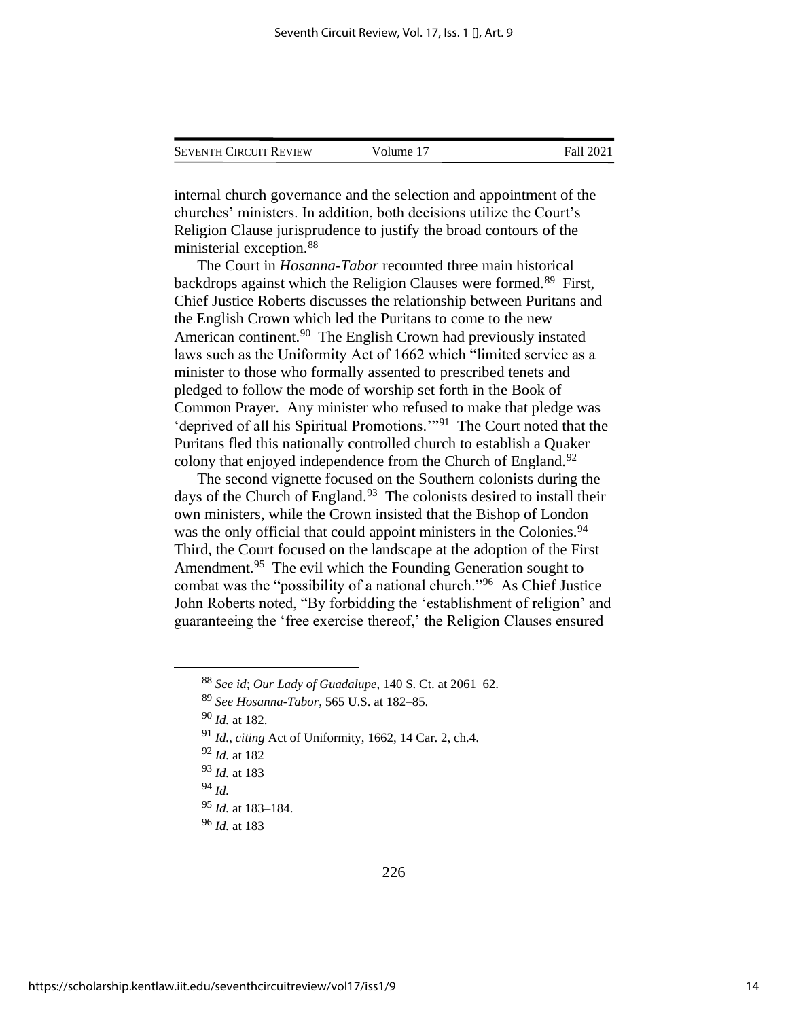| <b>SEVENTH CIRCUIT REVIEW</b> | Volume 17 | Fall 2021 |
|-------------------------------|-----------|-----------|
|                               |           |           |

internal church governance and the selection and appointment of the churches' ministers. In addition, both decisions utilize the Court's Religion Clause jurisprudence to justify the broad contours of the ministerial exception.<sup>88</sup>

The Court in *Hosanna-Tabor* recounted three main historical backdrops against which the Religion Clauses were formed.<sup>89</sup> First, Chief Justice Roberts discusses the relationship between Puritans and the English Crown which led the Puritans to come to the new American continent.<sup>90</sup> The English Crown had previously instated laws such as the Uniformity Act of 1662 which "limited service as a minister to those who formally assented to prescribed tenets and pledged to follow the mode of worship set forth in the Book of Common Prayer. Any minister who refused to make that pledge was 'deprived of all his Spiritual Promotions.'"<sup>91</sup> The Court noted that the Puritans fled this nationally controlled church to establish a Quaker colony that enjoyed independence from the Church of England.<sup>92</sup>

The second vignette focused on the Southern colonists during the days of the Church of England.<sup>93</sup> The colonists desired to install their own ministers, while the Crown insisted that the Bishop of London was the only official that could appoint ministers in the Colonies.<sup>94</sup> Third, the Court focused on the landscape at the adoption of the First Amendment.<sup>95</sup> The evil which the Founding Generation sought to combat was the "possibility of a national church."<sup>96</sup> As Chief Justice John Roberts noted, "By forbidding the 'establishment of religion' and guaranteeing the 'free exercise thereof,' the Religion Clauses ensured

<sup>95</sup> *Id.* at 183–184.

<sup>88</sup> *See id*; *Our Lady of Guadalupe*, 140 S. Ct. at 2061–62.

<sup>89</sup> *See Hosanna-Tabor*, 565 U.S. at 182–85.

<sup>90</sup> *Id.* at 182.

<sup>91</sup> *Id.*, *citing* Act of Uniformity, 1662, 14 Car. 2, ch.4.

<sup>92</sup> *Id.* at 182

<sup>93</sup> *Id.* at 183

<sup>94</sup> *Id.*

<sup>96</sup> *Id.* at 183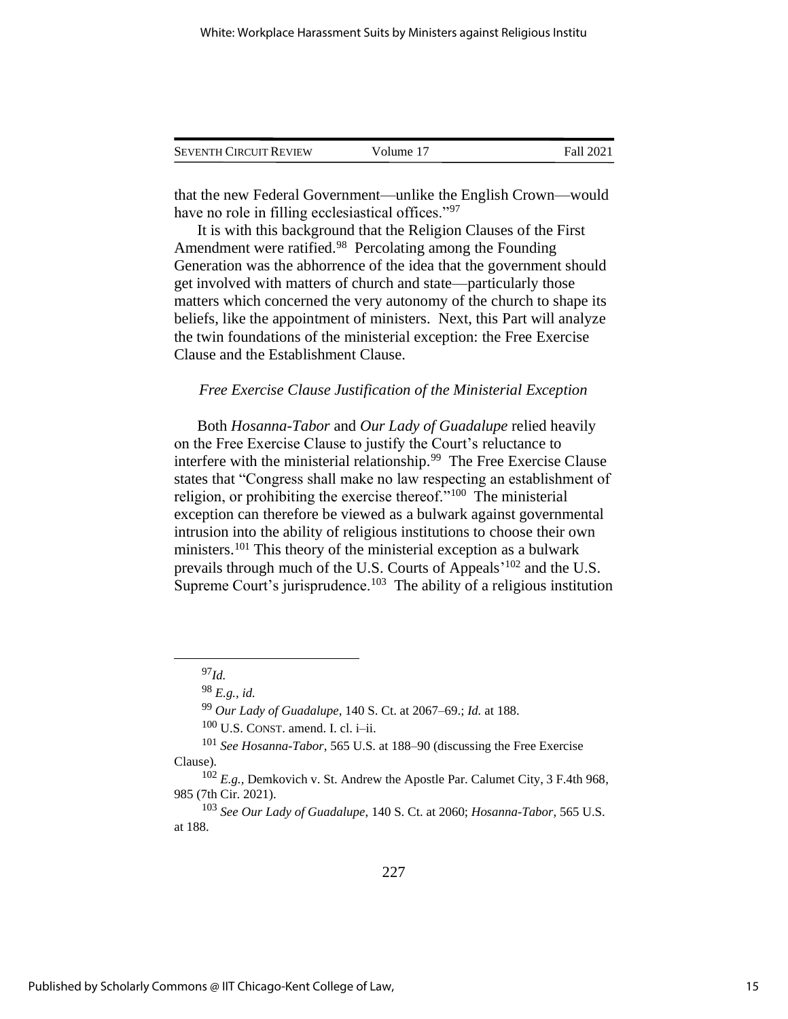| <b>SEVENTH CIRCUIT REVIEW</b> | Volume 17 | Fall 2021 |
|-------------------------------|-----------|-----------|
|                               |           |           |

that the new Federal Government—unlike the English Crown—would have no role in filling ecclesiastical offices."<sup>97</sup>

It is with this background that the Religion Clauses of the First Amendment were ratified.<sup>98</sup> Percolating among the Founding Generation was the abhorrence of the idea that the government should get involved with matters of church and state—particularly those matters which concerned the very autonomy of the church to shape its beliefs, like the appointment of ministers. Next, this Part will analyze the twin foundations of the ministerial exception: the Free Exercise Clause and the Establishment Clause.

## *Free Exercise Clause Justification of the Ministerial Exception*

Both *Hosanna-Tabor* and *Our Lady of Guadalupe* relied heavily on the Free Exercise Clause to justify the Court's reluctance to interfere with the ministerial relationship.<sup>99</sup> The Free Exercise Clause states that "Congress shall make no law respecting an establishment of religion, or prohibiting the exercise thereof."<sup>100</sup> The ministerial exception can therefore be viewed as a bulwark against governmental intrusion into the ability of religious institutions to choose their own ministers.<sup>101</sup> This theory of the ministerial exception as a bulwark prevails through much of the U.S. Courts of Appeals<sup>'102</sup> and the U.S. Supreme Court's jurisprudence.<sup>103</sup> The ability of a religious institution

<sup>97</sup>*Id.*

<sup>98</sup> *E.g., id.*

<sup>99</sup> *Our Lady of Guadalupe*, 140 S. Ct. at 2067–69.; *Id.* at 188.

 $100$  U.S. CONST. amend. I. cl. i–ii.

<sup>101</sup> *See Hosanna-Tabor*, 565 U.S. at 188–90 (discussing the Free Exercise Clause).

<sup>102</sup> *E.g.,* Demkovich v. St. Andrew the Apostle Par. Calumet City, 3 F.4th 968, 985 (7th Cir. 2021).

<sup>103</sup> *See Our Lady of Guadalupe*, 140 S. Ct. at 2060; *Hosanna-Tabor*, 565 U.S. at 188.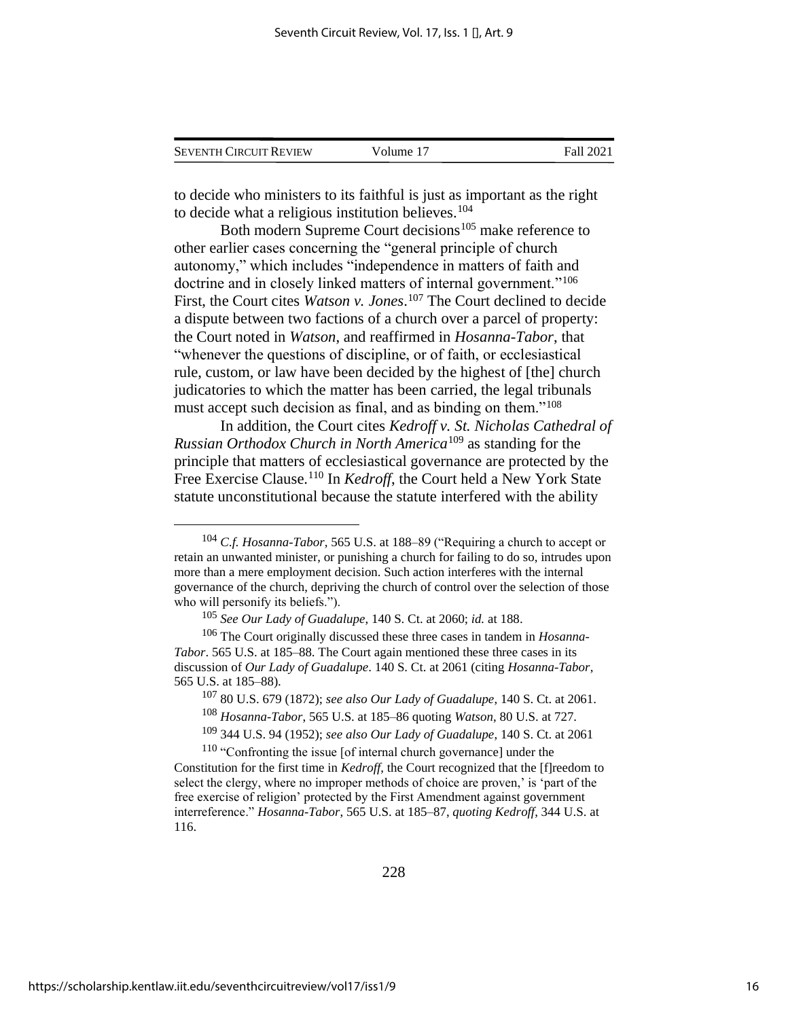| <b>SEVENTH CIRCUIT REVIEW</b> | Volume 17 | Fall 2021 |
|-------------------------------|-----------|-----------|
|                               |           |           |

to decide who ministers to its faithful is just as important as the right to decide what a religious institution believes.<sup>104</sup>

Both modern Supreme Court decisions<sup>105</sup> make reference to other earlier cases concerning the "general principle of church autonomy," which includes "independence in matters of faith and doctrine and in closely linked matters of internal government."<sup>106</sup> First, the Court cites *Watson v. Jones*. <sup>107</sup> The Court declined to decide a dispute between two factions of a church over a parcel of property: the Court noted in *Watson*, and reaffirmed in *Hosanna-Tabor*, that "whenever the questions of discipline, or of faith, or ecclesiastical rule, custom, or law have been decided by the highest of [the] church judicatories to which the matter has been carried, the legal tribunals must accept such decision as final, and as binding on them."<sup>108</sup>

In addition, the Court cites *Kedroff v. St. Nicholas Cathedral of Russian Orthodox Church in North America*<sup>109</sup> as standing for the principle that matters of ecclesiastical governance are protected by the Free Exercise Clause.<sup>110</sup> In *Kedroff*, the Court held a New York State statute unconstitutional because the statute interfered with the ability

<sup>104</sup> *C.f. Hosanna-Tabor*, 565 U.S. at 188–89 ("Requiring a church to accept or retain an unwanted minister, or punishing a church for failing to do so, intrudes upon more than a mere employment decision. Such action interferes with the internal governance of the church, depriving the church of control over the selection of those who will personify its beliefs.").

<sup>105</sup> *See Our Lady of Guadalupe*, 140 S. Ct. at 2060; *id.* at 188.

<sup>106</sup> The Court originally discussed these three cases in tandem in *Hosanna-Tabor*. 565 U.S. at 185–88. The Court again mentioned these three cases in its discussion of *Our Lady of Guadalupe*. 140 S. Ct. at 2061 (citing *Hosanna-Tabor*, 565 U.S. at 185–88).

<sup>107</sup> 80 U.S. 679 (1872); *see also Our Lady of Guadalupe*, 140 S. Ct. at 2061.

<sup>108</sup> *Hosanna-Tabor*, 565 U.S. at 185–86 quoting *Watson*, 80 U.S. at 727.

<sup>109</sup> 344 U.S. 94 (1952); *see also Our Lady of Guadalupe*, 140 S. Ct. at 2061

<sup>110</sup> "Confronting the issue [of internal church governance] under the Constitution for the first time in *Kedroff*, the Court recognized that the [f]reedom to select the clergy, where no improper methods of choice are proven,' is 'part of the free exercise of religion' protected by the First Amendment against government interreference." *Hosanna-Tabor*, 565 U.S. at 185–87, *quoting Kedroff*, 344 U.S. at 116.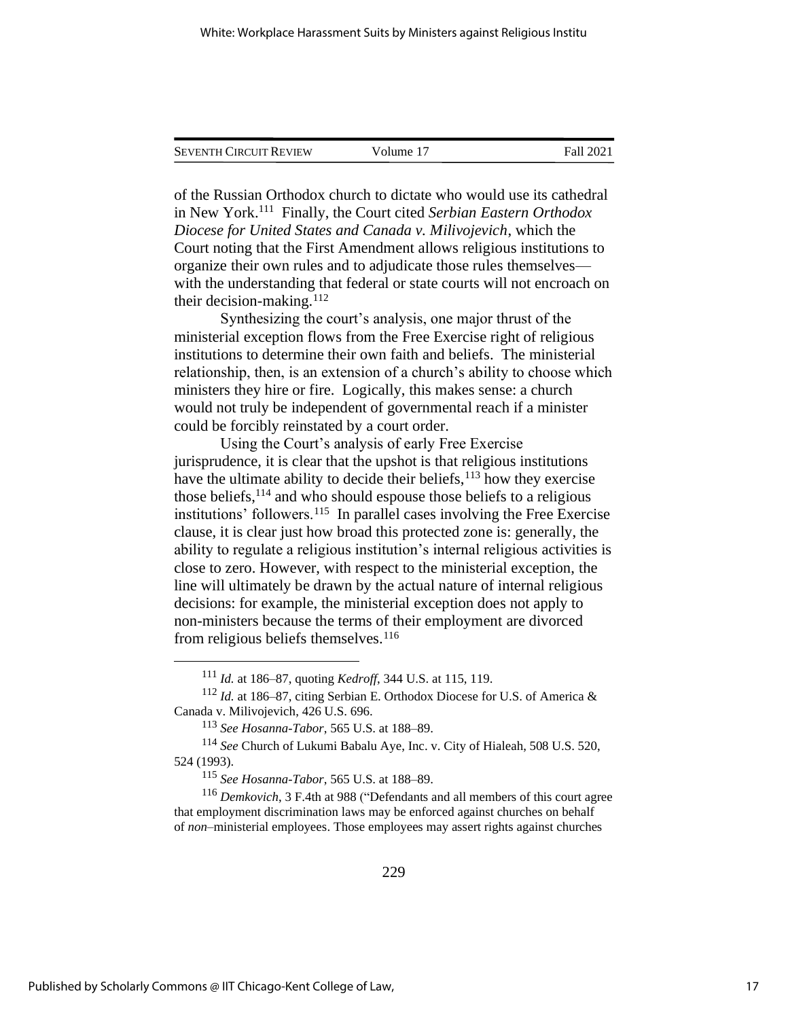| <b>SEVENTH CIRCUIT REVIEW</b> | Volume 17 | Fall 2021 |
|-------------------------------|-----------|-----------|
|                               |           |           |

of the Russian Orthodox church to dictate who would use its cathedral in New York.<sup>111</sup> Finally, the Court cited *Serbian Eastern Orthodox Diocese for United States and Canada v. Milivojevich*, which the Court noting that the First Amendment allows religious institutions to organize their own rules and to adjudicate those rules themselves with the understanding that federal or state courts will not encroach on their decision-making. $112$ 

Synthesizing the court's analysis, one major thrust of the ministerial exception flows from the Free Exercise right of religious institutions to determine their own faith and beliefs. The ministerial relationship, then, is an extension of a church's ability to choose which ministers they hire or fire. Logically, this makes sense: a church would not truly be independent of governmental reach if a minister could be forcibly reinstated by a court order.

Using the Court's analysis of early Free Exercise jurisprudence, it is clear that the upshot is that religious institutions have the ultimate ability to decide their beliefs, <sup>113</sup> how they exercise those beliefs,  $114$  and who should espouse those beliefs to a religious institutions' followers.<sup>115</sup> In parallel cases involving the Free Exercise clause, it is clear just how broad this protected zone is: generally, the ability to regulate a religious institution's internal religious activities is close to zero. However, with respect to the ministerial exception, the line will ultimately be drawn by the actual nature of internal religious decisions: for example, the ministerial exception does not apply to non-ministers because the terms of their employment are divorced from religious beliefs themselves.<sup>116</sup>

<sup>115</sup> *See Hosanna-Tabor*, 565 U.S. at 188–89.

<sup>116</sup> *Demkovich*, 3 F.4th at 988 ("Defendants and all members of this court agree that employment discrimination laws may be enforced against churches on behalf of *non*–ministerial employees. Those employees may assert rights against churches

<sup>111</sup> *Id.* at 186–87, quoting *Kedroff*, 344 U.S. at 115, 119.

<sup>112</sup> *Id.* at 186–87, citing Serbian E. Orthodox Diocese for U.S. of America & Canada v. Milivojevich, 426 U.S. 696.

<sup>113</sup> *See Hosanna-Tabor*, 565 U.S. at 188–89.

<sup>114</sup> *See* Church of Lukumi Babalu Aye, Inc. v. City of Hialeah, 508 U.S. 520, 524 (1993).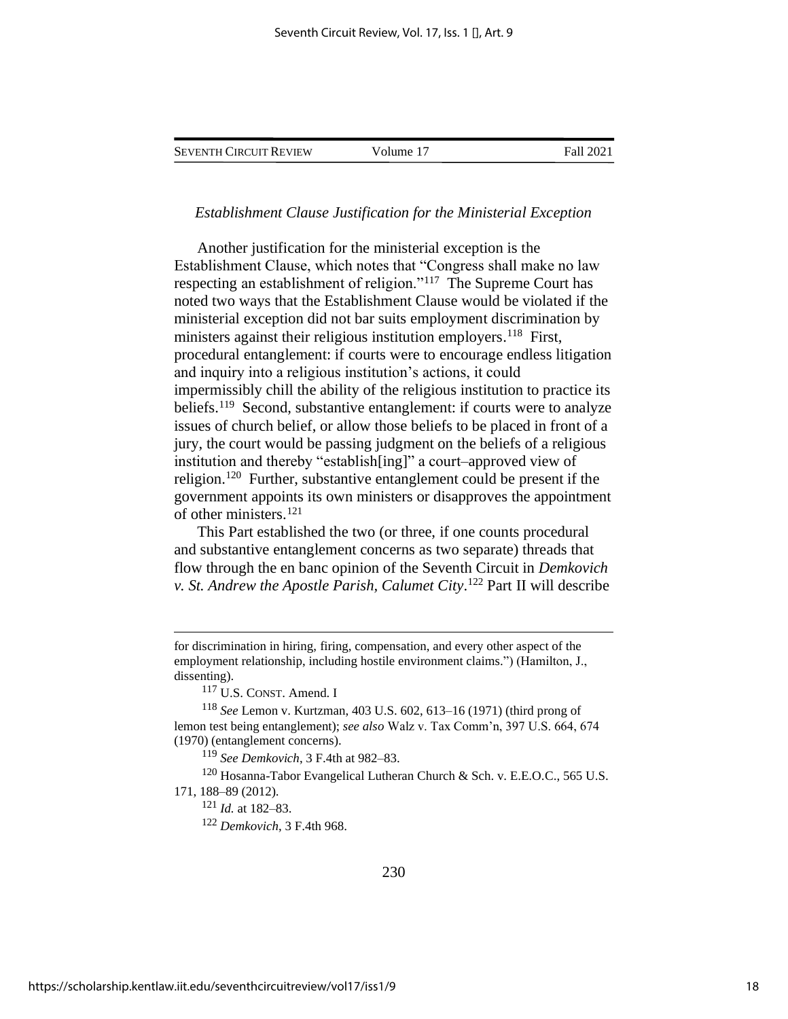SEVENTH CIRCUIT REVIEW Volume 17 Fall 2021

*Establishment Clause Justification for the Ministerial Exception*

Another justification for the ministerial exception is the Establishment Clause, which notes that "Congress shall make no law respecting an establishment of religion."<sup>117</sup> The Supreme Court has noted two ways that the Establishment Clause would be violated if the ministerial exception did not bar suits employment discrimination by ministers against their religious institution employers.<sup>118</sup> First, procedural entanglement: if courts were to encourage endless litigation and inquiry into a religious institution's actions, it could impermissibly chill the ability of the religious institution to practice its beliefs.<sup>119</sup> Second, substantive entanglement: if courts were to analyze issues of church belief, or allow those beliefs to be placed in front of a jury, the court would be passing judgment on the beliefs of a religious institution and thereby "establish[ing]" a court–approved view of religion.<sup>120</sup> Further, substantive entanglement could be present if the government appoints its own ministers or disapproves the appointment of other ministers.<sup>121</sup>

This Part established the two (or three, if one counts procedural and substantive entanglement concerns as two separate) threads that flow through the en banc opinion of the Seventh Circuit in *Demkovich v. St. Andrew the Apostle Parish, Calumet City*. <sup>122</sup> Part II will describe

for discrimination in hiring, firing, compensation, and every other aspect of the employment relationship, including hostile environment claims.") (Hamilton, J., dissenting).

<sup>117</sup> U.S. CONST. Amend. I

<sup>118</sup> *See* Lemon v. Kurtzman, 403 U.S. 602, 613–16 (1971) (third prong of lemon test being entanglement); *see also* Walz v. Tax Comm'n, 397 U.S. 664, 674 (1970) (entanglement concerns).

<sup>119</sup> *See Demkovich*, 3 F.4th at 982–83.

<sup>120</sup> Hosanna-Tabor Evangelical Lutheran Church & Sch. v. E.E.O.C., 565 U.S. 171, 188–89 (2012).

<sup>121</sup> *Id.* at 182–83.

<sup>122</sup> *Demkovich*, 3 F.4th 968.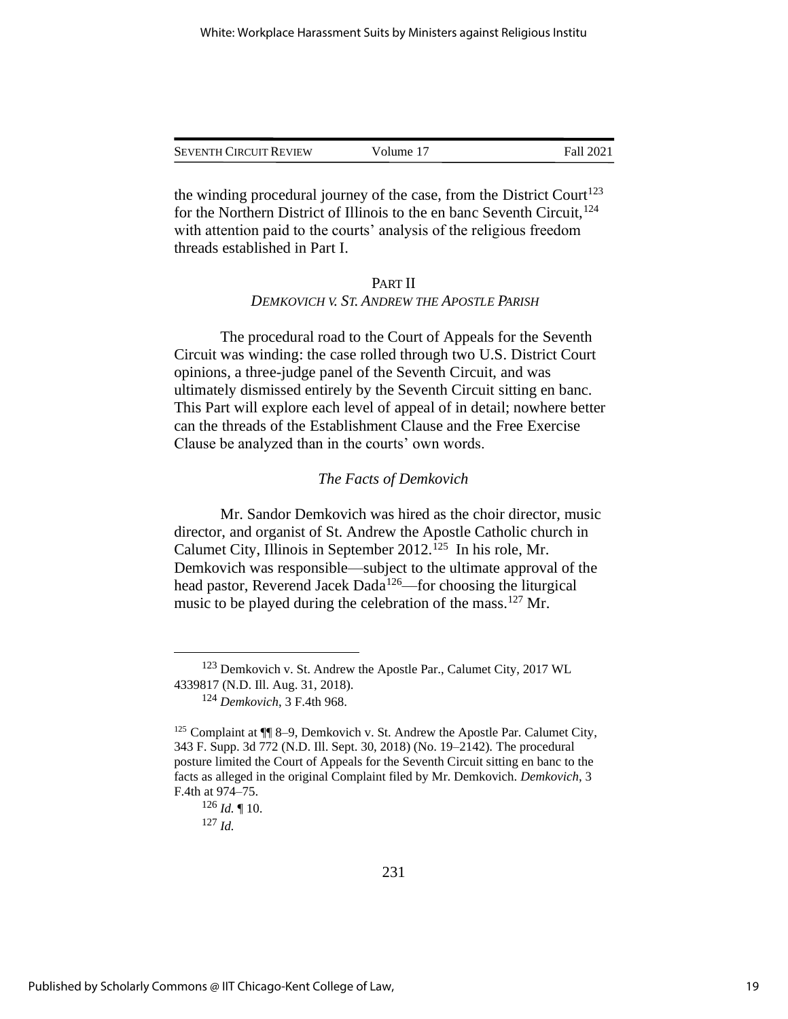| <b>SEVENTH CIRCUIT REVIEW</b> | Volume 17 | Fall 2021 |
|-------------------------------|-----------|-----------|
|                               |           |           |

the winding procedural journey of the case, from the District Court<sup>123</sup> for the Northern District of Illinois to the en banc Seventh Circuit, <sup>124</sup> with attention paid to the courts' analysis of the religious freedom threads established in Part I.

## PART II *DEMKOVICH V. ST. ANDREW THE APOSTLE PARISH*

The procedural road to the Court of Appeals for the Seventh Circuit was winding: the case rolled through two U.S. District Court opinions, a three-judge panel of the Seventh Circuit, and was ultimately dismissed entirely by the Seventh Circuit sitting en banc. This Part will explore each level of appeal of in detail; nowhere better can the threads of the Establishment Clause and the Free Exercise Clause be analyzed than in the courts' own words.

### *The Facts of Demkovich*

Mr. Sandor Demkovich was hired as the choir director, music director, and organist of St. Andrew the Apostle Catholic church in Calumet City, Illinois in September 2012.<sup>125</sup> In his role, Mr. Demkovich was responsible—subject to the ultimate approval of the head pastor, Reverend Jacek Dada<sup>126</sup>—for choosing the liturgical music to be played during the celebration of the mass.<sup>127</sup> Mr.

<sup>123</sup> Demkovich v. St. Andrew the Apostle Par., Calumet City, 2017 WL 4339817 (N.D. Ill. Aug. 31, 2018).

<sup>124</sup> *Demkovich*, 3 F.4th 968.

<sup>&</sup>lt;sup>125</sup> Complaint at  $\P$  8–9, Demkovich v. St. Andrew the Apostle Par. Calumet City, 343 F. Supp. 3d 772 (N.D. Ill. Sept. 30, 2018) (No. 19–2142). The procedural posture limited the Court of Appeals for the Seventh Circuit sitting en banc to the facts as alleged in the original Complaint filed by Mr. Demkovich. *Demkovich*, 3 F.4th at 974–75.

<sup>126</sup> *Id.* ¶ 10.

<sup>127</sup> *Id.*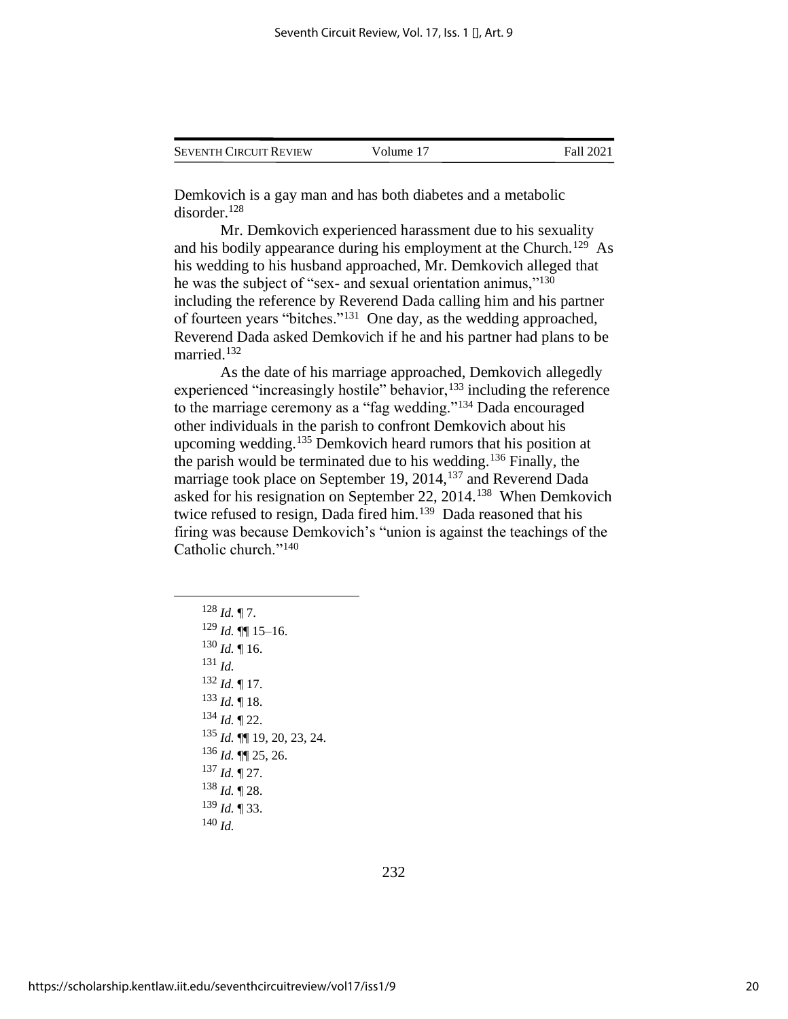| <b>SEVENTH CIRCUIT REVIEW</b> | Volume 17 | Fall 2021 |
|-------------------------------|-----------|-----------|
|                               |           |           |

Demkovich is a gay man and has both diabetes and a metabolic disorder.<sup>128</sup>

Mr. Demkovich experienced harassment due to his sexuality and his bodily appearance during his employment at the Church.<sup>129</sup> As his wedding to his husband approached, Mr. Demkovich alleged that he was the subject of "sex- and sexual orientation animus,"<sup>130</sup> including the reference by Reverend Dada calling him and his partner of fourteen years "bitches."<sup>131</sup> One day, as the wedding approached, Reverend Dada asked Demkovich if he and his partner had plans to be married.<sup>132</sup>

As the date of his marriage approached, Demkovich allegedly experienced "increasingly hostile" behavior,<sup>133</sup> including the reference to the marriage ceremony as a "fag wedding."<sup>134</sup> Dada encouraged other individuals in the parish to confront Demkovich about his upcoming wedding.<sup>135</sup> Demkovich heard rumors that his position at the parish would be terminated due to his wedding.<sup>136</sup> Finally, the marriage took place on September 19, 2014,<sup>137</sup> and Reverend Dada asked for his resignation on September 22, 2014.<sup>138</sup> When Demkovich twice refused to resign, Dada fired him.<sup>139</sup> Dada reasoned that his firing was because Demkovich's "union is against the teachings of the Catholic church."<sup>140</sup>

 $128$  *Id.* 17. *Id.* ¶¶ 15–16.  $130$  *Id.* 16. <sup>131</sup> *Id. Id.* ¶ 17. *Id.* ¶ 18. *Id.* ¶ 22. *Id.* ¶¶ 19, 20, 23, 24. *Id.* ¶¶ 25, 26. *Id.* ¶ 27. *Id.* ¶ 28. *Id.* ¶ 33. <sup>140</sup> *Id.*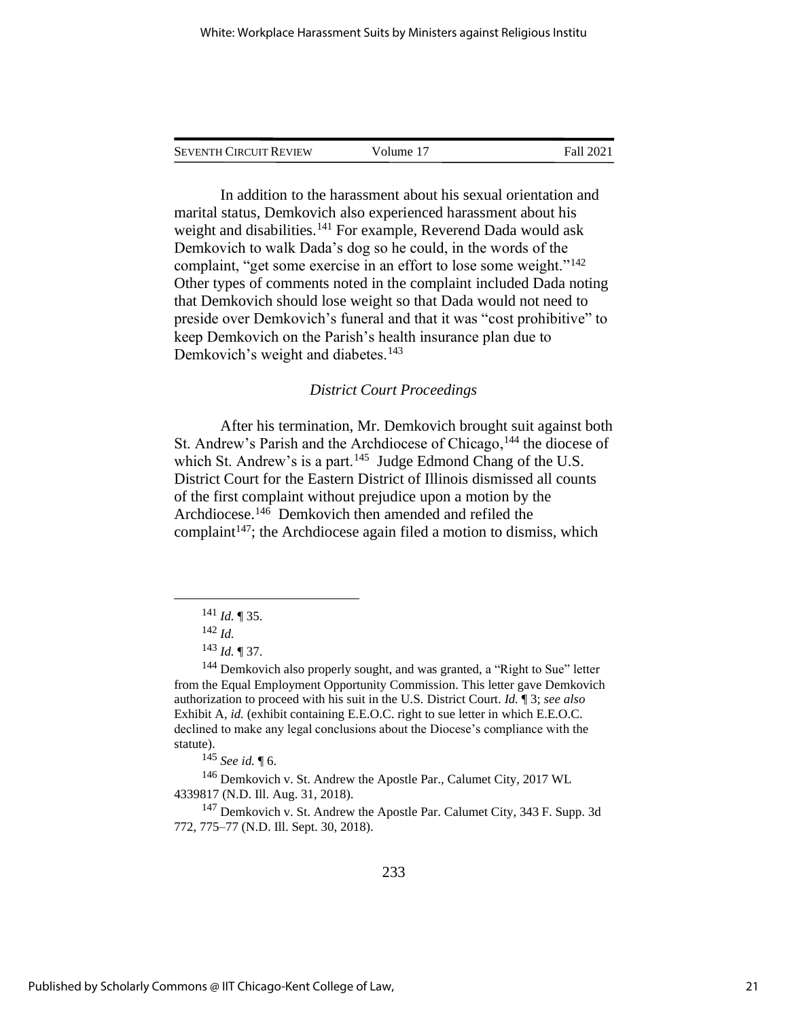| <b>SEVENTH CIRCUIT REVIEW</b> | Volume 17 | Fall 2021 |
|-------------------------------|-----------|-----------|
|                               |           |           |

In addition to the harassment about his sexual orientation and marital status, Demkovich also experienced harassment about his weight and disabilities.<sup>141</sup> For example, Reverend Dada would ask Demkovich to walk Dada's dog so he could, in the words of the complaint, "get some exercise in an effort to lose some weight."<sup>142</sup> Other types of comments noted in the complaint included Dada noting that Demkovich should lose weight so that Dada would not need to preside over Demkovich's funeral and that it was "cost prohibitive" to keep Demkovich on the Parish's health insurance plan due to Demkovich's weight and diabetes.<sup>143</sup>

## *District Court Proceedings*

After his termination, Mr. Demkovich brought suit against both St. Andrew's Parish and the Archdiocese of Chicago, <sup>144</sup> the diocese of which St. Andrew's is a part.<sup>145</sup> Judge Edmond Chang of the U.S. District Court for the Eastern District of Illinois dismissed all counts of the first complaint without prejudice upon a motion by the Archdiocese. 146 Demkovich then amended and refiled the complaint<sup>147</sup>; the Archdiocese again filed a motion to dismiss, which

<sup>145</sup> *See id.* ¶ 6.

<sup>146</sup> Demkovich v. St. Andrew the Apostle Par., Calumet City, 2017 WL 4339817 (N.D. Ill. Aug. 31, 2018).

<sup>147</sup> Demkovich v. St. Andrew the Apostle Par. Calumet City, 343 F. Supp. 3d 772, 775–77 (N.D. Ill. Sept. 30, 2018).

<sup>141</sup> *Id.* ¶ 35.

<sup>142</sup> *Id.*

<sup>143</sup> *Id.* ¶ 37.

<sup>&</sup>lt;sup>144</sup> Demkovich also properly sought, and was granted, a "Right to Sue" letter from the Equal Employment Opportunity Commission. This letter gave Demkovich authorization to proceed with his suit in the U.S. District Court. *Id.* ¶ 3; *see also*  Exhibit A, *id.* (exhibit containing E.E.O.C. right to sue letter in which E.E.O.C. declined to make any legal conclusions about the Diocese's compliance with the statute).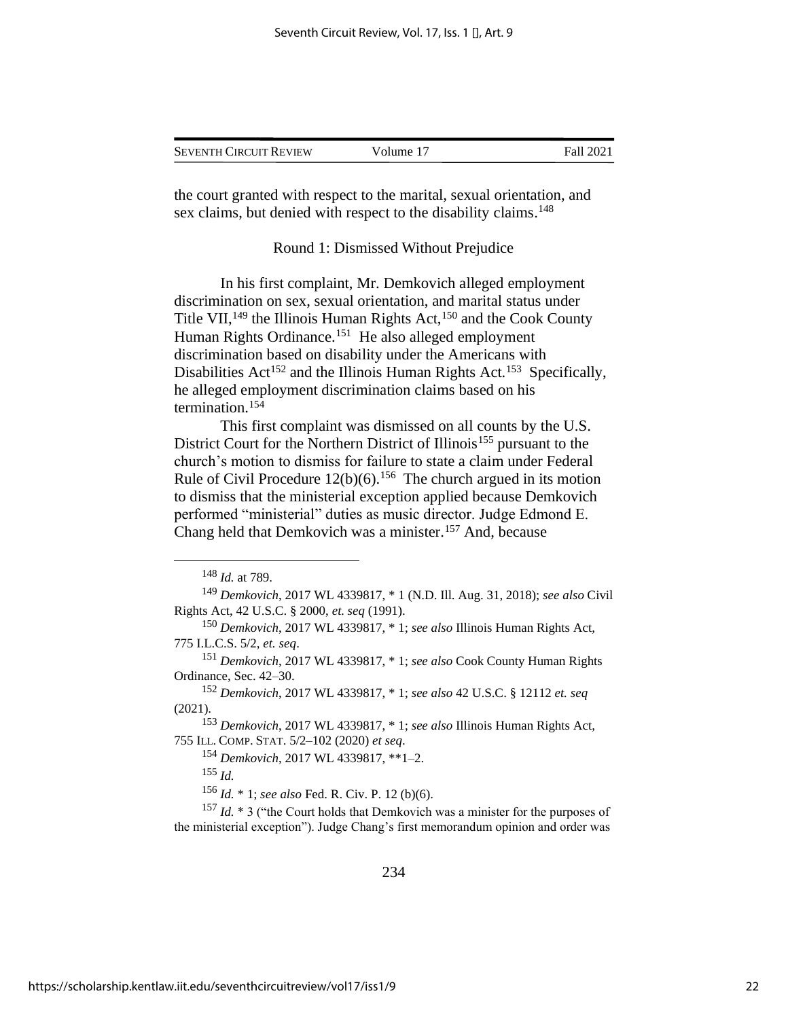| <b>SEVENTH CIRCUIT REVIEW</b> | Volume 17 | Fall 2021 |
|-------------------------------|-----------|-----------|
|                               |           |           |

the court granted with respect to the marital, sexual orientation, and sex claims, but denied with respect to the disability claims.<sup>148</sup>

#### Round 1: Dismissed Without Prejudice

In his first complaint, Mr. Demkovich alleged employment discrimination on sex, sexual orientation, and marital status under Title VII,  $^{149}$  the Illinois Human Rights Act,  $^{150}$  and the Cook County Human Rights Ordinance.<sup>151</sup> He also alleged employment discrimination based on disability under the Americans with Disabilities Act<sup>152</sup> and the Illinois Human Rights Act.<sup>153</sup> Specifically, he alleged employment discrimination claims based on his termination.<sup>154</sup>

This first complaint was dismissed on all counts by the U.S. District Court for the Northern District of Illinois<sup>155</sup> pursuant to the church's motion to dismiss for failure to state a claim under Federal Rule of Civil Procedure  $12(b)(6)$ .<sup>156</sup> The church argued in its motion to dismiss that the ministerial exception applied because Demkovich performed "ministerial" duties as music director. Judge Edmond E. Chang held that Demkovich was a minister.<sup>157</sup> And, because

<sup>155</sup> *Id.*

<sup>156</sup> *Id.* \* 1; *see also* Fed. R. Civ. P. 12 (b)(6).

<sup>148</sup> *Id.* at 789.

<sup>149</sup> *Demkovich*, 2017 WL 4339817, \* 1 (N.D. Ill. Aug. 31, 2018); *see also* Civil Rights Act, 42 U.S.C. § 2000, *et. seq* (1991).

<sup>150</sup> *Demkovich*, 2017 WL 4339817, \* 1; *see also* Illinois Human Rights Act, 775 I.L.C.S. 5/2, *et. seq*.

<sup>151</sup> *Demkovich*, 2017 WL 4339817, \* 1; *see also* Cook County Human Rights Ordinance, Sec. 42–30.

<sup>152</sup> *Demkovich*, 2017 WL 4339817, \* 1; *see also* 42 U.S.C. § 12112 *et. seq*  (2021).

<sup>153</sup> *Demkovich*, 2017 WL 4339817, \* 1; *see also* Illinois Human Rights Act, 755 ILL. COMP.STAT. 5/2–102 (2020) *et seq*.

<sup>154</sup> *Demkovich*, 2017 WL 4339817, \*\*1–2.

<sup>&</sup>lt;sup>157</sup> *Id.* \* 3 ("the Court holds that Demkovich was a minister for the purposes of the ministerial exception"). Judge Chang's first memorandum opinion and order was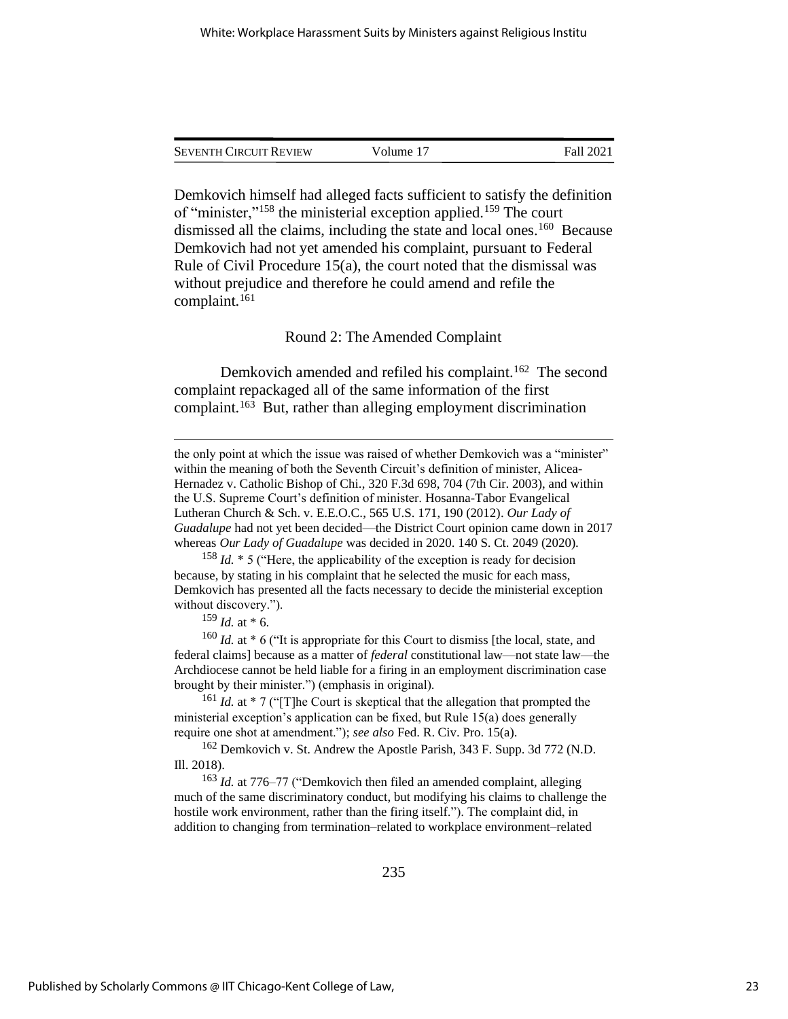| <b>SEVENTH CIRCUIT REVIEW</b> | Volume 17 | Fall 2021 |
|-------------------------------|-----------|-----------|
|                               |           |           |

Demkovich himself had alleged facts sufficient to satisfy the definition of "minister,"<sup>158</sup> the ministerial exception applied.<sup>159</sup> The court dismissed all the claims, including the state and local ones.<sup>160</sup> Because Demkovich had not yet amended his complaint, pursuant to Federal Rule of Civil Procedure 15(a), the court noted that the dismissal was without prejudice and therefore he could amend and refile the complaint.<sup>161</sup>

#### Round 2: The Amended Complaint

Demkovich amended and refiled his complaint.<sup>162</sup> The second complaint repackaged all of the same information of the first complaint.<sup>163</sup> But, rather than alleging employment discrimination

the only point at which the issue was raised of whether Demkovich was a "minister" within the meaning of both the Seventh Circuit's definition of minister, Alicea-Hernadez v. Catholic Bishop of Chi., 320 F.3d 698, 704 (7th Cir. 2003), and within the U.S. Supreme Court's definition of minister. Hosanna-Tabor Evangelical Lutheran Church & Sch. v. E.E.O.C., 565 U.S. 171, 190 (2012). *Our Lady of Guadalupe* had not yet been decided—the District Court opinion came down in 2017 whereas *Our Lady of Guadalupe* was decided in 2020. 140 S. Ct. 2049 (2020).

<sup>158</sup> *Id.* \* 5 ("Here, the applicability of the exception is ready for decision because, by stating in his complaint that he selected the music for each mass, Demkovich has presented all the facts necessary to decide the ministerial exception without discovery.").

<sup>159</sup> *Id.* at \* 6.

<sup>160</sup> *Id.* at \* 6 ("It is appropriate for this Court to dismiss [the local, state, and federal claims] because as a matter of *federal* constitutional law—not state law—the Archdiocese cannot be held liable for a firing in an employment discrimination case brought by their minister.") (emphasis in original).

<sup>161</sup> *Id.* at \* 7 ("The Court is skeptical that the allegation that prompted the ministerial exception's application can be fixed, but Rule 15(a) does generally require one shot at amendment."); *see also* Fed. R. Civ. Pro. 15(a).

<sup>162</sup> Demkovich v. St. Andrew the Apostle Parish, 343 F. Supp. 3d 772 (N.D. Ill. 2018).

<sup>163</sup> *Id.* at 776–77 ("Demkovich then filed an amended complaint, alleging much of the same discriminatory conduct, but modifying his claims to challenge the hostile work environment, rather than the firing itself."). The complaint did, in addition to changing from termination–related to workplace environment–related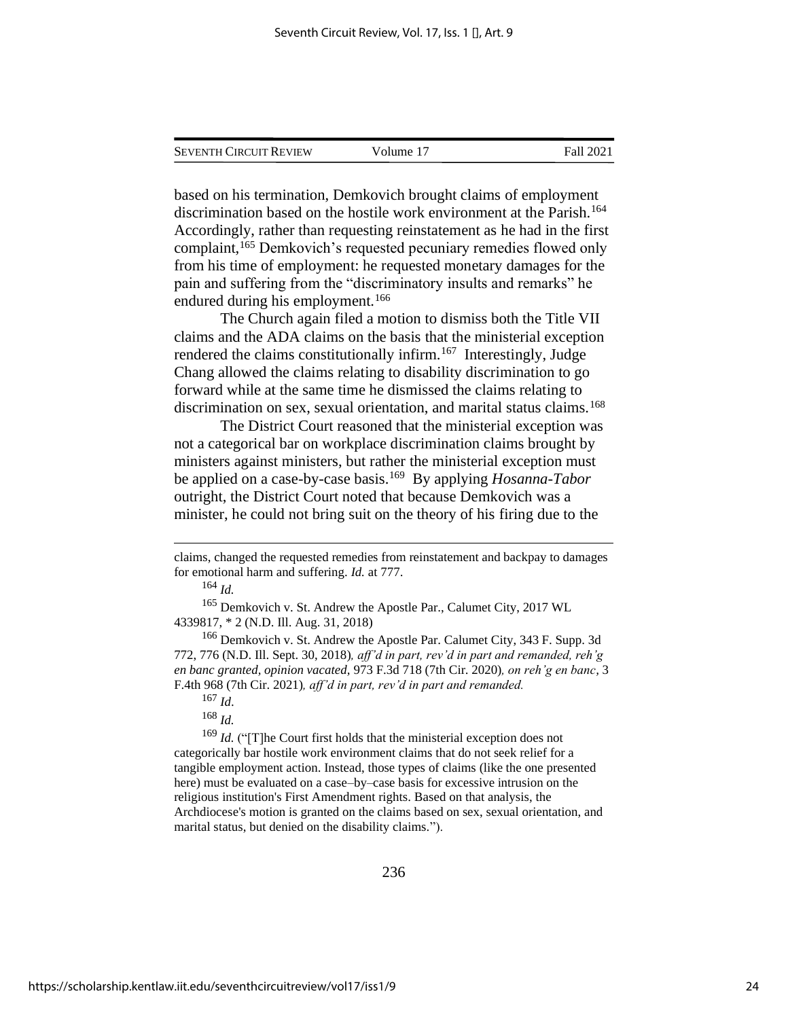| <b>SEVENTH CIRCUIT REVIEW</b> | Volume 17 | Fall 2021 |
|-------------------------------|-----------|-----------|
|                               |           |           |

based on his termination, Demkovich brought claims of employment discrimination based on the hostile work environment at the Parish.<sup>164</sup> Accordingly, rather than requesting reinstatement as he had in the first complaint,<sup>165</sup> Demkovich's requested pecuniary remedies flowed only from his time of employment: he requested monetary damages for the pain and suffering from the "discriminatory insults and remarks" he endured during his employment.<sup>166</sup>

The Church again filed a motion to dismiss both the Title VII claims and the ADA claims on the basis that the ministerial exception rendered the claims constitutionally infirm.<sup>167</sup> Interestingly, Judge Chang allowed the claims relating to disability discrimination to go forward while at the same time he dismissed the claims relating to discrimination on sex, sexual orientation, and marital status claims.<sup>168</sup>

The District Court reasoned that the ministerial exception was not a categorical bar on workplace discrimination claims brought by ministers against ministers, but rather the ministerial exception must be applied on a case-by-case basis.<sup>169</sup> By applying *Hosanna-Tabor* outright, the District Court noted that because Demkovich was a minister, he could not bring suit on the theory of his firing due to the

<sup>168</sup> *Id.*

<sup>169</sup> *Id.* ("[T]he Court first holds that the ministerial exception does not categorically bar hostile work environment claims that do not seek relief for a tangible employment action. Instead, those types of claims (like the one presented here) must be evaluated on a case–by–case basis for excessive intrusion on the religious institution's First Amendment rights. Based on that analysis, the Archdiocese's motion is granted on the claims based on sex, sexual orientation, and marital status, but denied on the disability claims.").

claims, changed the requested remedies from reinstatement and backpay to damages for emotional harm and suffering. *Id.* at 777.

<sup>164</sup> *Id.* 

<sup>165</sup> Demkovich v. St. Andrew the Apostle Par., Calumet City, 2017 WL 4339817, \* 2 (N.D. Ill. Aug. 31, 2018)

<sup>166</sup> Demkovich v. St. Andrew the Apostle Par. Calumet City, 343 F. Supp. 3d 772, 776 (N.D. Ill. Sept. 30, 2018)*, aff'd in part, rev'd in part and remanded, reh'g en banc granted, opinion vacated,* 973 F.3d 718 (7th Cir. 2020)*, on reh'g en banc,* 3 F.4th 968 (7th Cir. 2021)*, aff'd in part, rev'd in part and remanded.* 

<sup>167</sup> *Id*.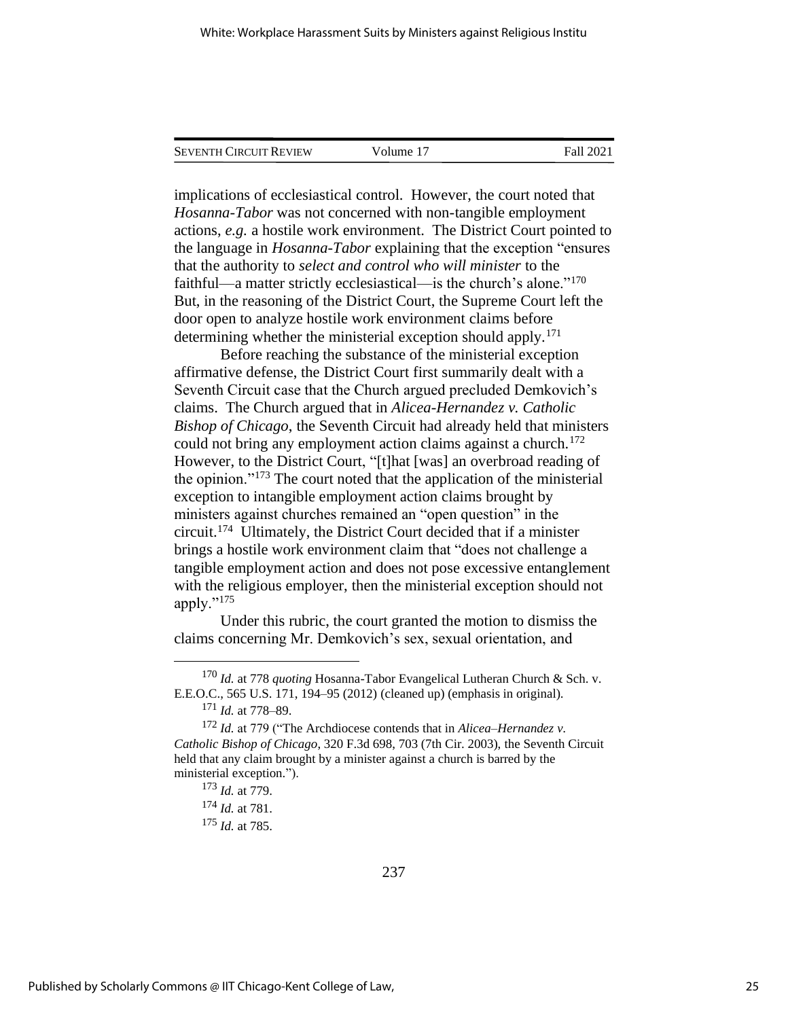| <b>SEVENTH CIRCUIT REVIEW</b> | Volume 17 | Fall 2021 |
|-------------------------------|-----------|-----------|
|                               |           |           |

implications of ecclesiastical control. However, the court noted that *Hosanna-Tabor* was not concerned with non-tangible employment actions, *e.g.* a hostile work environment. The District Court pointed to the language in *Hosanna-Tabor* explaining that the exception "ensures that the authority to *select and control who will minister* to the faithful—a matter strictly ecclesiastical—is the church's alone."<sup>170</sup> But, in the reasoning of the District Court, the Supreme Court left the door open to analyze hostile work environment claims before determining whether the ministerial exception should apply.<sup>171</sup>

Before reaching the substance of the ministerial exception affirmative defense, the District Court first summarily dealt with a Seventh Circuit case that the Church argued precluded Demkovich's claims. The Church argued that in *Alicea-Hernandez v. Catholic Bishop of Chicago*, the Seventh Circuit had already held that ministers could not bring any employment action claims against a church.<sup>172</sup> However, to the District Court, "[t]hat [was] an overbroad reading of the opinion."<sup>173</sup> The court noted that the application of the ministerial exception to intangible employment action claims brought by ministers against churches remained an "open question" in the circuit.<sup>174</sup> Ultimately, the District Court decided that if a minister brings a hostile work environment claim that "does not challenge a tangible employment action and does not pose excessive entanglement with the religious employer, then the ministerial exception should not apply."<sup>175</sup>

Under this rubric, the court granted the motion to dismiss the claims concerning Mr. Demkovich's sex, sexual orientation, and

<sup>174</sup> *Id.* at 781.

<sup>170</sup> *Id.* at 778 *quoting* Hosanna-Tabor Evangelical Lutheran Church & Sch. v. E.E.O.C., 565 U.S. 171, 194–95 (2012) (cleaned up) (emphasis in original).

<sup>171</sup> *Id.* at 778–89.

<sup>172</sup> *Id.* at 779 ("The Archdiocese contends that in *Alicea–Hernandez v. Catholic Bishop of Chicago*, 320 F.3d 698, 703 (7th Cir. 2003), the Seventh Circuit held that any claim brought by a minister against a church is barred by the ministerial exception.").

<sup>173</sup> *Id.* at 779.

<sup>175</sup> *Id.* at 785.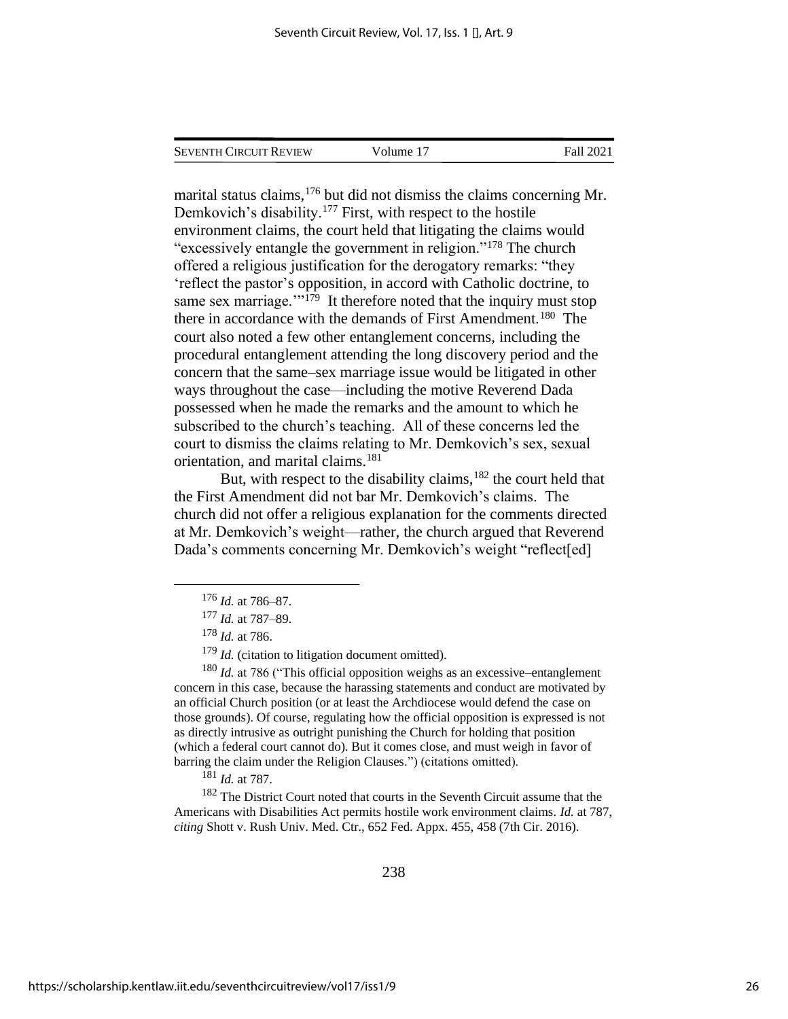| <b>SEVENTH CIRCUIT REVIEW</b> | Volume 17 | Fall 2021 |
|-------------------------------|-----------|-----------|
|                               |           |           |

marital status claims, <sup>176</sup> but did not dismiss the claims concerning Mr. Demkovich's disability.<sup>177</sup> First, with respect to the hostile environment claims, the court held that litigating the claims would "excessively entangle the government in religion."<sup>178</sup> The church offered a religious justification for the derogatory remarks: "they 'reflect the pastor's opposition, in accord with Catholic doctrine, to same sex marriage."<sup>179</sup> It therefore noted that the inquiry must stop there in accordance with the demands of First Amendment.<sup>180</sup> The court also noted a few other entanglement concerns, including the procedural entanglement attending the long discovery period and the concern that the same–sex marriage issue would be litigated in other ways throughout the case—including the motive Reverend Dada possessed when he made the remarks and the amount to which he subscribed to the church's teaching. All of these concerns led the court to dismiss the claims relating to Mr. Demkovich's sex, sexual orientation, and marital claims.<sup>181</sup>

But, with respect to the disability claims,<sup>182</sup> the court held that the First Amendment did not bar Mr. Demkovich's claims. The church did not offer a religious explanation for the comments directed at Mr. Demkovich's weight—rather, the church argued that Reverend Dada's comments concerning Mr. Demkovich's weight "reflect[ed]

<sup>179</sup> *Id.* (citation to litigation document omitted).

<sup>180</sup> *Id.* at 786 ("This official opposition weighs as an excessive–entanglement concern in this case, because the harassing statements and conduct are motivated by an official Church position (or at least the Archdiocese would defend the case on those grounds). Of course, regulating how the official opposition is expressed is not as directly intrusive as outright punishing the Church for holding that position (which a federal court cannot do). But it comes close, and must weigh in favor of barring the claim under the Religion Clauses.") (citations omitted).

<sup>181</sup> *Id.* at 787.

<sup>182</sup> The District Court noted that courts in the Seventh Circuit assume that the Americans with Disabilities Act permits hostile work environment claims. *Id.* at 787, *citing* Shott v. Rush Univ. Med. Ctr., 652 Fed. Appx. 455, 458 (7th Cir. 2016).

<sup>176</sup> *Id.* at 786–87.

<sup>177</sup> *Id.* at 787–89.

<sup>178</sup> *Id.* at 786.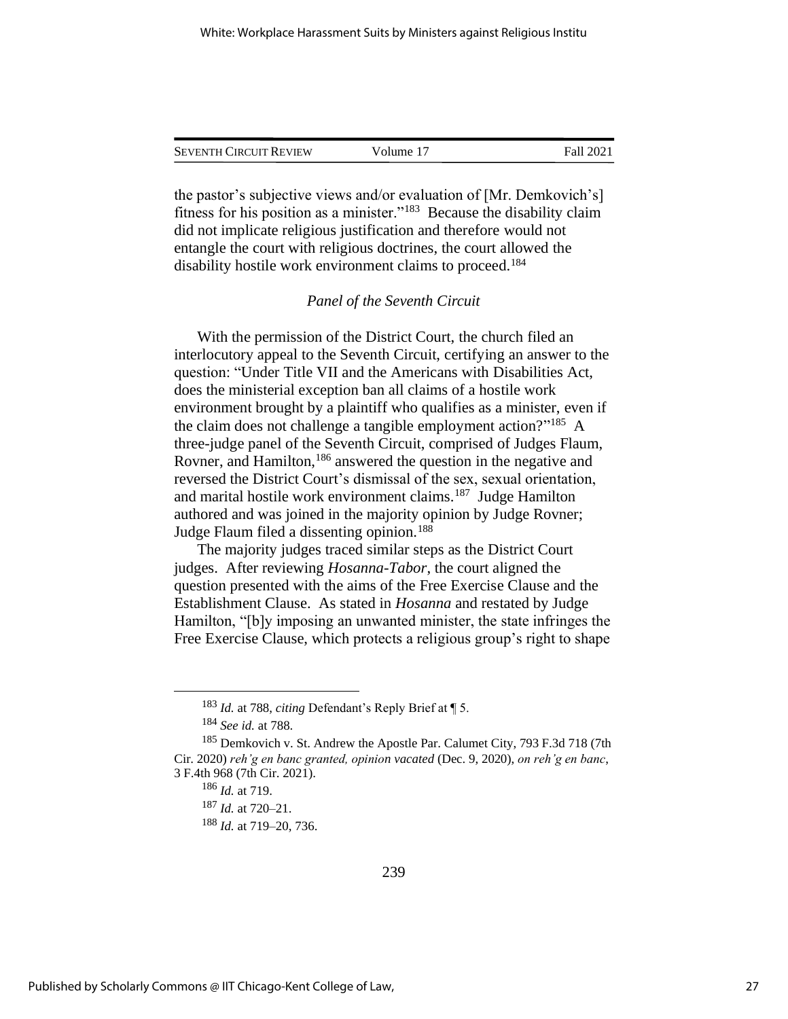| <b>SEVENTH CIRCUIT REVIEW</b> | Volume 17 | Fall 2021 |
|-------------------------------|-----------|-----------|
|                               |           |           |

the pastor's subjective views and/or evaluation of [Mr. Demkovich's] fitness for his position as a minister."<sup>183</sup> Because the disability claim did not implicate religious justification and therefore would not entangle the court with religious doctrines, the court allowed the disability hostile work environment claims to proceed.<sup>184</sup>

## *Panel of the Seventh Circuit*

With the permission of the District Court, the church filed an interlocutory appeal to the Seventh Circuit, certifying an answer to the question: "Under Title VII and the Americans with Disabilities Act, does the ministerial exception ban all claims of a hostile work environment brought by a plaintiff who qualifies as a minister, even if the claim does not challenge a tangible employment action?"<sup>185</sup> A three-judge panel of the Seventh Circuit, comprised of Judges Flaum, Rovner, and Hamilton,<sup>186</sup> answered the question in the negative and reversed the District Court's dismissal of the sex, sexual orientation, and marital hostile work environment claims.<sup>187</sup> Judge Hamilton authored and was joined in the majority opinion by Judge Rovner; Judge Flaum filed a dissenting opinion.<sup>188</sup>

The majority judges traced similar steps as the District Court judges. After reviewing *Hosanna-Tabor*, the court aligned the question presented with the aims of the Free Exercise Clause and the Establishment Clause. As stated in *Hosanna* and restated by Judge Hamilton, "[b]y imposing an unwanted minister, the state infringes the Free Exercise Clause, which protects a religious group's right to shape

<sup>188</sup> *Id.* at 719–20, 736.

<sup>183</sup> *Id.* at 788, *citing* Defendant's Reply Brief at ¶ 5.

<sup>184</sup> *See id.* at 788.

<sup>185</sup> Demkovich v. St. Andrew the Apostle Par. Calumet City, 793 F.3d 718 (7th Cir. 2020) *reh'g en banc granted, opinion vacated* (Dec. 9, 2020), *on reh'g en banc*, 3 F.4th 968 (7th Cir. 2021).

<sup>186</sup> *Id.* at 719.

<sup>187</sup> *Id.* at 720–21.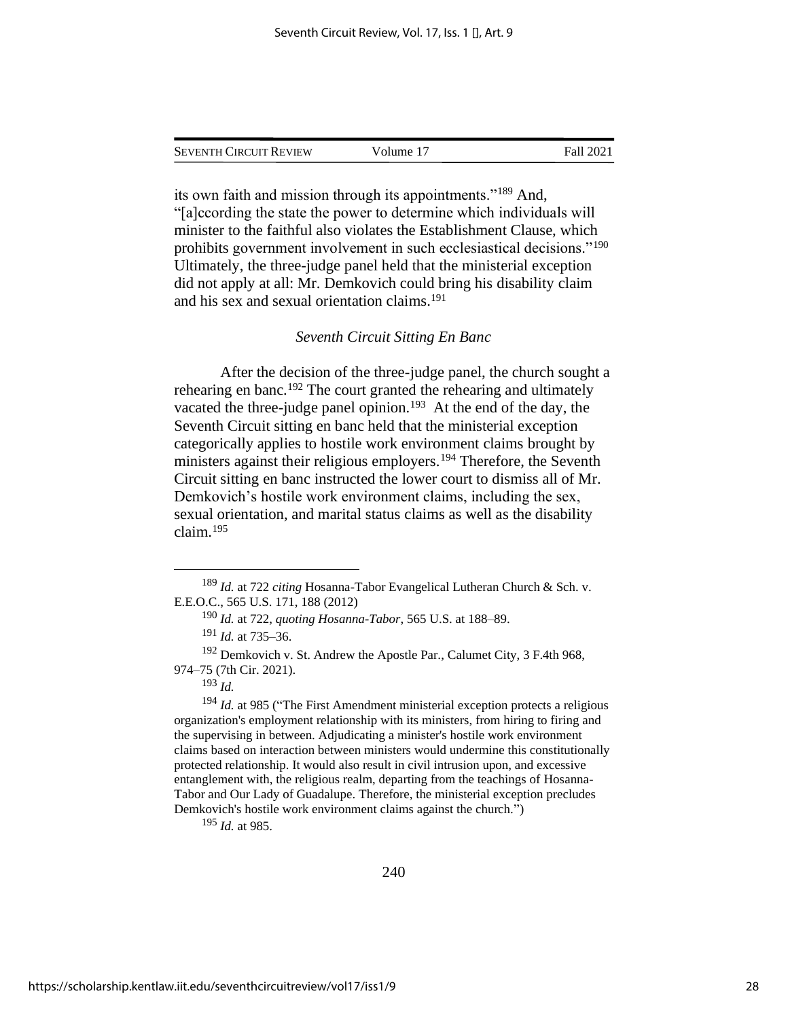SEVENTH CIRCUIT REVIEW Volume 17 Fall 2021

its own faith and mission through its appointments."<sup>189</sup> And, "[a]ccording the state the power to determine which individuals will minister to the faithful also violates the Establishment Clause, which prohibits government involvement in such ecclesiastical decisions."<sup>190</sup> Ultimately, the three-judge panel held that the ministerial exception did not apply at all: Mr. Demkovich could bring his disability claim and his sex and sexual orientation claims.<sup>191</sup>

#### *Seventh Circuit Sitting En Banc*

After the decision of the three-judge panel, the church sought a rehearing en banc.<sup>192</sup> The court granted the rehearing and ultimately vacated the three-judge panel opinion.<sup>193</sup> At the end of the day, the Seventh Circuit sitting en banc held that the ministerial exception categorically applies to hostile work environment claims brought by ministers against their religious employers.<sup>194</sup> Therefore, the Seventh Circuit sitting en banc instructed the lower court to dismiss all of Mr. Demkovich's hostile work environment claims, including the sex, sexual orientation, and marital status claims as well as the disability claim.<sup>195</sup>

<sup>195</sup> *Id.* at 985.

<sup>189</sup> *Id.* at 722 *citing* Hosanna-Tabor Evangelical Lutheran Church & Sch. v. E.E.O.C., 565 U.S. 171, 188 (2012)

<sup>190</sup> *Id.* at 722, *quoting Hosanna-Tabor*, 565 U.S. at 188–89.

<sup>191</sup> *Id.* at 735–36.

<sup>&</sup>lt;sup>192</sup> Demkovich v. St. Andrew the Apostle Par., Calumet City, 3 F.4th 968, 974–75 (7th Cir. 2021).

<sup>193</sup> *Id.*

<sup>&</sup>lt;sup>194</sup> *Id.* at 985 ("The First Amendment ministerial exception protects a religious organization's employment relationship with its ministers, from hiring to firing and the supervising in between. Adjudicating a minister's hostile work environment claims based on interaction between ministers would undermine this constitutionally protected relationship. It would also result in civil intrusion upon, and excessive entanglement with, the religious realm, departing from the teachings of Hosanna-Tabor and Our Lady of Guadalupe. Therefore, the ministerial exception precludes Demkovich's hostile work environment claims against the church.")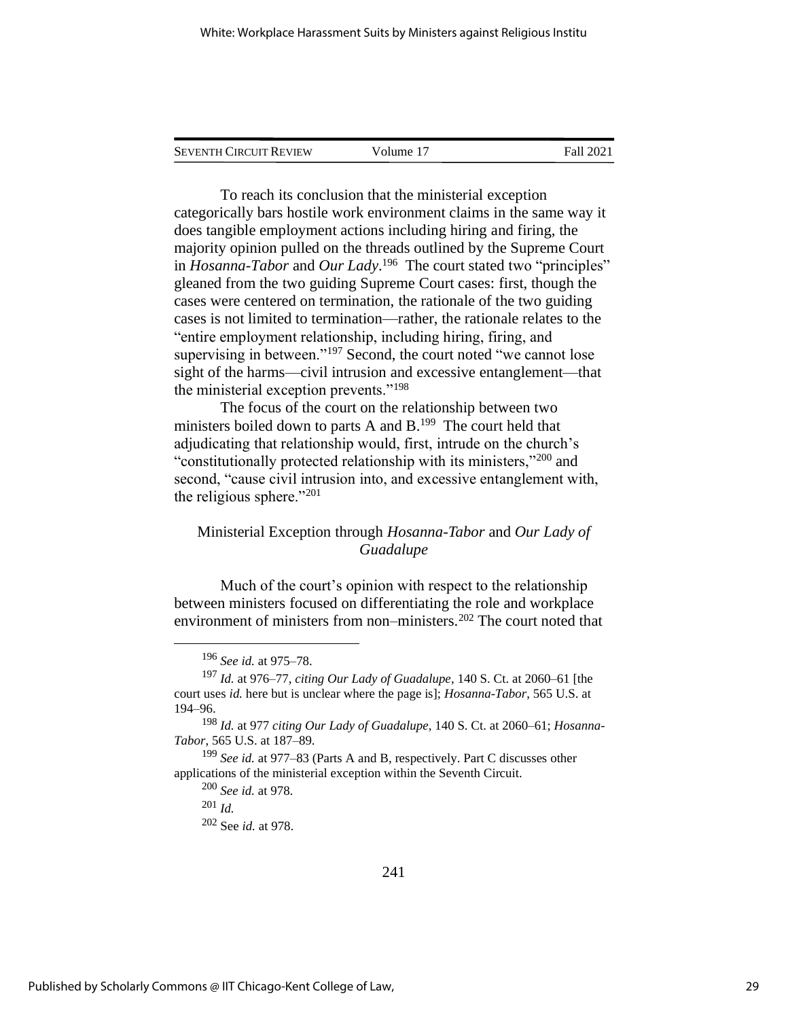| <b>SEVENTH CIRCUIT REVIEW</b> | Volume 17 | Fall 2021 |
|-------------------------------|-----------|-----------|
|                               |           |           |

To reach its conclusion that the ministerial exception categorically bars hostile work environment claims in the same way it does tangible employment actions including hiring and firing, the majority opinion pulled on the threads outlined by the Supreme Court in *Hosanna-Tabor* and *Our Lady*. 196 The court stated two "principles" gleaned from the two guiding Supreme Court cases: first, though the cases were centered on termination, the rationale of the two guiding cases is not limited to termination—rather, the rationale relates to the "entire employment relationship, including hiring, firing, and supervising in between."<sup>197</sup> Second, the court noted "we cannot lose sight of the harms—civil intrusion and excessive entanglement—that the ministerial exception prevents."<sup>198</sup>

The focus of the court on the relationship between two ministers boiled down to parts A and  $B<sup>199</sup>$ . The court held that adjudicating that relationship would, first, intrude on the church's "constitutionally protected relationship with its ministers,"<sup>200</sup> and second, "cause civil intrusion into, and excessive entanglement with, the religious sphere."<sup>201</sup>

## Ministerial Exception through *Hosanna-Tabor* and *Our Lady of Guadalupe*

Much of the court's opinion with respect to the relationship between ministers focused on differentiating the role and workplace environment of ministers from non–ministers.<sup>202</sup> The court noted that

<sup>196</sup> *See id.* at 975–78.

<sup>197</sup> *Id.* at 976–77, *citing Our Lady of Guadalupe*, 140 S. Ct. at 2060–61 [the court uses *id.* here but is unclear where the page is]; *Hosanna-Tabor*, 565 U.S. at 194–96.

<sup>198</sup> *Id.* at 977 *citing Our Lady of Guadalupe*, 140 S. Ct. at 2060–61; *Hosanna-Tabor*, 565 U.S. at 187–89.

<sup>199</sup> *See id.* at 977–83 (Parts A and B, respectively. Part C discusses other applications of the ministerial exception within the Seventh Circuit.

<sup>200</sup> *See id.* at 978.

<sup>201</sup> *Id.*

<sup>202</sup> See *id.* at 978.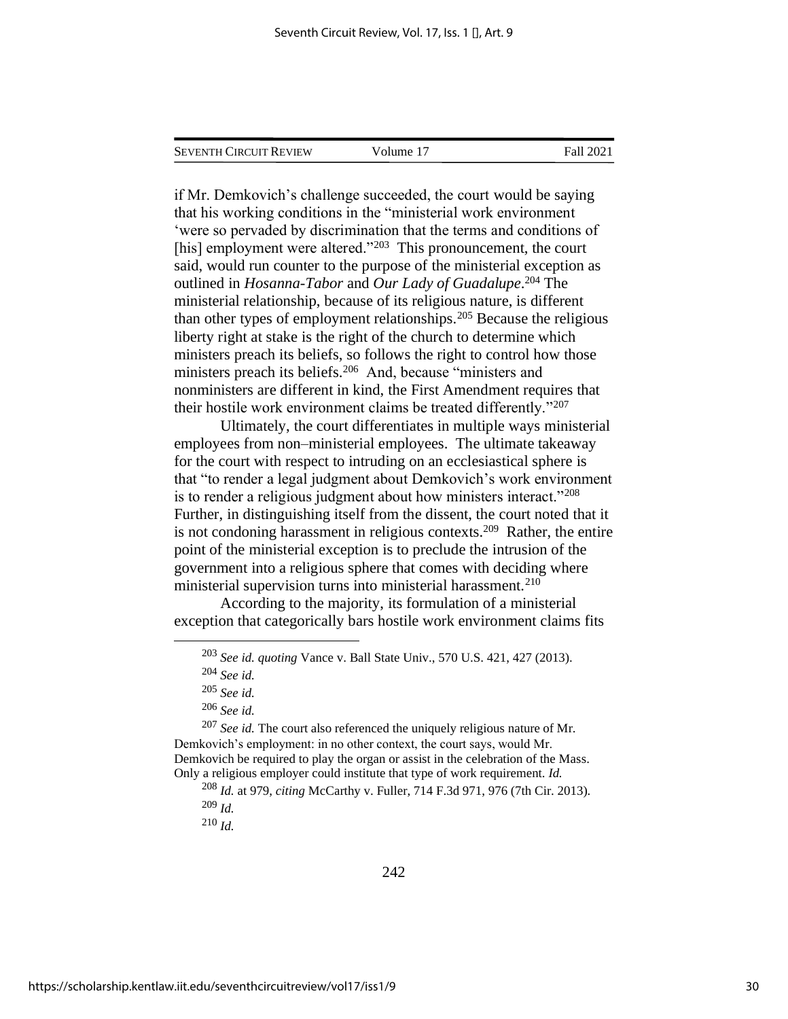| Seventh Circuit Review | Volume 17 | Fall 2021 |
|------------------------|-----------|-----------|
|                        |           |           |

if Mr. Demkovich's challenge succeeded, the court would be saying that his working conditions in the "ministerial work environment 'were so pervaded by discrimination that the terms and conditions of [his] employment were altered."<sup>203</sup> This pronouncement, the court said, would run counter to the purpose of the ministerial exception as outlined in *Hosanna-Tabor* and *Our Lady of Guadalupe*. <sup>204</sup> The ministerial relationship, because of its religious nature, is different than other types of employment relationships.<sup>205</sup> Because the religious liberty right at stake is the right of the church to determine which ministers preach its beliefs, so follows the right to control how those ministers preach its beliefs.<sup>206</sup> And, because "ministers and nonministers are different in kind, the First Amendment requires that their hostile work environment claims be treated differently."<sup>207</sup>

Ultimately, the court differentiates in multiple ways ministerial employees from non–ministerial employees. The ultimate takeaway for the court with respect to intruding on an ecclesiastical sphere is that "to render a legal judgment about Demkovich's work environment is to render a religious judgment about how ministers interact."<sup>208</sup> Further, in distinguishing itself from the dissent, the court noted that it is not condoning harassment in religious contexts.<sup>209</sup> Rather, the entire point of the ministerial exception is to preclude the intrusion of the government into a religious sphere that comes with deciding where ministerial supervision turns into ministerial harassment.<sup>210</sup>

According to the majority, its formulation of a ministerial exception that categorically bars hostile work environment claims fits

<sup>207</sup> *See id.* The court also referenced the uniquely religious nature of Mr. Demkovich's employment: in no other context, the court says, would Mr. Demkovich be required to play the organ or assist in the celebration of the Mass. Only a religious employer could institute that type of work requirement. *Id.*

<sup>203</sup> *See id. quoting* Vance v. Ball State Univ., 570 U.S. 421, 427 (2013).

<sup>204</sup> *See id.*

<sup>205</sup> *See id.*

<sup>206</sup> *See id.*

<sup>208</sup> *Id.* at 979, *citing* McCarthy v. Fuller, 714 F.3d 971, 976 (7th Cir. 2013). <sup>209</sup> *Id.*

<sup>210</sup> *Id.*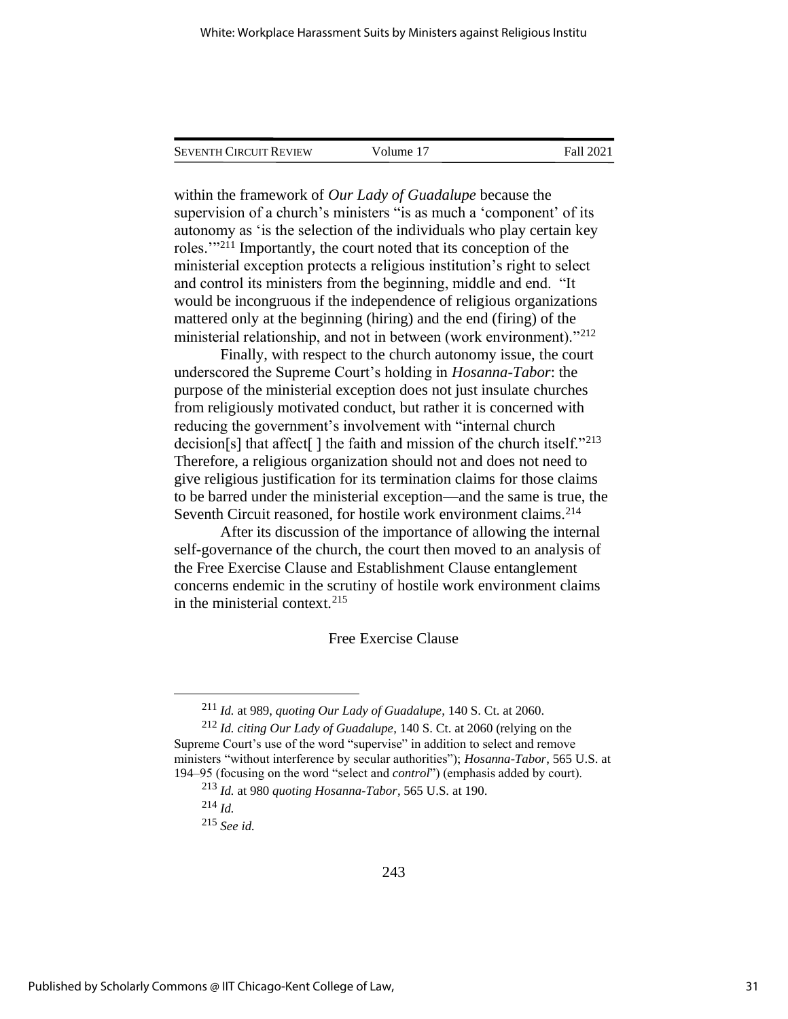| <b>SEVENTH CIRCUIT REVIEW</b> | Volume 17 | Fall 2021 |
|-------------------------------|-----------|-----------|
|                               |           |           |

within the framework of *Our Lady of Guadalupe* because the supervision of a church's ministers "is as much a 'component' of its autonomy as 'is the selection of the individuals who play certain key roles.'"<sup>211</sup> Importantly, the court noted that its conception of the ministerial exception protects a religious institution's right to select and control its ministers from the beginning, middle and end. "It would be incongruous if the independence of religious organizations mattered only at the beginning (hiring) and the end (firing) of the ministerial relationship, and not in between (work environment)."<sup>212</sup>

Finally, with respect to the church autonomy issue, the court underscored the Supreme Court's holding in *Hosanna-Tabor*: the purpose of the ministerial exception does not just insulate churches from religiously motivated conduct, but rather it is concerned with reducing the government's involvement with "internal church decision[s] that affect[] the faith and mission of the church itself."<sup>213</sup> Therefore, a religious organization should not and does not need to give religious justification for its termination claims for those claims to be barred under the ministerial exception—and the same is true, the Seventh Circuit reasoned, for hostile work environment claims.<sup>214</sup>

After its discussion of the importance of allowing the internal self-governance of the church, the court then moved to an analysis of the Free Exercise Clause and Establishment Clause entanglement concerns endemic in the scrutiny of hostile work environment claims in the ministerial context.<sup>215</sup>

## Free Exercise Clause

<sup>211</sup> *Id.* at 989, *quoting Our Lady of Guadalupe*, 140 S. Ct. at 2060.

<sup>212</sup> *Id. citing Our Lady of Guadalupe*, 140 S. Ct. at 2060 (relying on the Supreme Court's use of the word "supervise" in addition to select and remove ministers "without interference by secular authorities"); *Hosanna-Tabor*, 565 U.S. at 194–95 (focusing on the word "select and *control*") (emphasis added by court).

<sup>213</sup> *Id.* at 980 *quoting Hosanna-Tabor*, 565 U.S. at 190.

<sup>214</sup> *Id.*

<sup>215</sup> *See id.*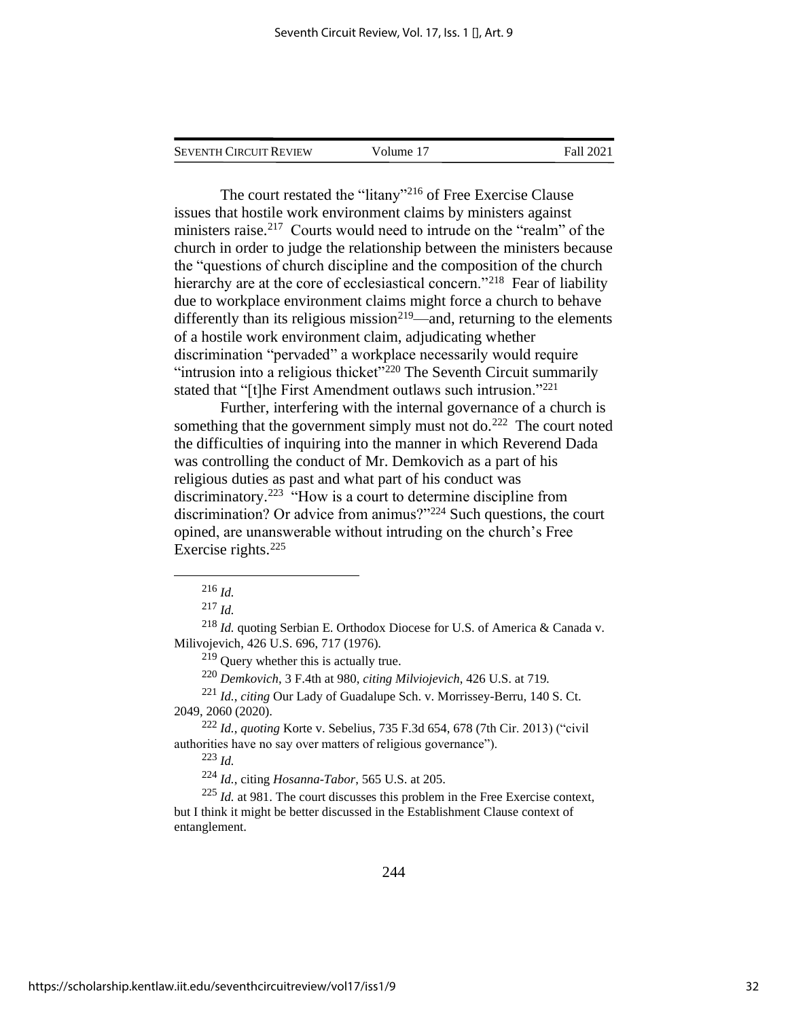SEVENTH CIRCUIT REVIEW Volume 17 Fall 2021

The court restated the "litany"<sup>216</sup> of Free Exercise Clause issues that hostile work environment claims by ministers against ministers raise.<sup>217</sup> Courts would need to intrude on the "realm" of the church in order to judge the relationship between the ministers because the "questions of church discipline and the composition of the church hierarchy are at the core of ecclesiastical concern."<sup>218</sup> Fear of liability due to workplace environment claims might force a church to behave differently than its religious mission<sup>219</sup>—and, returning to the elements of a hostile work environment claim, adjudicating whether discrimination "pervaded" a workplace necessarily would require "intrusion into a religious thicket"<sup>220</sup> The Seventh Circuit summarily stated that "[t]he First Amendment outlaws such intrusion."<sup>221</sup>

Further, interfering with the internal governance of a church is something that the government simply must not do. $^{222}$  The court noted the difficulties of inquiring into the manner in which Reverend Dada was controlling the conduct of Mr. Demkovich as a part of his religious duties as past and what part of his conduct was discriminatory.<sup>223</sup> "How is a court to determine discipline from discrimination? Or advice from animus?"<sup>224</sup> Such questions, the court opined, are unanswerable without intruding on the church's Free Exercise rights.<sup>225</sup>

<sup>219</sup> Query whether this is actually true.

<sup>220</sup> *Demkovich*, 3 F.4th at 980, *citing Milviojevich*, 426 U.S. at 719.

<sup>221</sup> *Id.*, *citing* Our Lady of Guadalupe Sch. v. Morrissey-Berru, 140 S. Ct. 2049, 2060 (2020).

<sup>222</sup> *Id.*, *quoting* Korte v. Sebelius, 735 F.3d 654, 678 (7th Cir. 2013) ("civil authorities have no say over matters of religious governance").

<sup>223</sup> *Id.*

<sup>224</sup> *Id.*, citing *Hosanna-Tabor*, 565 U.S. at 205.

<sup>225</sup> *Id.* at 981. The court discusses this problem in the Free Exercise context, but I think it might be better discussed in the Establishment Clause context of entanglement.

<sup>216</sup> *Id.*

<sup>217</sup> *Id.*

<sup>218</sup> *Id.* quoting Serbian E. Orthodox Diocese for U.S. of America & Canada v. Milivojevich, 426 U.S. 696, 717 (1976).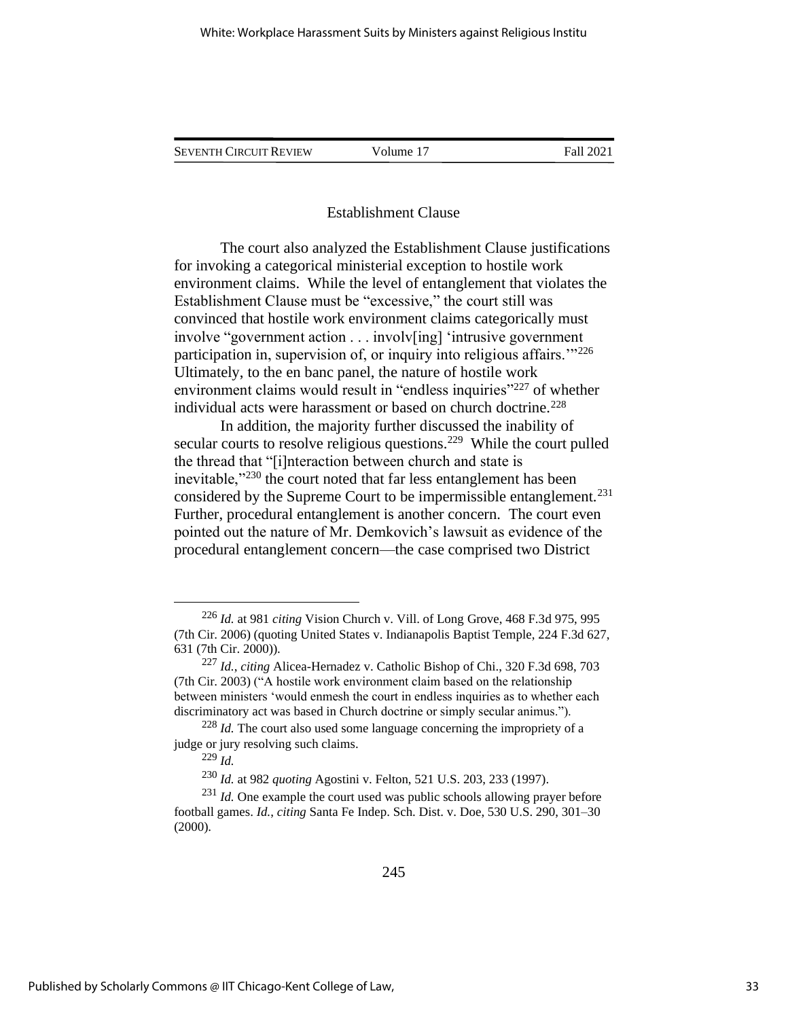SEVENTH CIRCUIT REVIEW Volume 17 Fall 2021

#### Establishment Clause

The court also analyzed the Establishment Clause justifications for invoking a categorical ministerial exception to hostile work environment claims. While the level of entanglement that violates the Establishment Clause must be "excessive," the court still was convinced that hostile work environment claims categorically must involve "government action . . . involv[ing] 'intrusive government participation in, supervision of, or inquiry into religious affairs."<sup>226</sup> Ultimately, to the en banc panel, the nature of hostile work environment claims would result in "endless inquiries"<sup>227</sup> of whether individual acts were harassment or based on church doctrine.<sup>228</sup>

In addition, the majority further discussed the inability of secular courts to resolve religious questions.<sup>229</sup> While the court pulled the thread that "[i]nteraction between church and state is inevitable,"<sup>230</sup> the court noted that far less entanglement has been considered by the Supreme Court to be impermissible entanglement.<sup>231</sup> Further, procedural entanglement is another concern. The court even pointed out the nature of Mr. Demkovich's lawsuit as evidence of the procedural entanglement concern—the case comprised two District

<sup>226</sup> *Id.* at 981 *citing* Vision Church v. Vill. of Long Grove, 468 F.3d 975, 995 (7th Cir. 2006) (quoting United States v. Indianapolis Baptist Temple, 224 F.3d 627, 631 (7th Cir. 2000)).

<sup>227</sup> *Id.*, *citing* Alicea-Hernadez v. Catholic Bishop of Chi., 320 F.3d 698, 703 (7th Cir. 2003) ("A hostile work environment claim based on the relationship between ministers 'would enmesh the court in endless inquiries as to whether each discriminatory act was based in Church doctrine or simply secular animus.").

<sup>228</sup> *Id.* The court also used some language concerning the impropriety of a judge or jury resolving such claims.

<sup>229</sup> *Id.*

<sup>230</sup> *Id.* at 982 *quoting* Agostini v. Felton, 521 U.S. 203, 233 (1997).

<sup>&</sup>lt;sup>231</sup> *Id.* One example the court used was public schools allowing prayer before football games. *Id.*, *citing* Santa Fe Indep. Sch. Dist. v. Doe, 530 U.S. 290, 301–30 (2000).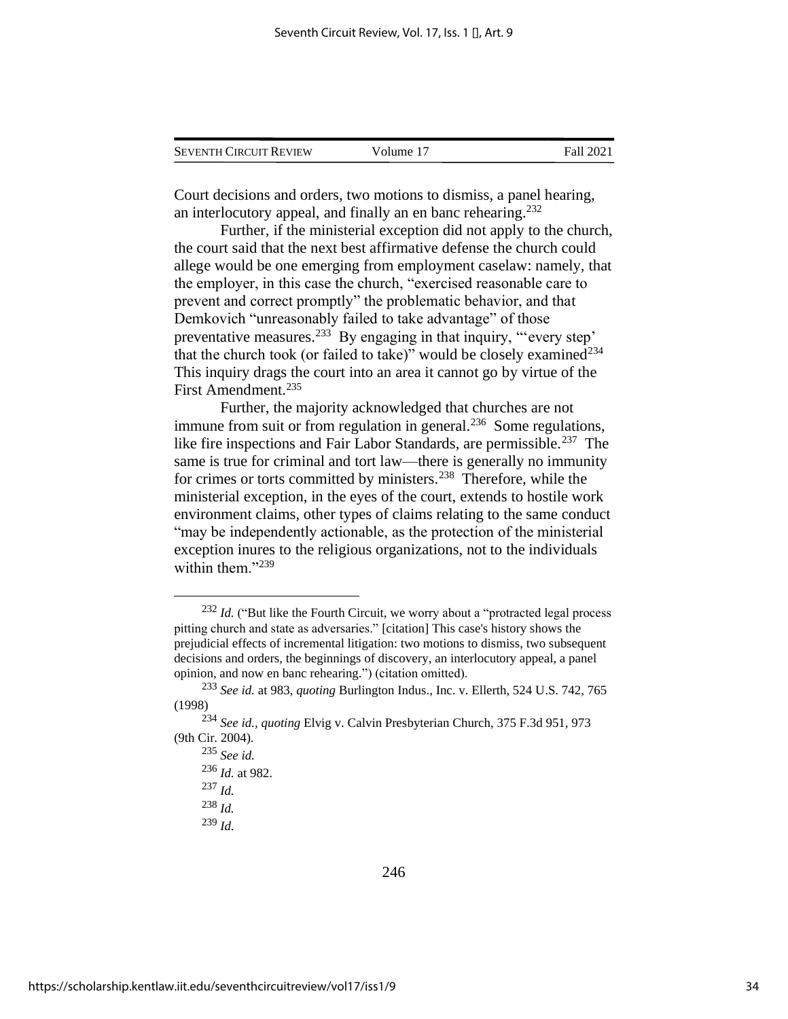| <b>SEVENTH CIRCUIT REVIEW</b> | Volume 17 | Fall 2021 |
|-------------------------------|-----------|-----------|
|                               |           |           |

Court decisions and orders, two motions to dismiss, a panel hearing, an interlocutory appeal, and finally an en banc rehearing.<sup>232</sup>

Further, if the ministerial exception did not apply to the church, the court said that the next best affirmative defense the church could allege would be one emerging from employment caselaw: namely, that the employer, in this case the church, "exercised reasonable care to prevent and correct promptly" the problematic behavior, and that Demkovich "unreasonably failed to take advantage" of those preventative measures.<sup>233</sup> By engaging in that inquiry, "every step' that the church took (or failed to take)" would be closely examined $^{234}$ This inquiry drags the court into an area it cannot go by virtue of the First Amendment.<sup>235</sup>

Further, the majority acknowledged that churches are not immune from suit or from regulation in general.<sup>236</sup> Some regulations, like fire inspections and Fair Labor Standards, are permissible.<sup>237</sup> The same is true for criminal and tort law—there is generally no immunity for crimes or torts committed by ministers.<sup>238</sup> Therefore, while the ministerial exception, in the eyes of the court, extends to hostile work environment claims, other types of claims relating to the same conduct "may be independently actionable, as the protection of the ministerial exception inures to the religious organizations, not to the individuals within them."239

<sup>239</sup> *Id.*

<sup>&</sup>lt;sup>232</sup> *Id.* ("But like the Fourth Circuit, we worry about a "protracted legal process" pitting church and state as adversaries." [citation] This case's history shows the prejudicial effects of incremental litigation: two motions to dismiss, two subsequent decisions and orders, the beginnings of discovery, an interlocutory appeal, a panel opinion, and now en banc rehearing.") (citation omitted).

<sup>233</sup> *See id.* at 983, *quoting* Burlington Indus., Inc. v. Ellerth, 524 U.S. 742, 765 (1998)

<sup>234</sup> *See id., quoting* Elvig v. Calvin Presbyterian Church, 375 F.3d 951, 973 (9th Cir. 2004).

<sup>235</sup> *See id.*

<sup>236</sup> *Id.* at 982.

<sup>237</sup> *Id.*

<sup>238</sup> *Id.*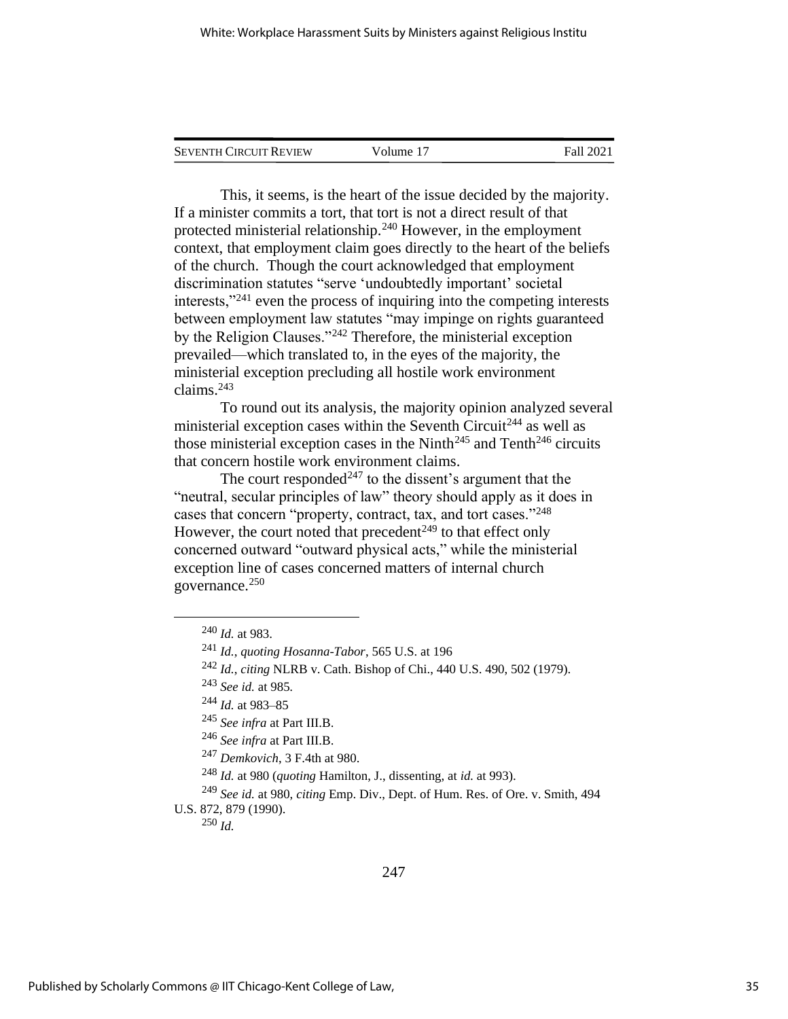| <b>SEVENTH CIRCUIT REVIEW</b> | Volume 17 | Fall 2021 |
|-------------------------------|-----------|-----------|
|                               |           |           |

This, it seems, is the heart of the issue decided by the majority. If a minister commits a tort, that tort is not a direct result of that protected ministerial relationship.<sup>240</sup> However, in the employment context, that employment claim goes directly to the heart of the beliefs of the church. Though the court acknowledged that employment discrimination statutes "serve 'undoubtedly important' societal interests,"<sup>241</sup> even the process of inquiring into the competing interests between employment law statutes "may impinge on rights guaranteed by the Religion Clauses."<sup>242</sup> Therefore, the ministerial exception prevailed—which translated to, in the eyes of the majority, the ministerial exception precluding all hostile work environment claims.<sup>243</sup>

To round out its analysis, the majority opinion analyzed several ministerial exception cases within the Seventh Circuit<sup>244</sup> as well as those ministerial exception cases in the Ninth<sup>245</sup> and Tenth<sup>246</sup> circuits that concern hostile work environment claims.

The court responded<sup> $247$ </sup> to the dissent's argument that the "neutral, secular principles of law" theory should apply as it does in cases that concern "property, contract, tax, and tort cases."<sup>248</sup> However, the court noted that precedent<sup> $249$ </sup> to that effect only concerned outward "outward physical acts," while the ministerial exception line of cases concerned matters of internal church governance.<sup>250</sup>

<sup>242</sup> *Id.*, *citing* NLRB v. Cath. Bishop of Chi., 440 U.S. 490, 502 (1979).

<sup>250</sup> *Id.*

<sup>240</sup> *Id.* at 983.

<sup>241</sup> *Id.*, *quoting Hosanna-Tabor*, 565 U.S. at 196

<sup>243</sup> *See id.* at 985*.*

<sup>244</sup> *Id.* at 983–85

<sup>245</sup> *See infra* at Part III.B.

<sup>246</sup> *See infra* at Part III.B.

<sup>247</sup> *Demkovich*, 3 F.4th at 980.

<sup>248</sup> *Id.* at 980 (*quoting* Hamilton, J., dissenting, at *id.* at 993).

<sup>249</sup> *See id.* at 980, *citing* Emp. Div., Dept. of Hum. Res. of Ore. v. Smith, 494 U.S. 872, 879 (1990).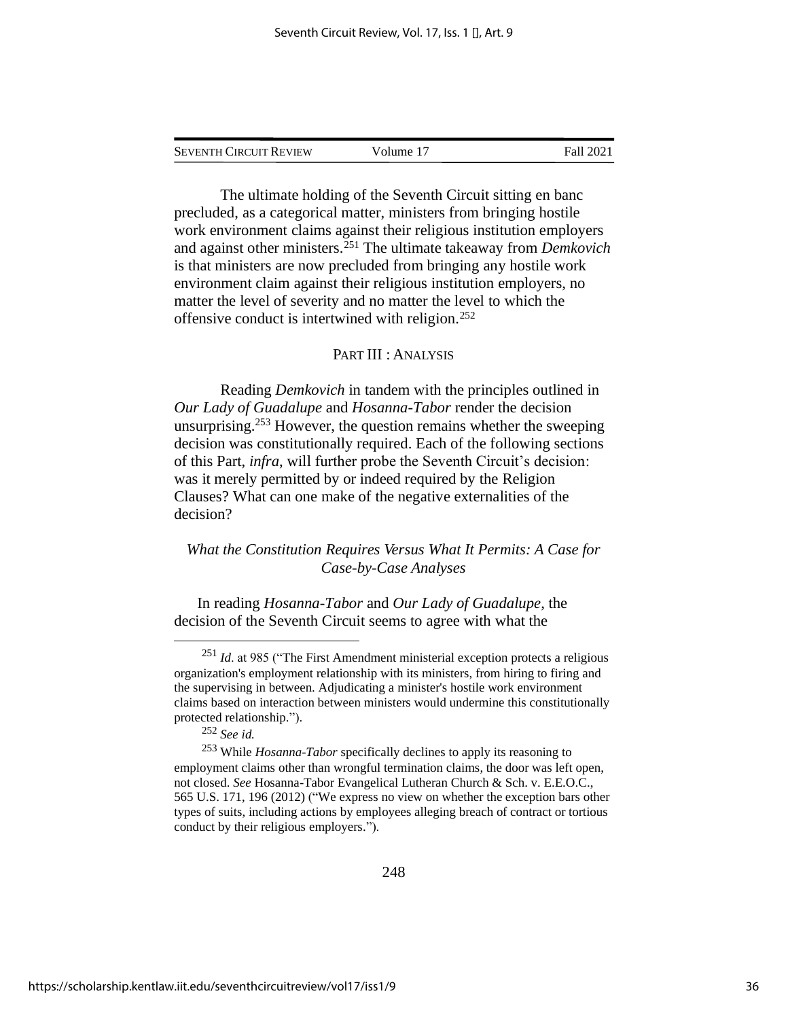| <b>SEVENTH CIRCUIT REVIEW</b> | Volume 17 | Fall 2021 |
|-------------------------------|-----------|-----------|
|                               |           |           |

The ultimate holding of the Seventh Circuit sitting en banc precluded, as a categorical matter, ministers from bringing hostile work environment claims against their religious institution employers and against other ministers.<sup>251</sup> The ultimate takeaway from *Demkovich* is that ministers are now precluded from bringing any hostile work environment claim against their religious institution employers, no matter the level of severity and no matter the level to which the offensive conduct is intertwined with religion.<sup>252</sup>

### PART III : ANALYSIS

Reading *Demkovich* in tandem with the principles outlined in *Our Lady of Guadalupe* and *Hosanna-Tabor* render the decision unsurprising.<sup>253</sup> However, the question remains whether the sweeping decision was constitutionally required. Each of the following sections of this Part, *infra*, will further probe the Seventh Circuit's decision: was it merely permitted by or indeed required by the Religion Clauses? What can one make of the negative externalities of the decision?

## *What the Constitution Requires Versus What It Permits: A Case for Case-by-Case Analyses*

In reading *Hosanna-Tabor* and *Our Lady of Guadalupe*, the decision of the Seventh Circuit seems to agree with what the

<sup>&</sup>lt;sup>251</sup> *Id.* at 985 ("The First Amendment ministerial exception protects a religious organization's employment relationship with its ministers, from hiring to firing and the supervising in between. Adjudicating a minister's hostile work environment claims based on interaction between ministers would undermine this constitutionally protected relationship.").

<sup>252</sup> *See id.*

<sup>253</sup> While *Hosanna-Tabor* specifically declines to apply its reasoning to employment claims other than wrongful termination claims, the door was left open, not closed. *See* Hosanna-Tabor Evangelical Lutheran Church & Sch. v. E.E.O.C., 565 U.S. 171, 196 (2012) ("We express no view on whether the exception bars other types of suits, including actions by employees alleging breach of contract or tortious conduct by their religious employers.").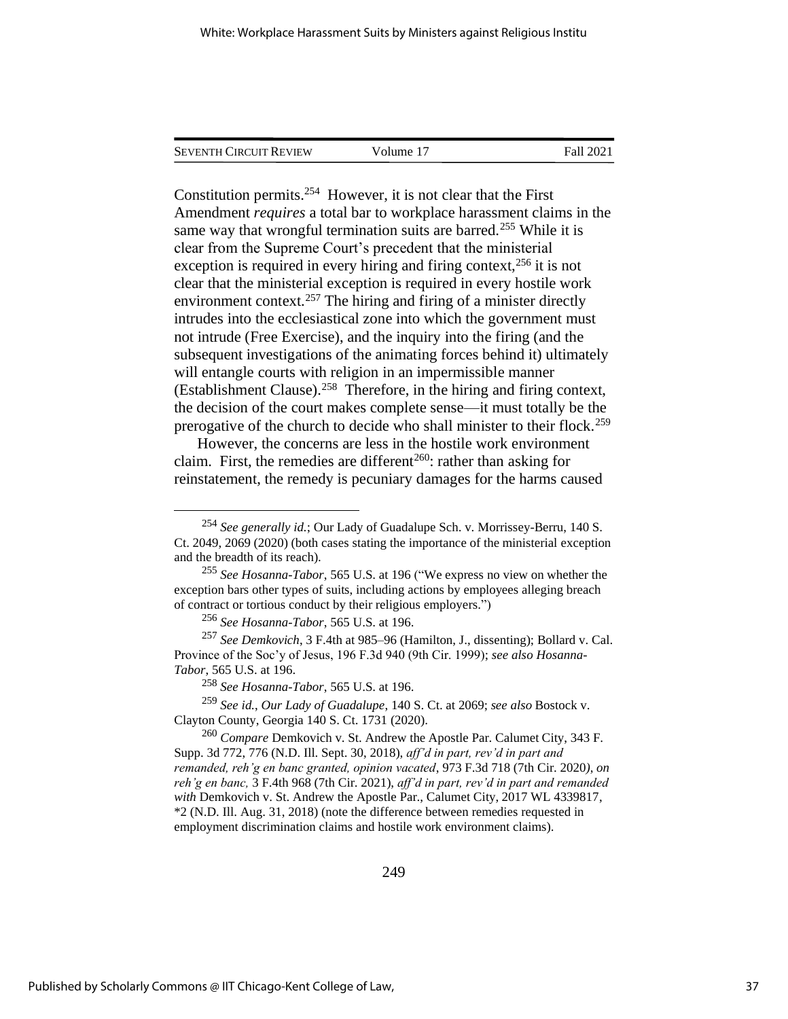| Seventh Circuit Review | Volume 17 | Fall 2021 |  |
|------------------------|-----------|-----------|--|
|                        |           |           |  |

Constitution permits.<sup>254</sup> However, it is not clear that the First Amendment *requires* a total bar to workplace harassment claims in the same way that wrongful termination suits are barred.<sup>255</sup> While it is clear from the Supreme Court's precedent that the ministerial exception is required in every hiring and firing context,  $256$  it is not clear that the ministerial exception is required in every hostile work environment context.<sup>257</sup> The hiring and firing of a minister directly intrudes into the ecclesiastical zone into which the government must not intrude (Free Exercise), and the inquiry into the firing (and the subsequent investigations of the animating forces behind it) ultimately will entangle courts with religion in an impermissible manner (Establishment Clause).<sup>258</sup> Therefore, in the hiring and firing context, the decision of the court makes complete sense—it must totally be the prerogative of the church to decide who shall minister to their flock.<sup>259</sup>

However, the concerns are less in the hostile work environment claim. First, the remedies are different<sup>260</sup>: rather than asking for reinstatement, the remedy is pecuniary damages for the harms caused

<sup>254</sup> *See generally id.*; Our Lady of Guadalupe Sch. v. Morrissey-Berru, 140 S. Ct. 2049, 2069 (2020) (both cases stating the importance of the ministerial exception and the breadth of its reach).

<sup>255</sup> *See Hosanna-Tabor*, 565 U.S. at 196 ("We express no view on whether the exception bars other types of suits, including actions by employees alleging breach of contract or tortious conduct by their religious employers.")

<sup>256</sup> *See Hosanna-Tabor*, 565 U.S. at 196.

<sup>257</sup> *See Demkovich*, 3 F.4th at 985–96 (Hamilton, J., dissenting); Bollard v. Cal. Province of the Soc'y of Jesus, 196 F.3d 940 (9th Cir. 1999); *see also Hosanna-Tabor*, 565 U.S. at 196.

<sup>258</sup> *See Hosanna-Tabor*, 565 U.S. at 196.

<sup>259</sup> *See id.*, *Our Lady of Guadalupe*, 140 S. Ct. at 2069; *see also* Bostock v. Clayton County, Georgia 140 S. Ct. 1731 (2020).

<sup>260</sup> *Compare* Demkovich v. St. Andrew the Apostle Par. Calumet City, 343 F. Supp. 3d 772, 776 (N.D. Ill. Sept. 30, 2018), *aff'd in part, rev'd in part and remanded, reh'g en banc granted, opinion vacated*, 973 F.3d 718 (7th Cir. 2020*)*, *on reh'g en banc,* 3 F.4th 968 (7th Cir. 2021), *aff'd in part, rev'd in part and remanded with* Demkovich v. St. Andrew the Apostle Par., Calumet City, 2017 WL 4339817, \*2 (N.D. Ill. Aug. 31, 2018) (note the difference between remedies requested in employment discrimination claims and hostile work environment claims).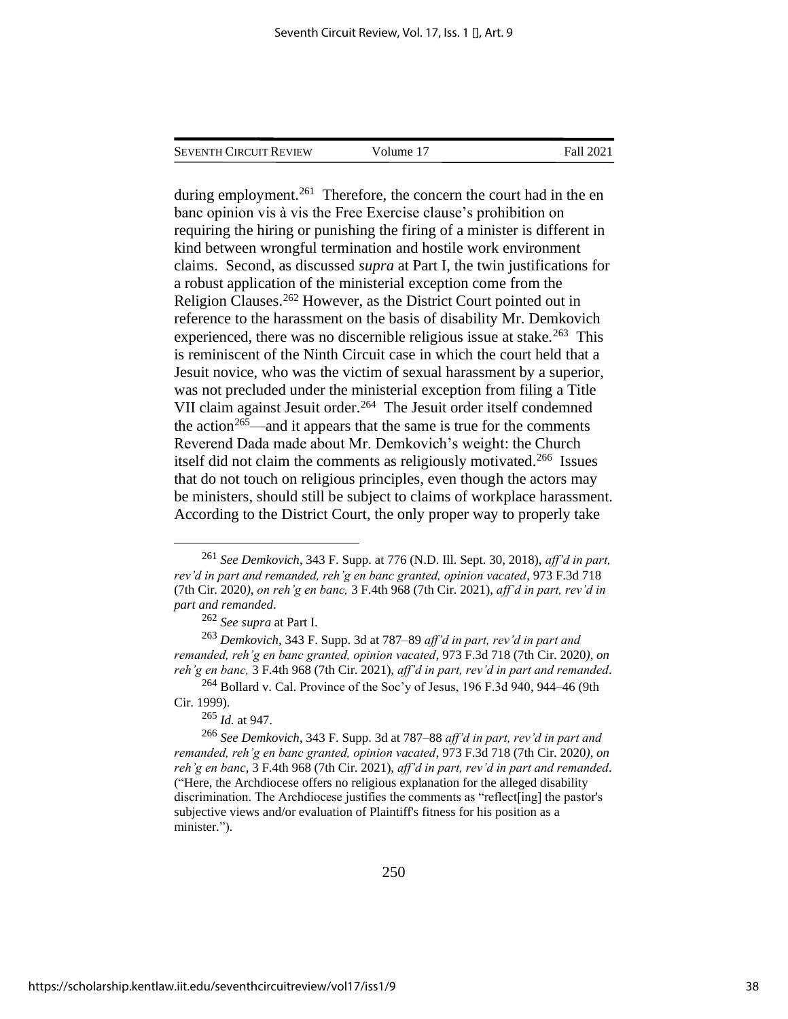| <b>SEVENTH CIRCUIT REVIEW</b> | Volume 17 | Fall 2021 |
|-------------------------------|-----------|-----------|
|                               |           |           |

during employment.<sup>261</sup> Therefore, the concern the court had in the en banc opinion vis à vis the Free Exercise clause's prohibition on requiring the hiring or punishing the firing of a minister is different in kind between wrongful termination and hostile work environment claims. Second, as discussed *supra* at Part I, the twin justifications for a robust application of the ministerial exception come from the Religion Clauses.<sup>262</sup> However, as the District Court pointed out in reference to the harassment on the basis of disability Mr. Demkovich experienced, there was no discernible religious issue at stake.<sup>263</sup> This is reminiscent of the Ninth Circuit case in which the court held that a Jesuit novice, who was the victim of sexual harassment by a superior, was not precluded under the ministerial exception from filing a Title VII claim against Jesuit order. 264 The Jesuit order itself condemned the action<sup>265</sup>—and it appears that the same is true for the comments Reverend Dada made about Mr. Demkovich's weight: the Church itself did not claim the comments as religiously motivated.<sup>266</sup> Issues that do not touch on religious principles, even though the actors may be ministers, should still be subject to claims of workplace harassment. According to the District Court, the only proper way to properly take

<sup>261</sup> *See Demkovich*, 343 F. Supp. at 776 (N.D. Ill. Sept. 30, 2018), *aff'd in part, rev'd in part and remanded, reh'g en banc granted, opinion vacated*, 973 F.3d 718 (7th Cir. 2020*)*, *on reh'g en banc,* 3 F.4th 968 (7th Cir. 2021), *aff'd in part, rev'd in part and remanded*.

<sup>262</sup> *See supra* at Part I.

<sup>263</sup> *Demkovich*, 343 F. Supp. 3d at 787–89 *aff'd in part, rev'd in part and remanded, reh'g en banc granted, opinion vacated*, 973 F.3d 718 (7th Cir. 2020*)*, *on reh'g en banc,* 3 F.4th 968 (7th Cir. 2021), *aff'd in part, rev'd in part and remanded*.

 $^{264}$  Bollard v. Cal. Province of the Soc'y of Jesus, 196 F.3d 940, 944–46 (9th Cir. 1999).

<sup>265</sup> *Id.* at 947.

<sup>266</sup> *See Demkovich*, 343 F. Supp. 3d at 787–88 *aff'd in part, rev'd in part and remanded, reh'g en banc granted, opinion vacated*, 973 F.3d 718 (7th Cir. 2020*)*, *on reh'g en banc,* 3 F.4th 968 (7th Cir. 2021), *aff'd in part, rev'd in part and remanded*. ("Here, the Archdiocese offers no religious explanation for the alleged disability discrimination. The Archdiocese justifies the comments as "reflect[ing] the pastor's subjective views and/or evaluation of Plaintiff's fitness for his position as a minister.").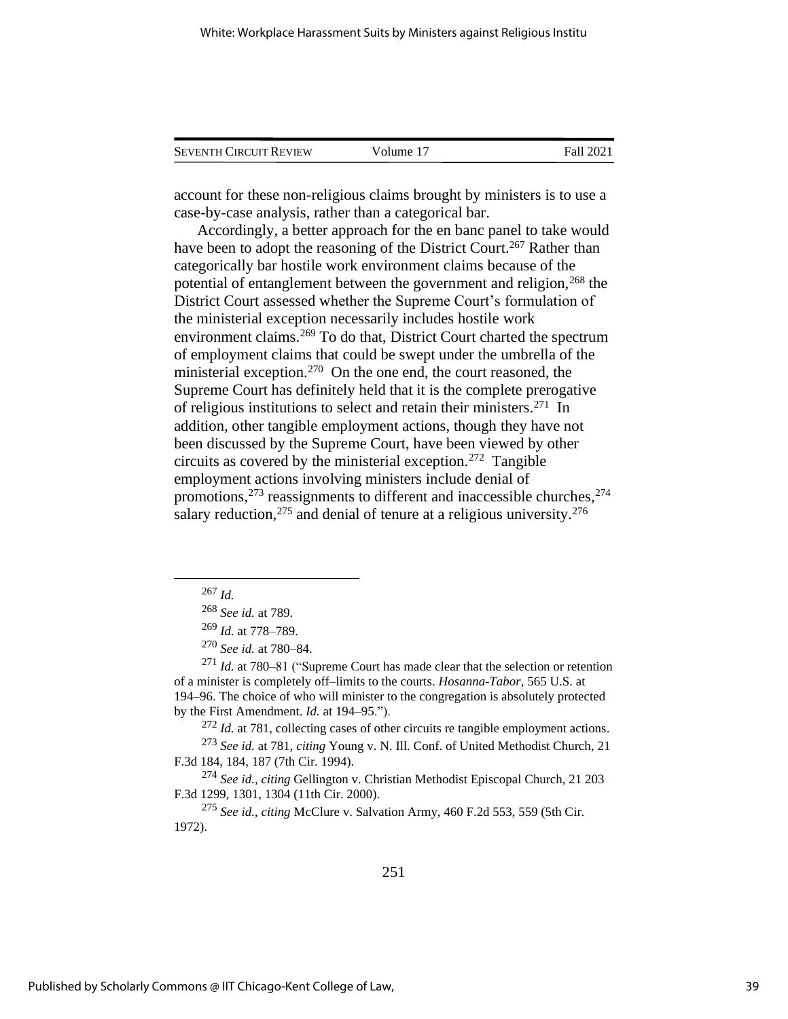| <b>SEVENTH CIRCUIT REVIEW</b> | Volume 17 | Fall 2021 |
|-------------------------------|-----------|-----------|
|                               |           |           |

account for these non-religious claims brought by ministers is to use a case-by-case analysis, rather than a categorical bar.

Accordingly, a better approach for the en banc panel to take would have been to adopt the reasoning of the District Court.<sup>267</sup> Rather than categorically bar hostile work environment claims because of the potential of entanglement between the government and religion,<sup>268</sup> the District Court assessed whether the Supreme Court's formulation of the ministerial exception necessarily includes hostile work environment claims.<sup>269</sup> To do that, District Court charted the spectrum of employment claims that could be swept under the umbrella of the ministerial exception.<sup>270</sup> On the one end, the court reasoned, the Supreme Court has definitely held that it is the complete prerogative of religious institutions to select and retain their ministers.<sup>271</sup> In addition, other tangible employment actions, though they have not been discussed by the Supreme Court, have been viewed by other circuits as covered by the ministerial exception.<sup>272</sup> Tangible employment actions involving ministers include denial of promotions, $2^{73}$  reassignments to different and inaccessible churches, $2^{74}$ salary reduction,  $275$  and denial of tenure at a religious university.  $276$ 

<sup>272</sup> *Id.* at 781, collecting cases of other circuits re tangible employment actions. <sup>273</sup> *See id.* at 781, *citing* Young v. N. Ill. Conf. of United Methodist Church, 21

F.3d 184, 184, 187 (7th Cir. 1994).

<sup>274</sup> *See id.*, *citing* Gellington v. Christian Methodist Episcopal Church, 21 203 F.3d 1299, 1301, 1304 (11th Cir. 2000).

<sup>275</sup> *See id.*, *citing* McClure v. Salvation Army, 460 F.2d 553, 559 (5th Cir. 1972).

<sup>267</sup> *Id.*

<sup>268</sup> *See id.* at 789.

<sup>269</sup> *Id.* at 778–789.

<sup>270</sup> *See id.* at 780–84.

<sup>271</sup> *Id.* at 780–81 ("Supreme Court has made clear that the selection or retention of a minister is completely off–limits to the courts. *Hosanna-Tabor*, 565 U.S. at 194–96. The choice of who will minister to the congregation is absolutely protected by the First Amendment. *Id.* at 194–95.").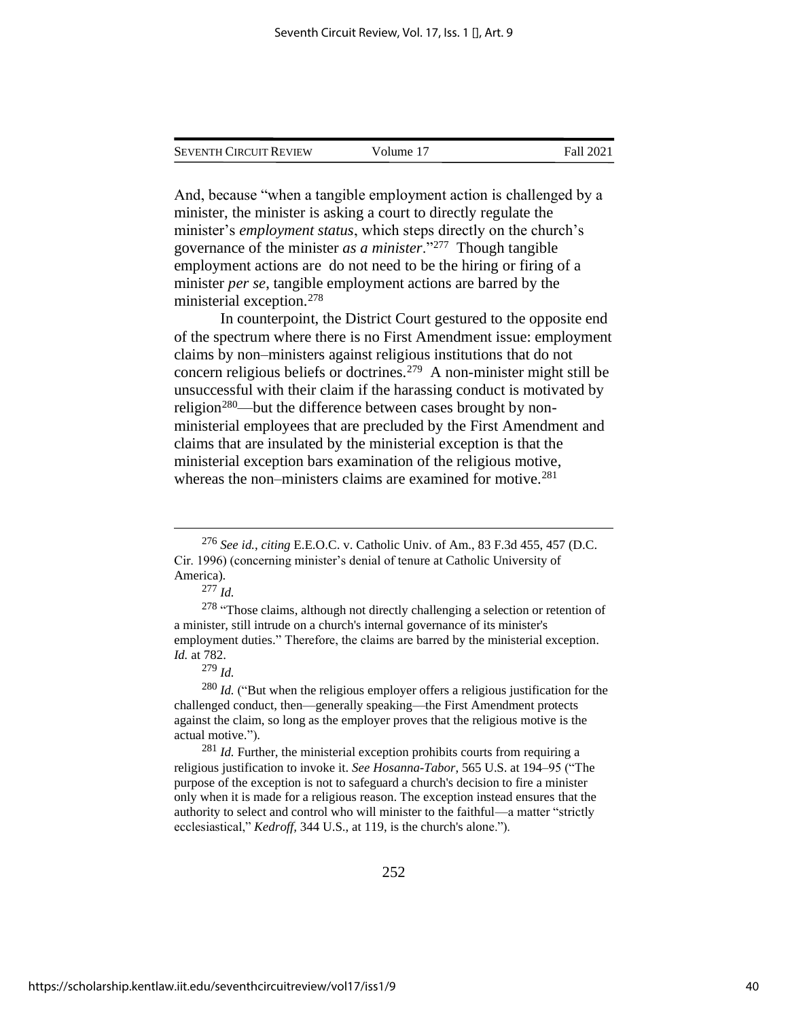| <b>SEVENTH CIRCUIT REVIEW</b> | Volume 17 | Fall 2021 |
|-------------------------------|-----------|-----------|
|                               |           |           |

And, because "when a tangible employment action is challenged by a minister, the minister is asking a court to directly regulate the minister's *employment status*, which steps directly on the church's governance of the minister *as a minister*."<sup>277</sup> Though tangible employment actions are do not need to be the hiring or firing of a minister *per se*, tangible employment actions are barred by the ministerial exception.<sup>278</sup>

In counterpoint, the District Court gestured to the opposite end of the spectrum where there is no First Amendment issue: employment claims by non–ministers against religious institutions that do not concern religious beliefs or doctrines.<sup>279</sup> A non-minister might still be unsuccessful with their claim if the harassing conduct is motivated by religion<sup>280</sup>—but the difference between cases brought by nonministerial employees that are precluded by the First Amendment and claims that are insulated by the ministerial exception is that the ministerial exception bars examination of the religious motive, whereas the non–ministers claims are examined for motive.<sup>281</sup>

<sup>279</sup> *Id.*

<sup>281</sup> *Id.* Further, the ministerial exception prohibits courts from requiring a religious justification to invoke it. *See Hosanna-Tabor*, 565 U.S. at 194–95 ("The purpose of the exception is not to safeguard a church's decision to fire a minister only when it is made for a religious reason. The exception instead ensures that the authority to select and control who will minister to the faithful—a matter "strictly ecclesiastical," *Kedroff,* 344 U.S., at 119, is the church's alone.").

<sup>276</sup> *See id.*, *citing* E.E.O.C. v. Catholic Univ. of Am., 83 F.3d 455, 457 (D.C. Cir. 1996) (concerning minister's denial of tenure at Catholic University of America).

<sup>277</sup> *Id.* 

 $278$  "Those claims, although not directly challenging a selection or retention of a minister, still intrude on a church's internal governance of its minister's employment duties." Therefore, the claims are barred by the ministerial exception. *Id.* at 782.

<sup>&</sup>lt;sup>280</sup> *Id.* ("But when the religious employer offers a religious justification for the challenged conduct, then—generally speaking—the First Amendment protects against the claim, so long as the employer proves that the religious motive is the actual motive.").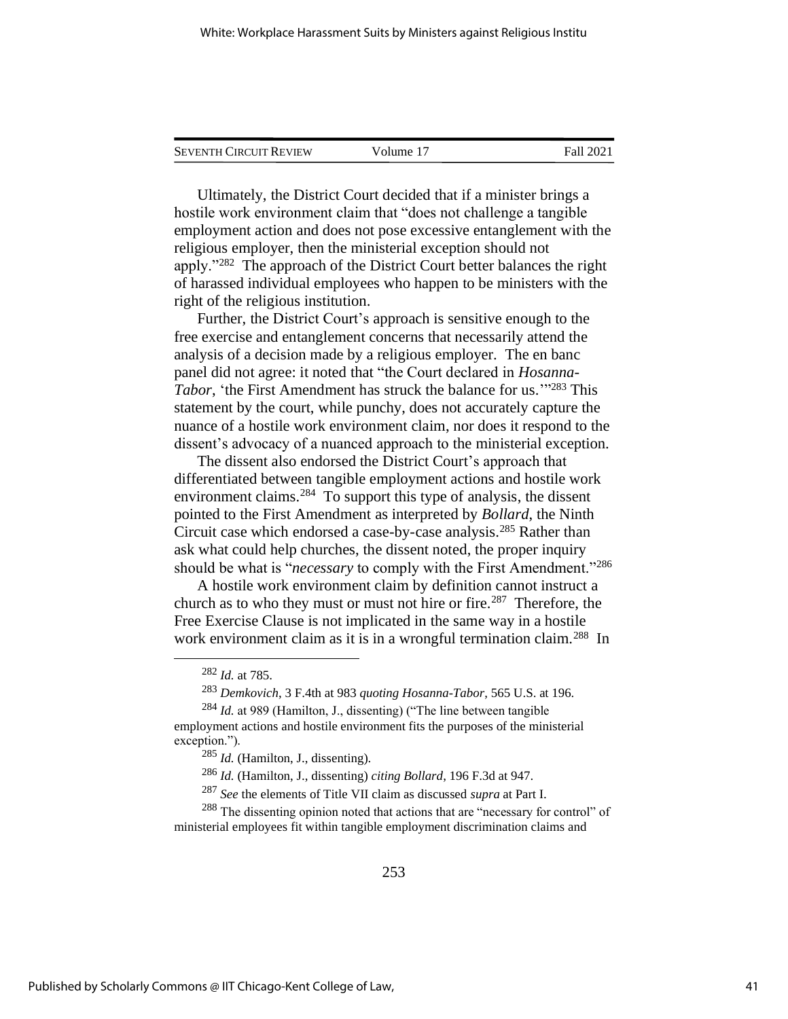| <b>SEVENTH CIRCUIT REVIEW</b> | Volume 17 | Fall 2021 |
|-------------------------------|-----------|-----------|
|                               |           |           |

Ultimately, the District Court decided that if a minister brings a hostile work environment claim that "does not challenge a tangible employment action and does not pose excessive entanglement with the religious employer, then the ministerial exception should not apply."<sup>282</sup> The approach of the District Court better balances the right of harassed individual employees who happen to be ministers with the right of the religious institution.

Further, the District Court's approach is sensitive enough to the free exercise and entanglement concerns that necessarily attend the analysis of a decision made by a religious employer. The en banc panel did not agree: it noted that "the Court declared in *Hosanna-*Tabor, 'the First Amendment has struck the balance for us.<sup>'"283</sup> This statement by the court, while punchy, does not accurately capture the nuance of a hostile work environment claim, nor does it respond to the dissent's advocacy of a nuanced approach to the ministerial exception.

The dissent also endorsed the District Court's approach that differentiated between tangible employment actions and hostile work environment claims.<sup>284</sup> To support this type of analysis, the dissent pointed to the First Amendment as interpreted by *Bollard*, the Ninth Circuit case which endorsed a case-by-case analysis.<sup>285</sup> Rather than ask what could help churches, the dissent noted, the proper inquiry should be what is "*necessary* to comply with the First Amendment."<sup>286</sup>

A hostile work environment claim by definition cannot instruct a church as to who they must or must not hire or fire.<sup>287</sup> Therefore, the Free Exercise Clause is not implicated in the same way in a hostile work environment claim as it is in a wrongful termination claim.<sup>288</sup> In

<sup>288</sup> The dissenting opinion noted that actions that are "necessary for control" of ministerial employees fit within tangible employment discrimination claims and

<sup>282</sup> *Id.* at 785.

<sup>283</sup> *Demkovich*, 3 F.4th at 983 *quoting Hosanna-Tabor*, 565 U.S. at 196.

<sup>284</sup> *Id.* at 989 (Hamilton, J., dissenting) ("The line between tangible employment actions and hostile environment fits the purposes of the ministerial

exception."). <sup>285</sup> *Id.* (Hamilton, J., dissenting).

<sup>286</sup> *Id.* (Hamilton, J., dissenting) *citing Bollard*, 196 F.3d at 947.

<sup>287</sup> *See* the elements of Title VII claim as discussed *supra* at Part I.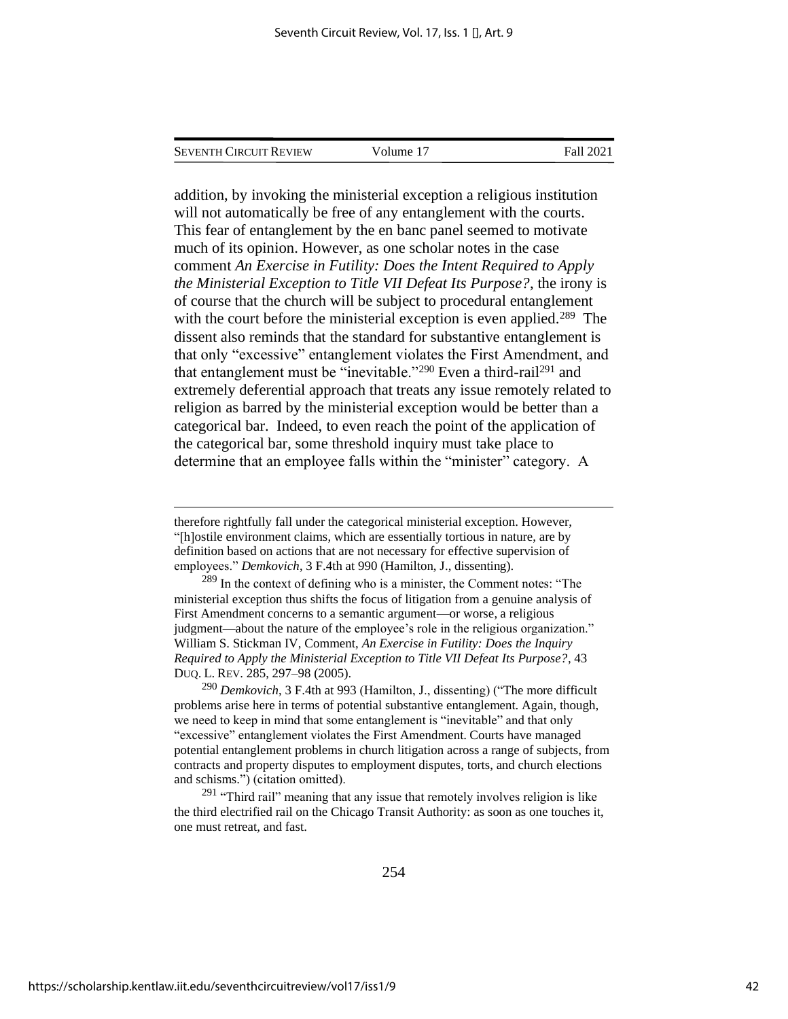| Seventh Circuit Review | Volume 17 | Fall 2021 |
|------------------------|-----------|-----------|
|                        |           |           |

addition, by invoking the ministerial exception a religious institution will not automatically be free of any entanglement with the courts. This fear of entanglement by the en banc panel seemed to motivate much of its opinion. However, as one scholar notes in the case comment *An Exercise in Futility: Does the Intent Required to Apply the Ministerial Exception to Title VII Defeat Its Purpose?*, the irony is of course that the church will be subject to procedural entanglement with the court before the ministerial exception is even applied.<sup>289</sup> The dissent also reminds that the standard for substantive entanglement is that only "excessive" entanglement violates the First Amendment, and that entanglement must be "inevitable."<sup>290</sup> Even a third-rail<sup>291</sup> and extremely deferential approach that treats any issue remotely related to religion as barred by the ministerial exception would be better than a categorical bar. Indeed, to even reach the point of the application of the categorical bar, some threshold inquiry must take place to determine that an employee falls within the "minister" category. A

therefore rightfully fall under the categorical ministerial exception. However, "[h]ostile environment claims, which are essentially tortious in nature, are by definition based on actions that are not necessary for effective supervision of employees." *Demkovich*, 3 F.4th at 990 (Hamilton, J., dissenting).

<sup>289</sup> In the context of defining who is a minister, the Comment notes: "The ministerial exception thus shifts the focus of litigation from a genuine analysis of First Amendment concerns to a semantic argument—or worse, a religious judgment—about the nature of the employee's role in the religious organization." William S. Stickman IV, Comment, *An Exercise in Futility: Does the Inquiry Required to Apply the Ministerial Exception to Title VII Defeat Its Purpose?*, 43 DUQ. L. REV. 285, 297–98 (2005).

<sup>290</sup> *Demkovich*, 3 F.4th at 993 (Hamilton, J., dissenting) ("The more difficult problems arise here in terms of potential substantive entanglement. Again, though, we need to keep in mind that some entanglement is "inevitable" and that only "excessive" entanglement violates the First Amendment. Courts have managed potential entanglement problems in church litigation across a range of subjects, from contracts and property disputes to employment disputes, torts, and church elections and schisms.") (citation omitted).

 $291$  "Third rail" meaning that any issue that remotely involves religion is like the third electrified rail on the Chicago Transit Authority: as soon as one touches it, one must retreat, and fast.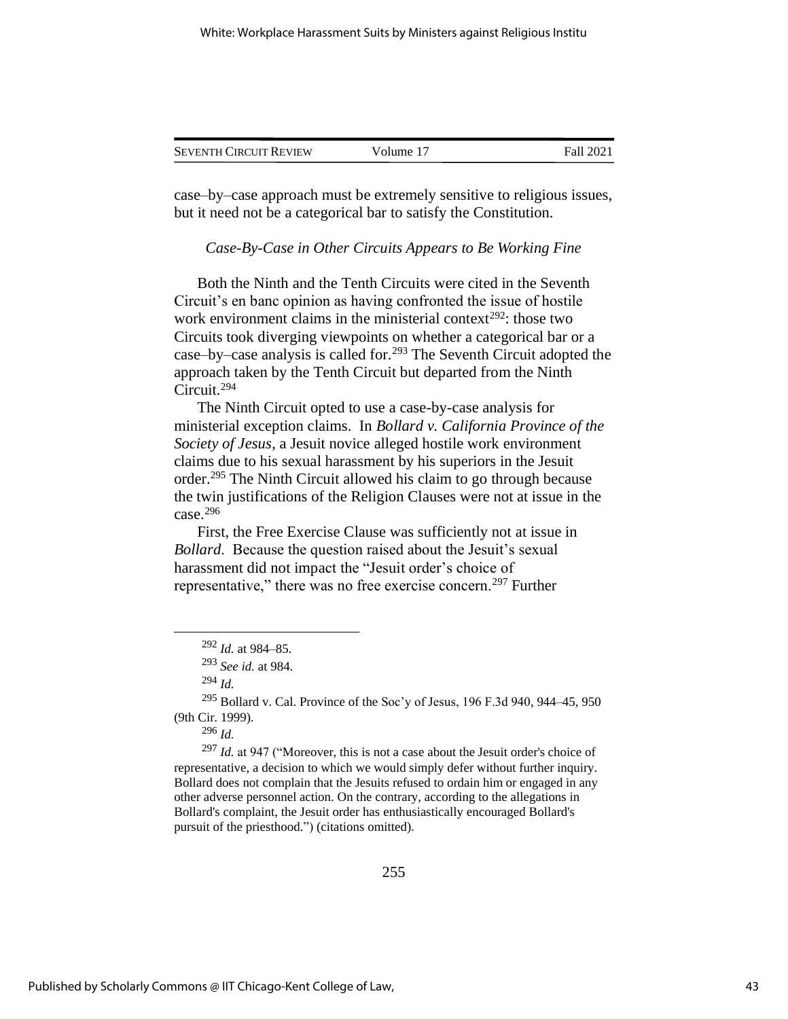| <b>SEVENTH CIRCUIT REVIEW</b> | Volume 17 | Fall 2021 |
|-------------------------------|-----------|-----------|
|                               |           |           |

case–by–case approach must be extremely sensitive to religious issues, but it need not be a categorical bar to satisfy the Constitution.

#### *Case-By-Case in Other Circuits Appears to Be Working Fine*

Both the Ninth and the Tenth Circuits were cited in the Seventh Circuit's en banc opinion as having confronted the issue of hostile work environment claims in the ministerial context<sup>292</sup>: those two Circuits took diverging viewpoints on whether a categorical bar or a case–by–case analysis is called for.<sup>293</sup> The Seventh Circuit adopted the approach taken by the Tenth Circuit but departed from the Ninth Circuit.<sup>294</sup>

The Ninth Circuit opted to use a case-by-case analysis for ministerial exception claims. In *Bollard v. California Province of the Society of Jesus*, a Jesuit novice alleged hostile work environment claims due to his sexual harassment by his superiors in the Jesuit order.<sup>295</sup> The Ninth Circuit allowed his claim to go through because the twin justifications of the Religion Clauses were not at issue in the case. $296$ 

First, the Free Exercise Clause was sufficiently not at issue in *Bollard*. Because the question raised about the Jesuit's sexual harassment did not impact the "Jesuit order's choice of representative," there was no free exercise concern.<sup>297</sup> Further

<sup>297</sup> *Id.* at 947 ("Moreover, this is not a case about the Jesuit order's choice of representative, a decision to which we would simply defer without further inquiry. Bollard does not complain that the Jesuits refused to ordain him or engaged in any other adverse personnel action. On the contrary, according to the allegations in Bollard's complaint, the Jesuit order has enthusiastically encouraged Bollard's pursuit of the priesthood.") (citations omitted).

<sup>292</sup> *Id.* at 984–85.

<sup>293</sup> *See id.* at 984.

<sup>294</sup> *Id.*

 $295$  Bollard v. Cal. Province of the Soc'y of Jesus, 196 F.3d 940, 944–45, 950 (9th Cir. 1999).

<sup>296</sup> *Id.*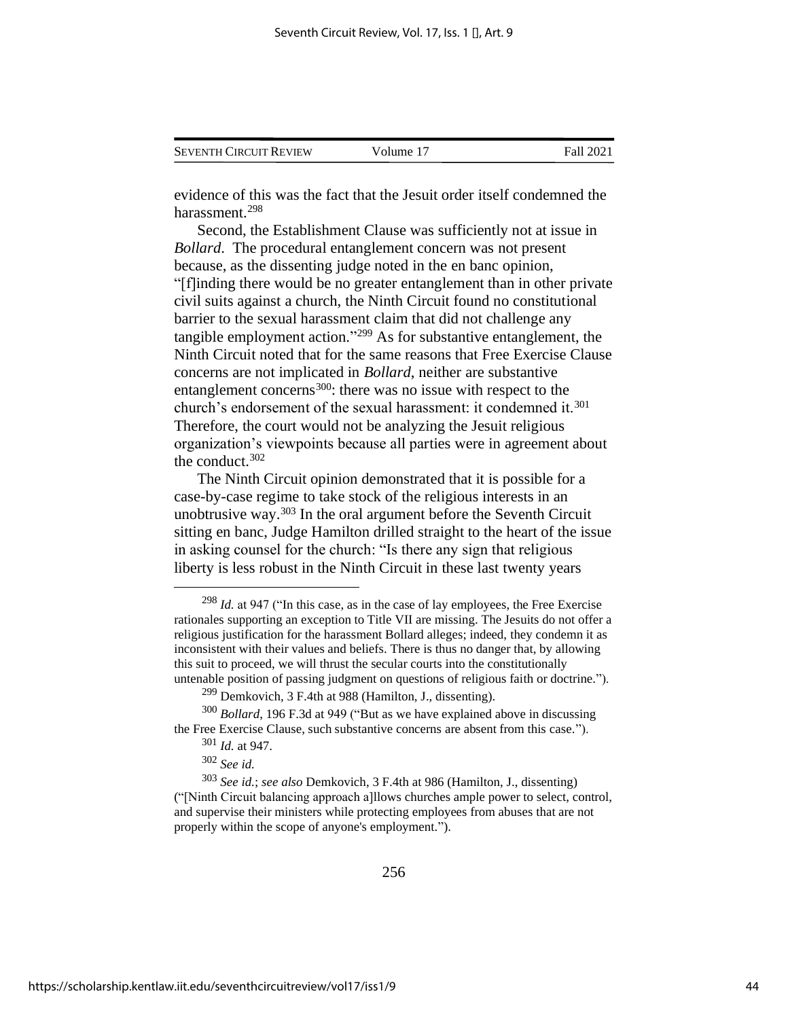| <b>SEVENTH CIRCUIT REVIEW</b> | Volume 17 | Fall 2021 |
|-------------------------------|-----------|-----------|
|                               |           |           |

evidence of this was the fact that the Jesuit order itself condemned the harassment.<sup>298</sup>

Second, the Establishment Clause was sufficiently not at issue in *Bollard*. The procedural entanglement concern was not present because, as the dissenting judge noted in the en banc opinion, "[f]inding there would be no greater entanglement than in other private civil suits against a church, the Ninth Circuit found no constitutional barrier to the sexual harassment claim that did not challenge any tangible employment action."<sup>299</sup> As for substantive entanglement, the Ninth Circuit noted that for the same reasons that Free Exercise Clause concerns are not implicated in *Bollard*, neither are substantive entanglement concerns<sup>300</sup>: there was no issue with respect to the church's endorsement of the sexual harassment: it condemned it.<sup>301</sup> Therefore, the court would not be analyzing the Jesuit religious organization's viewpoints because all parties were in agreement about the conduct.<sup>302</sup>

The Ninth Circuit opinion demonstrated that it is possible for a case-by-case regime to take stock of the religious interests in an unobtrusive way. $303$  In the oral argument before the Seventh Circuit sitting en banc, Judge Hamilton drilled straight to the heart of the issue in asking counsel for the church: "Is there any sign that religious liberty is less robust in the Ninth Circuit in these last twenty years

<sup>298</sup> *Id.* at 947 ("In this case, as in the case of lay employees, the Free Exercise rationales supporting an exception to Title VII are missing. The Jesuits do not offer a religious justification for the harassment Bollard alleges; indeed, they condemn it as inconsistent with their values and beliefs. There is thus no danger that, by allowing this suit to proceed, we will thrust the secular courts into the constitutionally untenable position of passing judgment on questions of religious faith or doctrine.").

<sup>&</sup>lt;sup>299</sup> Demkovich, 3 F.4th at 988 (Hamilton, J., dissenting).

<sup>300</sup> *Bollard*, 196 F.3d at 949 ("But as we have explained above in discussing the Free Exercise Clause, such substantive concerns are absent from this case.").

<sup>301</sup> *Id.* at 947.

<sup>302</sup> *See id.*

<sup>303</sup> *See id.*; *see also* Demkovich, 3 F.4th at 986 (Hamilton, J., dissenting) ("[Ninth Circuit balancing approach a]llows churches ample power to select, control, and supervise their ministers while protecting employees from abuses that are not properly within the scope of anyone's employment.").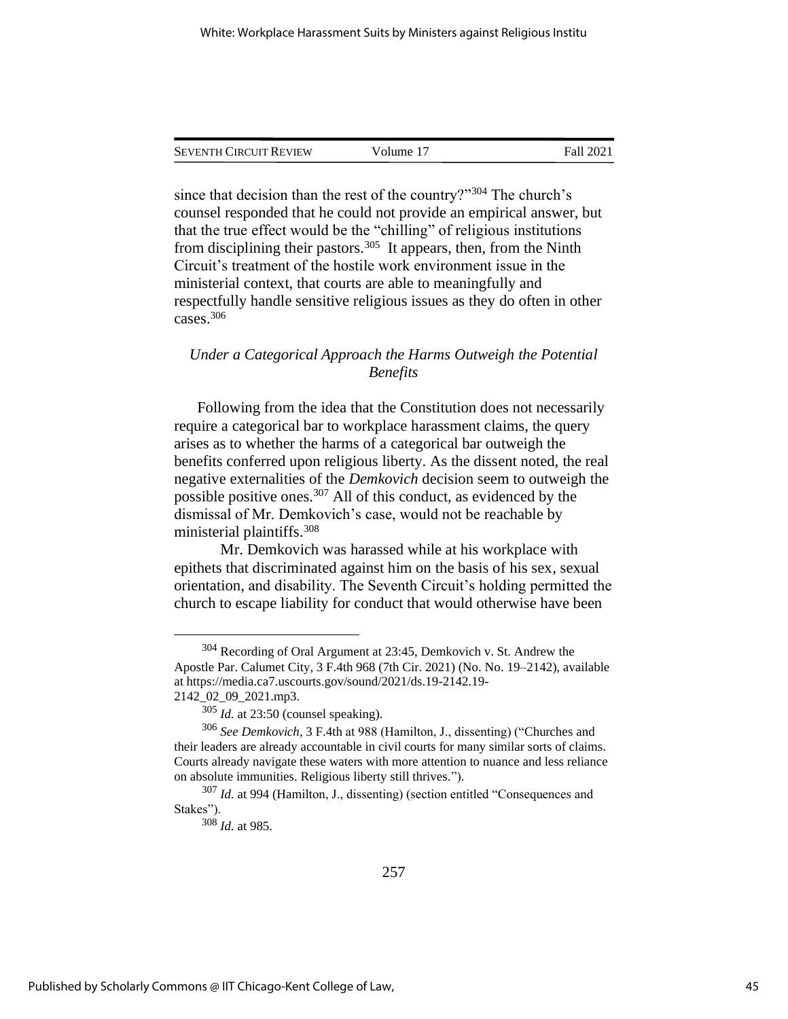| <b>SEVENTH CIRCUIT REVIEW</b> | Volume 17 | Fall 2021 |
|-------------------------------|-----------|-----------|
|                               |           |           |

since that decision than the rest of the country?"<sup>304</sup> The church's counsel responded that he could not provide an empirical answer, but that the true effect would be the "chilling" of religious institutions from disciplining their pastors.<sup>305</sup> It appears, then, from the Ninth Circuit's treatment of the hostile work environment issue in the ministerial context, that courts are able to meaningfully and respectfully handle sensitive religious issues as they do often in other cases.<sup>306</sup>

## *Under a Categorical Approach the Harms Outweigh the Potential Benefits*

Following from the idea that the Constitution does not necessarily require a categorical bar to workplace harassment claims, the query arises as to whether the harms of a categorical bar outweigh the benefits conferred upon religious liberty. As the dissent noted, the real negative externalities of the *Demkovich* decision seem to outweigh the possible positive ones.<sup>307</sup> All of this conduct, as evidenced by the dismissal of Mr. Demkovich's case, would not be reachable by ministerial plaintiffs.<sup>308</sup>

Mr. Demkovich was harassed while at his workplace with epithets that discriminated against him on the basis of his sex, sexual orientation, and disability. The Seventh Circuit's holding permitted the church to escape liability for conduct that would otherwise have been

<sup>&</sup>lt;sup>304</sup> Recording of Oral Argument at 23:45, Demkovich v. St. Andrew the Apostle Par. Calumet City, 3 F.4th 968 (7th Cir. 2021) (No. No. 19–2142), available at https://media.ca7.uscourts.gov/sound/2021/ds.19-2142.19- 2142\_02\_09\_2021.mp3.

<sup>305</sup> *Id.* at 23:50 (counsel speaking).

<sup>306</sup> *See Demkovich*, 3 F.4th at 988 (Hamilton, J., dissenting) ("Churches and their leaders are already accountable in civil courts for many similar sorts of claims. Courts already navigate these waters with more attention to nuance and less reliance on absolute immunities. Religious liberty still thrives.").

<sup>307</sup> *Id.* at 994 (Hamilton, J., dissenting) (section entitled "Consequences and Stakes").

<sup>308</sup> *Id.* at 985.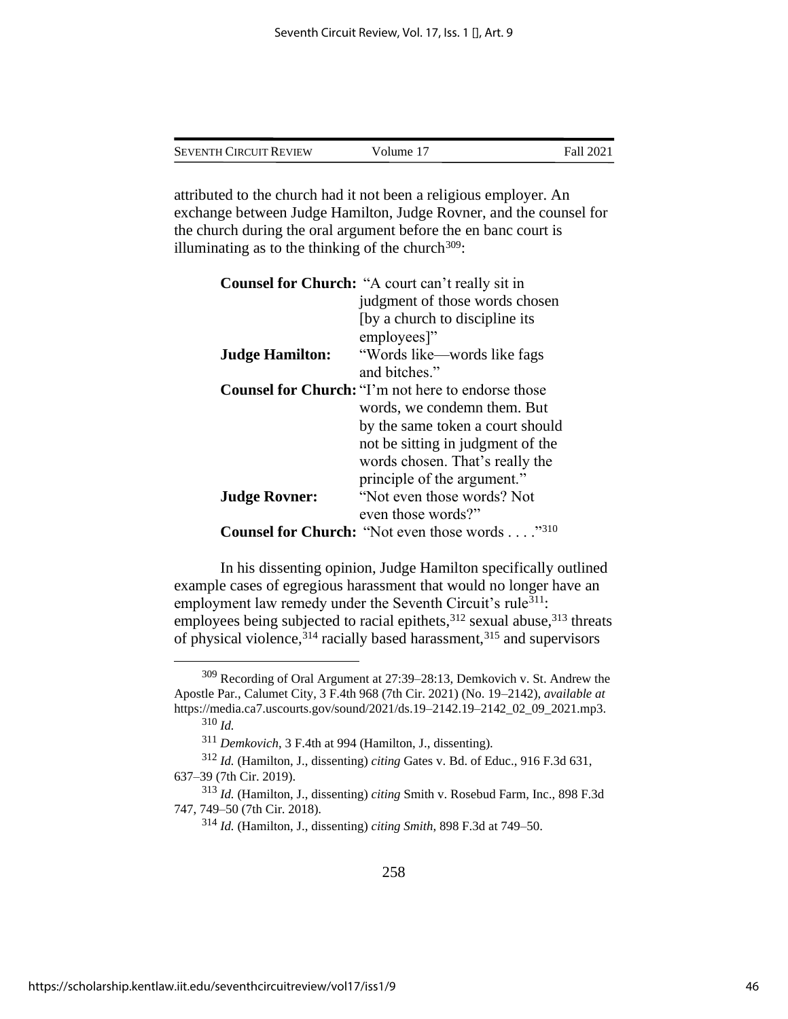| <b>SEVENTH CIRCUIT REVIEW</b> | Volume 17 | Fall 2021 |
|-------------------------------|-----------|-----------|
|                               |           |           |

attributed to the church had it not been a religious employer. An exchange between Judge Hamilton, Judge Rovner, and the counsel for the church during the oral argument before the en banc court is illuminating as to the thinking of the church $309$ :

|                        | <b>Counsel for Church:</b> "A court can't really sit in         |
|------------------------|-----------------------------------------------------------------|
|                        | judgment of those words chosen                                  |
|                        | (by a church to discipline its                                  |
|                        | employees]"                                                     |
| <b>Judge Hamilton:</b> | "Words like—words like fags                                     |
|                        | and bitches."                                                   |
|                        | <b>Counsel for Church:</b> "I'm not here to endorse those       |
|                        | words, we condemn them. But                                     |
|                        | by the same token a court should                                |
|                        | not be sitting in judgment of the                               |
|                        | words chosen. That's really the                                 |
|                        | principle of the argument."                                     |
| <b>Judge Rovner:</b>   | "Not even those words? Not                                      |
|                        | even those words?"                                              |
|                        | <b>"310</b><br><b>Counsel for Church: "Not even those words</b> |

In his dissenting opinion, Judge Hamilton specifically outlined example cases of egregious harassment that would no longer have an employment law remedy under the Seventh Circuit's rule<sup>311</sup>: employees being subjected to racial epithets, $3^{12}$  sexual abuse, $3^{13}$  threats of physical violence,<sup>314</sup> racially based harassment,<sup>315</sup> and supervisors

<sup>309</sup> Recording of Oral Argument at 27:39–28:13, Demkovich v. St. Andrew the Apostle Par., Calumet City, 3 F.4th 968 (7th Cir. 2021) (No. 19–2142), *available at* https://media.ca7.uscourts.gov/sound/2021/ds.19–2142.19–2142\_02\_09\_2021.mp3. <sup>310</sup> *Id.*

<sup>311</sup> *Demkovich*, 3 F.4th at 994 (Hamilton, J., dissenting).

<sup>312</sup> *Id.* (Hamilton, J., dissenting) *citing* Gates v. Bd. of Educ., 916 F.3d 631, 637–39 (7th Cir. 2019).

<sup>313</sup> *Id.* (Hamilton, J., dissenting) *citing* Smith v. Rosebud Farm, Inc., 898 F.3d 747, 749–50 (7th Cir. 2018).

<sup>314</sup> *Id.* (Hamilton, J., dissenting) *citing Smith*, 898 F.3d at 749–50.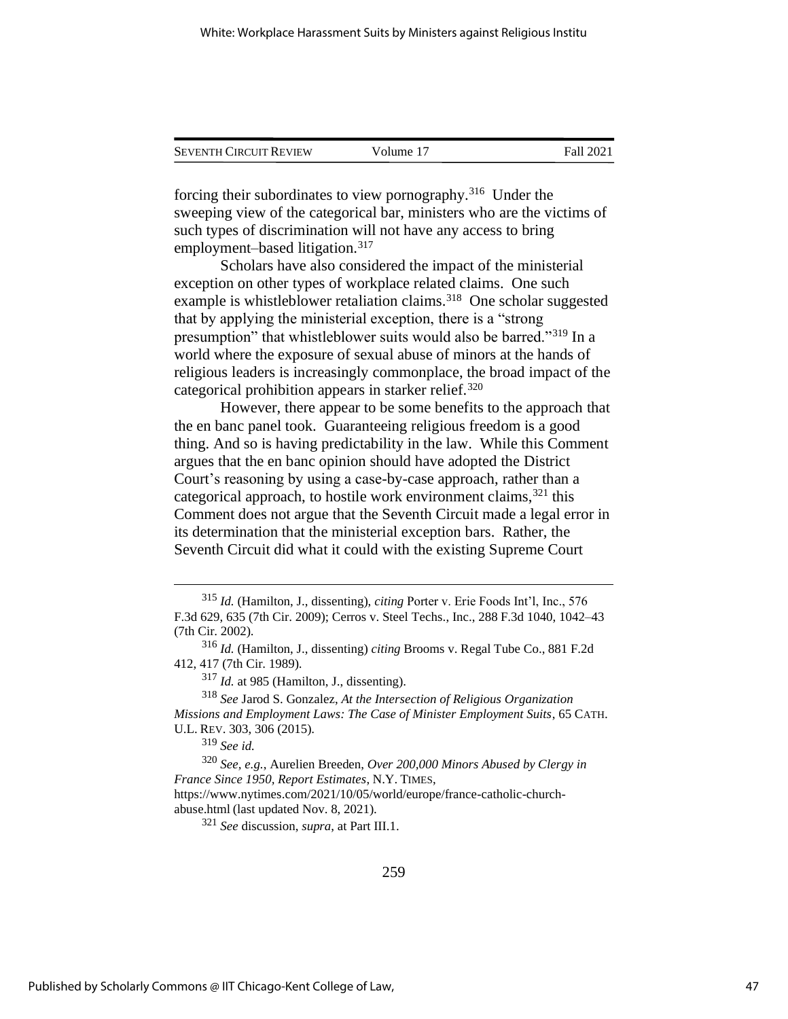| <b>SEVENTH CIRCUIT REVIEW</b> | Volume 17 | <b>Fall 2021</b> |
|-------------------------------|-----------|------------------|
|                               |           |                  |

forcing their subordinates to view pornography.<sup>316</sup> Under the sweeping view of the categorical bar, ministers who are the victims of such types of discrimination will not have any access to bring employment–based litigation.<sup>317</sup>

Scholars have also considered the impact of the ministerial exception on other types of workplace related claims. One such example is whistleblower retaliation claims.<sup>318</sup> One scholar suggested that by applying the ministerial exception, there is a "strong presumption" that whistleblower suits would also be barred."<sup>319</sup> In a world where the exposure of sexual abuse of minors at the hands of religious leaders is increasingly commonplace, the broad impact of the categorical prohibition appears in starker relief.<sup>320</sup>

However, there appear to be some benefits to the approach that the en banc panel took. Guaranteeing religious freedom is a good thing. And so is having predictability in the law. While this Comment argues that the en banc opinion should have adopted the District Court's reasoning by using a case-by-case approach, rather than a categorical approach, to hostile work environment claims. $321$  this Comment does not argue that the Seventh Circuit made a legal error in its determination that the ministerial exception bars. Rather, the Seventh Circuit did what it could with the existing Supreme Court

<sup>317</sup> *Id.* at 985 (Hamilton, J., dissenting).

<sup>319</sup> *See id.*

<sup>320</sup> *See, e.g.*, Aurelien Breeden, *Over 200,000 Minors Abused by Clergy in France Since 1950, Report Estimates*, N.Y. TIMES, https://www.nytimes.com/2021/10/05/world/europe/france-catholic-church-

abuse.html (last updated Nov. 8, 2021).

<sup>321</sup> *See* discussion, *supra*, at Part III.1.

<sup>315</sup> *Id.* (Hamilton, J., dissenting), *citing* Porter v. Erie Foods Int'l, Inc., 576 F.3d 629, 635 (7th Cir. 2009); Cerros v. Steel Techs., Inc., 288 F.3d 1040, 1042–43 (7th Cir. 2002).

<sup>316</sup> *Id.* (Hamilton, J., dissenting) *citing* Brooms v. Regal Tube Co., 881 F.2d 412, 417 (7th Cir. 1989).

<sup>318</sup> *See* Jarod S. Gonzalez, *At the Intersection of Religious Organization Missions and Employment Laws: The Case of Minister Employment Suits*, 65 CATH. U.L. REV. 303, 306 (2015).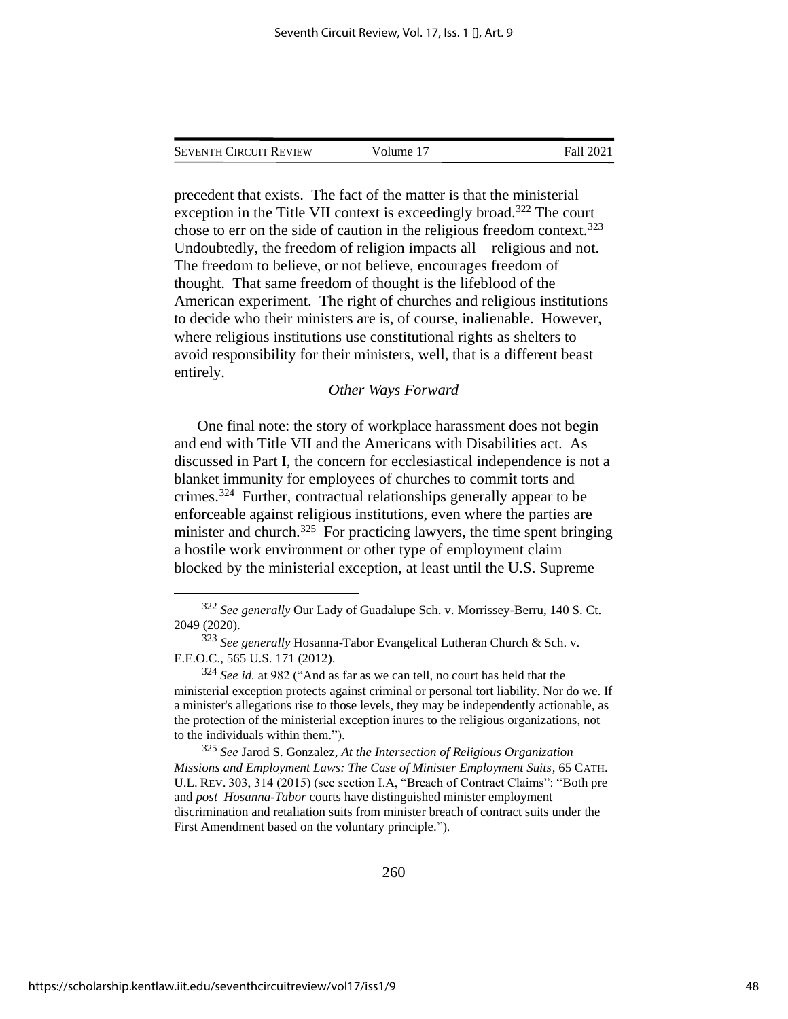|  | <b>SEVENTH CIRCUIT REVIEW</b> | Volume 17 | Fall 2021 |
|--|-------------------------------|-----------|-----------|
|--|-------------------------------|-----------|-----------|

precedent that exists. The fact of the matter is that the ministerial exception in the Title VII context is exceedingly broad.<sup>322</sup> The court chose to err on the side of caution in the religious freedom context.<sup>323</sup> Undoubtedly, the freedom of religion impacts all—religious and not. The freedom to believe, or not believe, encourages freedom of thought. That same freedom of thought is the lifeblood of the American experiment. The right of churches and religious institutions to decide who their ministers are is, of course, inalienable. However, where religious institutions use constitutional rights as shelters to avoid responsibility for their ministers, well, that is a different beast entirely.

#### *Other Ways Forward*

One final note: the story of workplace harassment does not begin and end with Title VII and the Americans with Disabilities act. As discussed in Part I, the concern for ecclesiastical independence is not a blanket immunity for employees of churches to commit torts and crimes.<sup>324</sup> Further, contractual relationships generally appear to be enforceable against religious institutions, even where the parties are minister and church.<sup>325</sup> For practicing lawyers, the time spent bringing a hostile work environment or other type of employment claim blocked by the ministerial exception, at least until the U.S. Supreme

<sup>325</sup> *See* Jarod S. Gonzalez, *At the Intersection of Religious Organization Missions and Employment Laws: The Case of Minister Employment Suits*, 65 CATH. U.L. REV. 303, 314 (2015) (see section I.A, "Breach of Contract Claims": "Both pre and *post–Hosanna-Tabor* courts have distinguished minister employment discrimination and retaliation suits from minister breach of contract suits under the First Amendment based on the voluntary principle.").

<sup>322</sup> *See generally* Our Lady of Guadalupe Sch. v. Morrissey-Berru, 140 S. Ct. 2049 (2020).

<sup>323</sup> *See generally* Hosanna-Tabor Evangelical Lutheran Church & Sch. v. E.E.O.C., 565 U.S. 171 (2012).

<sup>324</sup> *See id.* at 982 ("And as far as we can tell, no court has held that the ministerial exception protects against criminal or personal tort liability. Nor do we. If a minister's allegations rise to those levels, they may be independently actionable, as the protection of the ministerial exception inures to the religious organizations, not to the individuals within them.").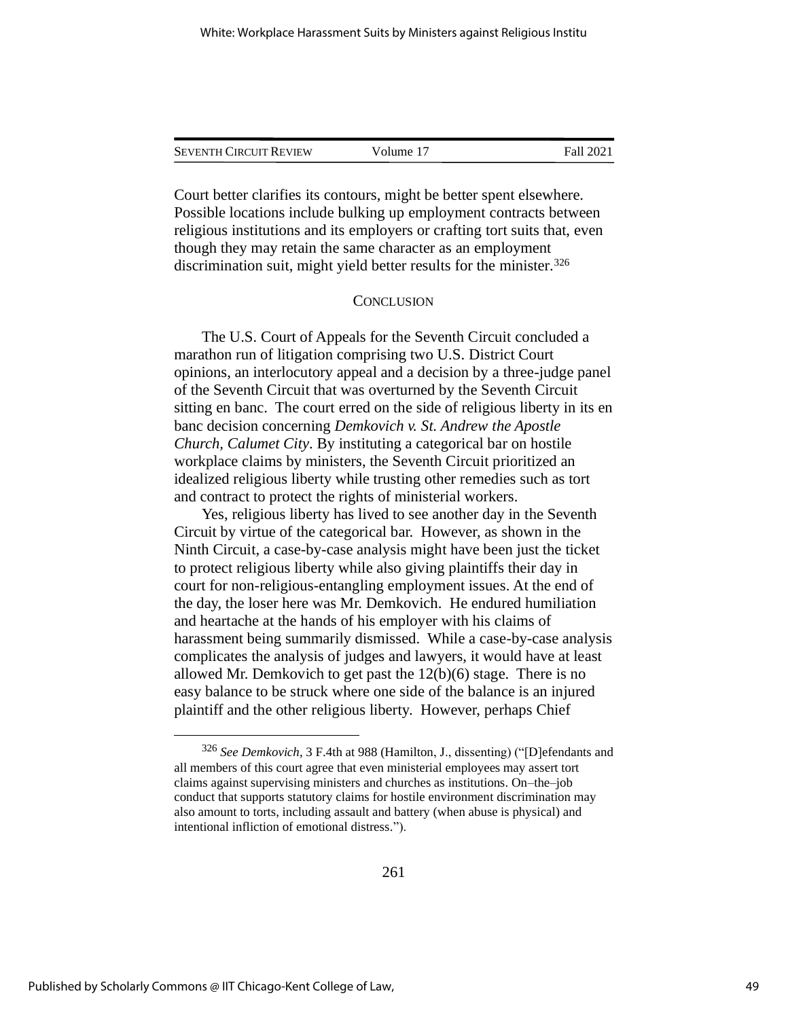| Seventh Circuit Review | Volume 17 | Fall 2021 |  |
|------------------------|-----------|-----------|--|
|                        |           |           |  |

Court better clarifies its contours, might be better spent elsewhere. Possible locations include bulking up employment contracts between religious institutions and its employers or crafting tort suits that, even though they may retain the same character as an employment discrimination suit, might yield better results for the minister.<sup>326</sup>

#### **CONCLUSION**

The U.S. Court of Appeals for the Seventh Circuit concluded a marathon run of litigation comprising two U.S. District Court opinions, an interlocutory appeal and a decision by a three-judge panel of the Seventh Circuit that was overturned by the Seventh Circuit sitting en banc. The court erred on the side of religious liberty in its en banc decision concerning *Demkovich v. St. Andrew the Apostle Church, Calumet City*. By instituting a categorical bar on hostile workplace claims by ministers, the Seventh Circuit prioritized an idealized religious liberty while trusting other remedies such as tort and contract to protect the rights of ministerial workers.

Yes, religious liberty has lived to see another day in the Seventh Circuit by virtue of the categorical bar. However, as shown in the Ninth Circuit, a case-by-case analysis might have been just the ticket to protect religious liberty while also giving plaintiffs their day in court for non-religious-entangling employment issues. At the end of the day, the loser here was Mr. Demkovich. He endured humiliation and heartache at the hands of his employer with his claims of harassment being summarily dismissed. While a case-by-case analysis complicates the analysis of judges and lawyers, it would have at least allowed Mr. Demkovich to get past the 12(b)(6) stage. There is no easy balance to be struck where one side of the balance is an injured plaintiff and the other religious liberty. However, perhaps Chief

<sup>326</sup> *See Demkovich*, 3 F.4th at 988 (Hamilton, J., dissenting) ("[D]efendants and all members of this court agree that even ministerial employees may assert tort claims against supervising ministers and churches as institutions. On–the–job conduct that supports statutory claims for hostile environment discrimination may also amount to torts, including assault and battery (when abuse is physical) and intentional infliction of emotional distress.").